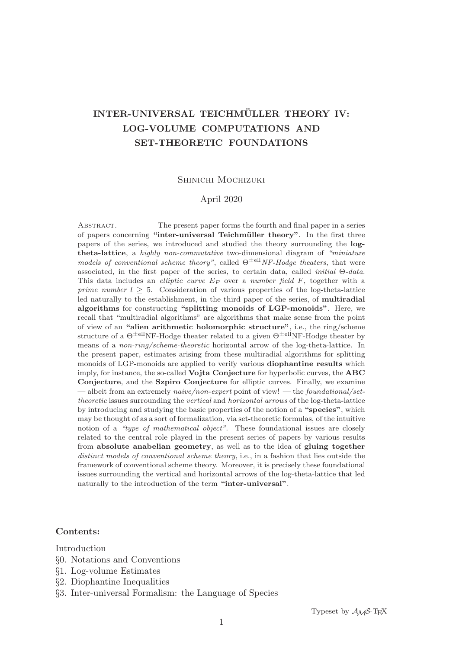# **INTER-UNIVERSAL TEICHMULLER THEORY IV: ¨ LOG-VOLUME COMPUTATIONS AND SET-THEORETIC FOUNDATIONS**

## Shinichi Mochizuki

# April 2020

Abstract. The present paper forms the fourth and final paper in a series of papers concerning "inter-universal Teichmüller theory". In the first three papers of the series, we introduced and studied the theory surrounding the **logtheta-lattice**, a highly non-commutative two-dimensional diagram of "miniature models of conventional scheme theory", called  $\Theta^{\pm \text{ell}} N F$ -Hodge theaters, that were associated, in the first paper of the series, to certain data, called initial Θ-data. This data includes an *elliptic curve*  $E_F$  over a *number field*  $F$ , together with a *prime number*  $l \geq 5$ *.* Consideration of various properties of the log-theta-lattice led naturally to the establishment, in the third paper of the series, of **multiradial algorithms** for constructing **"splitting monoids of LGP-monoids"**. Here, we recall that "multiradial algorithms" are algorithms that make sense from the point of view of an **"alien arithmetic holomorphic structure"**, i.e., the ring/scheme structure of a  $\Theta^{\pm \text{ell}}$ NF-Hodge theater related to a given  $\Theta^{\pm \text{ell}}$ NF-Hodge theater by means of a *non-ring/scheme-theoretic* horizontal arrow of the log-theta-lattice. In the present paper, estimates arising from these multiradial algorithms for splitting monoids of LGP-monoids are applied to verify various **diophantine results** which imply, for instance, the so-called **Vojta Conjecture** for hyperbolic curves, the **ABC Conjecture**, and the **Szpiro Conjecture** for elliptic curves. Finally, we examine — albeit from an extremely *naive/non-expert* point of view! — the *foundational/set*theoretic issues surrounding the vertical and horizontal arrows of the log-theta-lattice by introducing and studying the basic properties of the notion of a **"species"**, which may be thought of as a sort of formalization, via set-theoretic formulas, of the intuitive notion of a "type of mathematical object". These foundational issues are closely related to the central role played in the present series of papers by various results from **absolute anabelian geometry**, as well as to the idea of **gluing together** distinct models of conventional scheme theory, i.e., in a fashion that lies outside the framework of conventional scheme theory. Moreover, it is precisely these foundational issues surrounding the vertical and horizontal arrows of the log-theta-lattice that led naturally to the introduction of the term **"inter-universal"**.

# **Contents:**

Introduction

- §0. Notations and Conventions
- §1. Log-volume Estimates
- §2. Diophantine Inequalities
- §3. Inter-universal Formalism: the Language of Species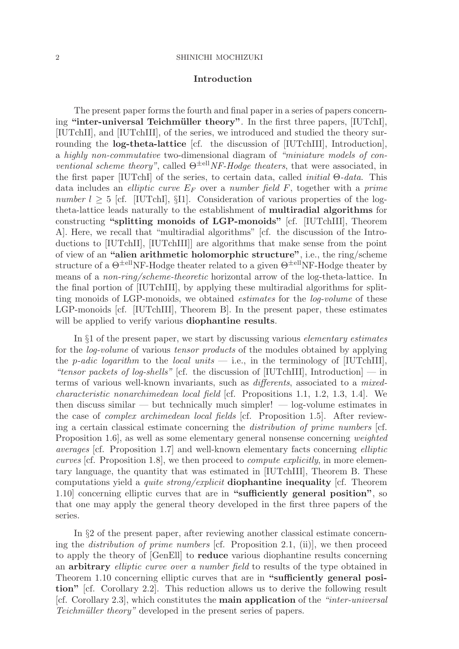## **Introduction**

The present paper forms the fourth and final paper in a series of papers concerning "inter-universal Teichmüller theory". In the first three papers, [IUTchI], [IUTchII], and [IUTchIII], of the series, we introduced and studied the theory surrounding the **log-theta-lattice** [cf. the discussion of [IUTchIII], Introduction], a highly non-commutative two-dimensional diagram of "miniature models of conventional scheme theory", called  $\Theta^{\pm \text{ell}} N F$ -Hodge theaters, that were associated, in the first paper [IUTchI] of the series, to certain data, called *initial*  $\Theta$ -*data*. This data includes an *elliptic curve*  $E_F$  over a *number field* F, together with a *prime* number  $l > 5$  [cf. [IUTchI], §I1]. Consideration of various properties of the logtheta-lattice leads naturally to the establishment of **multiradial algorithms** for constructing **"splitting monoids of LGP-monoids"** [cf. [IUTchIII], Theorem A]. Here, we recall that "multiradial algorithms" [cf. the discussion of the Introductions to [IUTchII], [IUTchIII]] are algorithms that make sense from the point of view of an **"alien arithmetic holomorphic structure"**, i.e., the ring/scheme structure of a  $\Theta^{\pm \text{ell}}$ NF-Hodge theater related to a given  $\Theta^{\pm \text{ell}}$ NF-Hodge theater by means of a non-ring/scheme-theoretic horizontal arrow of the log-theta-lattice. In the final portion of [IUTchIII], by applying these multiradial algorithms for splitting monoids of LGP-monoids, we obtained estimates for the log-volume of these LGP-monoids [cf. [IUTchIII], Theorem B]. In the present paper, these estimates will be applied to verify various **diophantine results**.

In §1 of the present paper, we start by discussing various elementary estimates for the log-volume of various tensor products of the modules obtained by applying the p-adic logarithm to the local units  $-$  i.e., in the terminology of [IUTchIII], "tensor packets of log-shells" [cf. the discussion of [IUTchIII], Introduction] — in terms of various well-known invariants, such as differents, associated to a mixedcharacteristic nonarchimedean local field [cf. Propositions 1.1, 1.2, 1.3, 1.4]. We then discuss similar — but technically much simpler! — log-volume estimates in the case of complex archimedean local fields [cf. Proposition 1.5]. After reviewing a certain classical estimate concerning the distribution of prime numbers [cf. Proposition 1.6], as well as some elementary general nonsense concerning weighted averages [cf. Proposition 1.7] and well-known elementary facts concerning elliptic curves [cf. Proposition 1.8], we then proceed to compute explicitly, in more elementary language, the quantity that was estimated in [IUTchIII], Theorem B. These computations yield a quite strong/explicit **diophantine inequality** [cf. Theorem 1.10] concerning elliptic curves that are in **"sufficiently general position"**, so that one may apply the general theory developed in the first three papers of the series.

In §2 of the present paper, after reviewing another classical estimate concerning the distribution of prime numbers [cf. Proposition 2.1, (ii)], we then proceed to apply the theory of [GenEll] to **reduce** various diophantine results concerning an **arbitrary** elliptic curve over a number field to results of the type obtained in Theorem 1.10 concerning elliptic curves that are in **"sufficiently general position"** [cf. Corollary 2.2]. This reduction allows us to derive the following result [cf. Corollary 2.3], which constitutes the **main application** of the "inter-universal Teichmüller theory" developed in the present series of papers.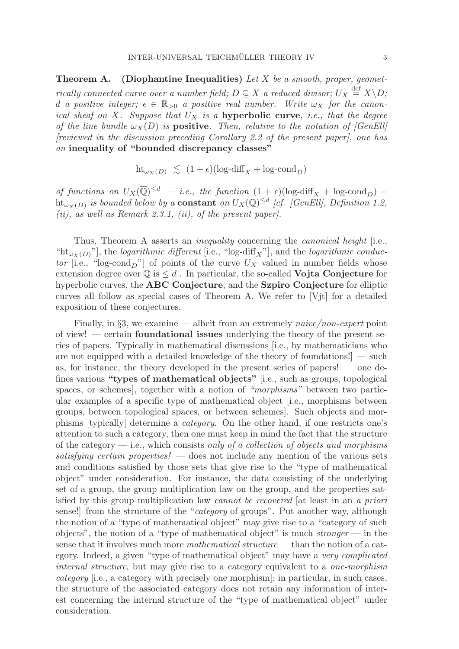**Theorem A.** (Diophantine Inequalities) Let X be a smooth, proper, geometrically connected curve over a number field;  $D \subseteq X$  a reduced divisor;  $U_X \stackrel{\text{def}}{=} X \backslash D$ ; d a positive integer;  $\epsilon \in \mathbb{R}_{>0}$  a positive real number. Write  $\omega_X$  for the canonical sheaf on X. Suppose that  $U_X$  is a **hyperbolic curve**, *i.e.*, that the degree of the line bundle  $\omega_X(D)$  is **positive**. Then, relative to the notation of [GenEll] [reviewed in the discussion preceding Corollary 2.2 of the present paper], one has an **inequality of "bounded discrepancy classes"**

$$
\text{ht}_{\omega_X(D)} \le (1+\epsilon)(\log \text{-diff}_X + \log \text{-cond}_D)
$$

of functions on  $U_X(\overline{\mathbb{Q}})^{\leq d}$  — i.e., the function  $(1+\epsilon)(\log-diff_X + \log\text{-cond}_D)$  – ht<sub>ω $X(D)$ </sub> is bounded below by a **constant** on  $U_X(\overline{Q})^{\leq d}$  [cf. [GenEll], Definition 1.2, (ii), as well as Remark 2.3.1, (ii), of the present paper).

Thus, Theorem A asserts an *inequality* concerning the *canonical height* [i.e., "ht<sub> $\omega_X(D)$ </sub>"], the *logarithmic different* [i.e., "log-diff<sub>X</sub>"], and the *logarithmic conduc*tor [i.e., "log-cond<sub>D</sub>"] of points of the curve  $U_X$  valued in number fields whose extension degree over  $\mathbb{Q}$  is  $\leq d$ . In particular, the so-called **Vojta Conjecture** for hyperbolic curves, the **ABC Conjecture**, and the **Szpiro Conjecture** for elliptic curves all follow as special cases of Theorem A. We refer to [Vjt] for a detailed exposition of these conjectures.

Finally, in §3, we examine — albeit from an extremely *naive/non-expert* point of view! — certain **foundational issues** underlying the theory of the present series of papers. Typically in mathematical discussions [i.e., by mathematicians who are not equipped with a detailed knowledge of the theory of foundations!] — such as, for instance, the theory developed in the present series of papers! — one defines various **"types of mathematical objects"** [i.e., such as groups, topological spaces, or schemes], together with a notion of "morphisms" between two particular examples of a specific type of mathematical object [i.e., morphisms between groups, between topological spaces, or between schemes]. Such objects and morphisms [typically] determine a category. On the other hand, if one restricts one's attention to such a category, then one must keep in mind the fact that the structure of the category  $-$  i.e., which consists only of a collection of objects and morphisms satisfying certain properties! — does not include any mention of the various sets and conditions satisfied by those sets that give rise to the "type of mathematical object" under consideration. For instance, the data consisting of the underlying set of a group, the group multiplication law on the group, and the properties satisfied by this group multiplication law cannot be recovered [at least in an a priori sense!] from the structure of the "category of groups". Put another way, although the notion of a "type of mathematical object" may give rise to a "category of such objects", the notion of a "type of mathematical object" is much stronger — in the sense that it involves much more mathematical structure — than the notion of a category. Indeed, a given "type of mathematical object" may have a very complicated internal structure, but may give rise to a category equivalent to a one-morphism category [i.e., a category with precisely one morphism]; in particular, in such cases, the structure of the associated category does not retain any information of interest concerning the internal structure of the "type of mathematical object" under consideration.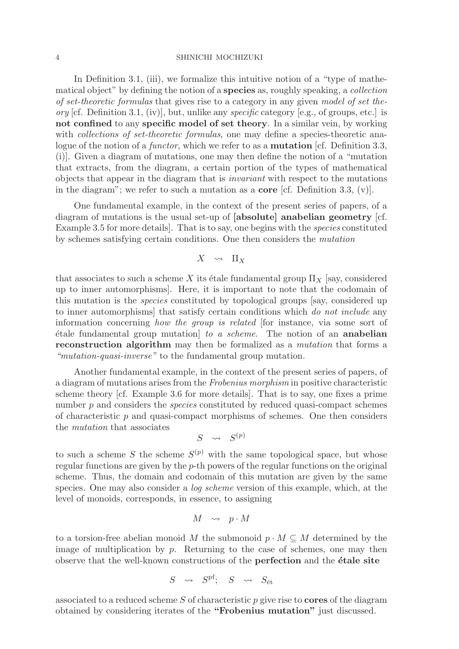In Definition 3.1, (iii), we formalize this intuitive notion of a "type of mathematical object" by defining the notion of a **species** as, roughly speaking, a collection of set-theoretic formulas that gives rise to a category in any given model of set theory [cf. Definition 3.1, (iv)], but, unlike any specific category [e.g., of groups, etc.] is **not confined** to any **specific model of set theory**. In a similar vein, by working with *collections of set-theoretic formulas*, one may define a species-theoretic analogue of the notion of a functor, which we refer to as a **mutation** [cf. Definition 3.3, (i)]. Given a diagram of mutations, one may then define the notion of a "mutation that extracts, from the diagram, a certain portion of the types of mathematical objects that appear in the diagram that is invariant with respect to the mutations in the diagram"; we refer to such a mutation as a **core** [cf. Definition 3.3, (v)].

One fundamental example, in the context of the present series of papers, of a diagram of mutations is the usual set-up of **[absolute] anabelian geometry** [cf. Example 3.5 for more details]. That is to say, one begins with the species constituted by schemes satisfying certain conditions. One then considers the mutation

$$
X \quad \leadsto \quad \Pi_X
$$

that associates to such a scheme X its étale fundamental group  $\Pi_X$  [say, considered up to inner automorphisms]. Here, it is important to note that the codomain of this mutation is the species constituted by topological groups [say, considered up to inner automorphisms] that satisfy certain conditions which do not include any information concerning how the group is related [for instance, via some sort of ´etale fundamental group mutation] to a scheme. The notion of an **anabelian reconstruction algorithm** may then be formalized as a *mutation* that forms a "mutation-quasi-inverse" to the fundamental group mutation.

Another fundamental example, in the context of the present series of papers, of a diagram of mutations arises from the Frobenius morphism in positive characteristic scheme theory [cf. Example 3.6 for more details]. That is to say, one fixes a prime number p and considers the *species* constituted by reduced quasi-compact schemes of characteristic  $p$  and quasi-compact morphisms of schemes. One then considers the mutation that associates

$$
S \quad \leadsto \quad S^{(p)}
$$

to such a scheme S the scheme  $S^{(p)}$  with the same topological space, but whose regular functions are given by the p-th powers of the regular functions on the original scheme. Thus, the domain and codomain of this mutation are given by the same species. One may also consider a log scheme version of this example, which, at the level of monoids, corresponds, in essence, to assigning

$$
M \quad \leadsto \quad p \cdot M
$$

to a torsion-free abelian monoid M the submonoid  $p \cdot M \subseteq M$  determined by the image of multiplication by  $p$ . Returning to the case of schemes, one may then observe that the well-known constructions of the **perfection** and the **étale site** 

$$
S \quad \leadsto \quad S^{\rm pf}; \quad S \quad \leadsto \quad S_{\rm \acute{e}t}
$$

associated to a reduced scheme S of characteristic p give rise to **cores** of the diagram obtained by considering iterates of the **"Frobenius mutation"** just discussed.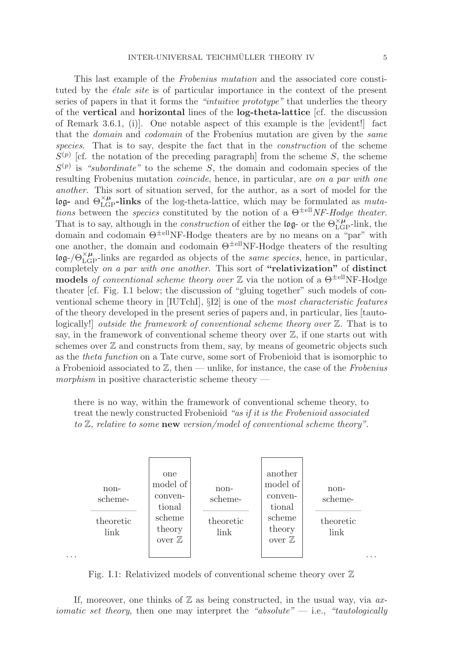This last example of the Frobenius mutation and the associated core constituted by the *étale site* is of particular importance in the context of the present series of papers in that it forms the "intuitive prototype" that underlies the theory of the **vertical** and **horizontal** lines of the **log-theta-lattice** [cf. the discussion of Remark 3.6.1, (i)]. One notable aspect of this example is the [evident!] fact that the domain and codomain of the Frobenius mutation are given by the same species. That is to say, despite the fact that in the *construction* of the scheme  $S^{(p)}$  [cf. the notation of the preceding paragraph] from the scheme S, the scheme  $S^{(p)}$  is "subordinate" to the scheme S, the domain and codomain species of the resulting Frobenius mutation coincide, hence, in particular, are on a par with one another. This sort of situation served, for the author, as a sort of model for the log- and  $\Theta_{\text{LGP}}^{\times \mu}$ -links of the log-theta-lattice, which may be formulated as mutations between the *species* constituted by the notion of a  $\Theta^{\pm \text{ell}}$ *NF-Hodge theater.* That is to say, although in the *construction* of either the log- or the  $\Theta_{\text{LGP}}^{\times \mu}$ -link, the domain and codomain  $\Theta^{\pm \text{ell}}$ NF-Hodge theaters are by no means on a "par" with one another, the domain and codomain  $\Theta^{\pm \text{ell}}$ NF-Hodge theaters of the resulting  $\log$ -/Θ<sup>×μ</sup><sub>LGP</sub>-links are regarded as objects of the *same species*, hence, in particular, completely on a par with one another. This sort of **"relativization"** of **distinct models** of conventional scheme theory over  $\mathbb{Z}$  via the notion of a  $\Theta^{\pm \text{ell}}$ NF-Hodge theater [cf. Fig. I.1 below; the discussion of "gluing together" such models of conventional scheme theory in [IUTchI], §I2] is one of the most characteristic features of the theory developed in the present series of papers and, in particular, lies [tautologically!] outside the framework of conventional scheme theory over Z. That is to say, in the framework of conventional scheme theory over  $\mathbb{Z}$ , if one starts out with schemes over  $\mathbb Z$  and constructs from them, say, by means of geometric objects such as the theta function on a Tate curve, some sort of Frobenioid that is isomorphic to a Frobenioid associated to  $\mathbb{Z}$ , then — unlike, for instance, the case of the Frobenius morphism in positive characteristic scheme theory  $-$ 

there is no way, within the framework of conventional scheme theory, to treat the newly constructed Frobenioid "as if it is the Frobenioid associated to Z, relative to some **new** version/model of conventional scheme theory".



Fig. I.1: Relativized models of conventional scheme theory over  $\mathbb Z$ 

If, moreover, one thinks of  $\mathbb Z$  as being constructed, in the usual way, via  $ax$ *iomatic set theory*, then one may interpret the "absolute"  $-$  i.e., "tautologically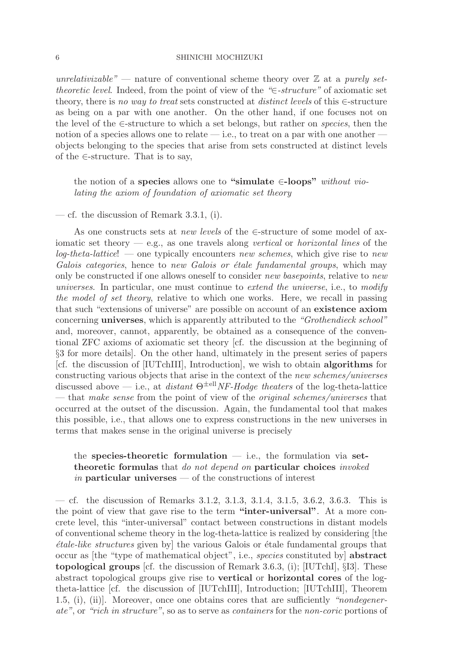unrelativizable" — nature of conventional scheme theory over  $\mathbb Z$  at a purely settheoretic level. Indeed, from the point of view of the "∈-structure" of axiomatic set theory, there is no way to treat sets constructed at distinct levels of this  $\in$ -structure as being on a par with one another. On the other hand, if one focuses not on the level of the ∈-structure to which a set belongs, but rather on species, then the notion of a species allows one to relate — i.e., to treat on a par with one another objects belonging to the species that arise from sets constructed at distinct levels of the  $\in$ -structure. That is to say,

# the notion of a **species** allows one to **"simulate** ∈**-loops"** without violating the axiom of foundation of axiomatic set theory

— cf. the discussion of Remark 3.3.1, (i).

As one constructs sets at new levels of the ∈-structure of some model of axiomatic set theory  $-e.g.,$  as one travels along vertical or *horizontal lines* of the  $log-theta-lattice!$  — one typically encounters new schemes, which give rise to new Galois categories, hence to new Galois or étale fundamental groups, which may only be constructed if one allows oneself to consider new basepoints, relative to new universes. In particular, one must continue to extend the universe, i.e., to modify the model of set theory, relative to which one works. Here, we recall in passing that such "extensions of universe" are possible on account of an **existence axiom** concerning **universes**, which is apparently attributed to the "Grothendieck school" and, moreover, cannot, apparently, be obtained as a consequence of the conventional ZFC axioms of axiomatic set theory [cf. the discussion at the beginning of §3 for more details]. On the other hand, ultimately in the present series of papers [cf. the discussion of [IUTchIII], Introduction], we wish to obtain **algorithms** for constructing various objects that arise in the context of the new schemes/universes discussed above — i.e., at distant  $\Theta^{\pm \text{ell}}NF\text{-}Hodge$  theaters of the log-theta-lattice — that make sense from the point of view of the original schemes/universes that occurred at the outset of the discussion. Again, the fundamental tool that makes this possible, i.e., that allows one to express constructions in the new universes in terms that makes sense in the original universe is precisely

# the **species-theoretic formulation** — i.e., the formulation via **settheoretic formulas** that do not depend on **particular choices** invoked in **particular universes** — of the constructions of interest

— cf. the discussion of Remarks 3.1.2, 3.1.3, 3.1.4, 3.1.5, 3.6.2, 3.6.3. This is the point of view that gave rise to the term **"inter-universal"**. At a more concrete level, this "inter-universal" contact between constructions in distant models of conventional scheme theory in the log-theta-lattice is realized by considering [the  $étele-like structures given by$ ] the various Galois or  $étele fundamental groups that$ occur as [the "type of mathematical object", i.e., species constituted by] **abstract topological groups** [cf. the discussion of Remark 3.6.3, (i); [IUTchI], §I3]. These abstract topological groups give rise to **vertical** or **horizontal cores** of the logtheta-lattice [cf. the discussion of [IUTchIII], Introduction; [IUTchIII], Theorem 1.5, (i), (ii)]. Moreover, once one obtains cores that are sufficiently "nondegenerate", or "rich in structure", so as to serve as containers for the non-coric portions of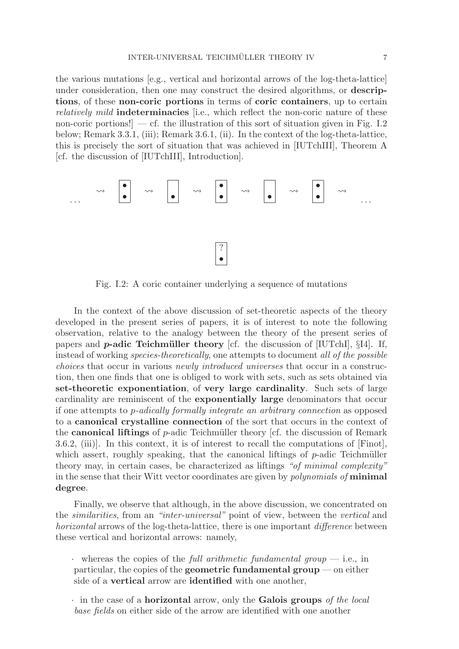the various mutations [e.g., vertical and horizontal arrows of the log-theta-lattice] under consideration, then one may construct the desired algorithms, or **descriptions**, of these **non-coric portions** in terms of **coric containers**, up to certain relatively mild **indeterminacies** [i.e., which reflect the non-coric nature of these non-coric portions!  $\vert$  — cf. the illustration of this sort of situation given in Fig. I.2 below; Remark 3.3.1, (iii); Remark 3.6.1, (ii). In the context of the log-theta-lattice, this is precisely the sort of situation that was achieved in [IUTchIII], Theorem A [cf. the discussion of [IUTchIII], Introduction].



Fig. I.2: A coric container underlying a sequence of mutations

In the context of the above discussion of set-theoretic aspects of the theory developed in the present series of papers, it is of interest to note the following observation, relative to the analogy between the theory of the present series of papers and *p***-adic Teichmüller theory** [cf. the discussion of  $[IUTchI]$ ,  $[I4]$ . If, instead of working species-theoretically, one attempts to document all of the possible choices that occur in various newly introduced universes that occur in a construction, then one finds that one is obliged to work with sets, such as sets obtained via **set-theoretic exponentiation**, of **very large cardinality**. Such sets of large cardinality are reminiscent of the **exponentially large** denominators that occur if one attempts to p-adically formally integrate an arbitrary connection as opposed to a **canonical crystalline connection** of the sort that occurs in the context of the **canonical liftings** of p-adic Teichm¨uller theory [cf. the discussion of Remark 3.6.2, (iii)]. In this context, it is of interest to recall the computations of [Finot], which assert, roughly speaking, that the canonical liftings of  $p$ -adic Teichmüller theory may, in certain cases, be characterized as liftings "of minimal complexity" in the sense that their Witt vector coordinates are given by polynomials of **minimal degree**.

Finally, we observe that although, in the above discussion, we concentrated on the similarities, from an "inter-universal" point of view, between the vertical and horizontal arrows of the log-theta-lattice, there is one important *difference* between these vertical and horizontal arrows: namely,

- whereas the copies of the full arithmetic fundamental group  $-$  i.e., in particular, the copies of the **geometric fundamental group** — on either side of a **vertical** arrow are **identified** with one another,
- · in the case of a **horizontal** arrow, only the **Galois groups** of the local base fields on either side of the arrow are identified with one another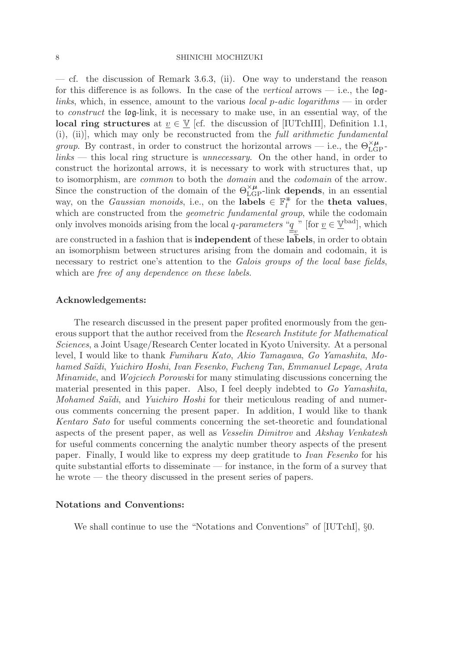— cf. the discussion of Remark 3.6.3, (ii). One way to understand the reason for this difference is as follows. In the case of the vertical arrows  $-$  i.e., the loglinks, which, in essence, amount to the various local p-adic logarithms — in order to construct the log-link, it is necessary to make use, in an essential way, of the **local ring structures** at  $v \in V$  [cf. the discussion of [IUTchIII], Definition 1.1, (i), (ii)], which may only be reconstructed from the full arithmetic fundamental *group*. By contrast, in order to construct the horizontal arrows — i.e., the  $\Theta_{\text{LGP}}^{\times \mu}$ links — this local ring structure is unnecessary. On the other hand, in order to construct the horizontal arrows, it is necessary to work with structures that, up to isomorphism, are common to both the domain and the codomain of the arrow. Since the construction of the domain of the  $\Theta_{\text{LGP}}^{\times \mu}$ -link **depends**, in an essential way, on the *Gaussian monoids*, i.e., on the **labels**  $\in \mathbb{F}_l^*$  for the **theta values**, which are constructed from the *geometric fundamental group*, while the codomain only involves monoids arising from the local q-parameters " $\underline{q}$ " [for  $\underline{v} \in \underline{V}^{\text{bad}}$ ], which are constructed in a fashion that is **independent** of these **labels**, in order to obtain

an isomorphism between structures arising from the domain and codomain, it is necessary to restrict one's attention to the Galois groups of the local base fields, which are *free* of any *dependence* on *these labels.* 

# **Acknowledgements:**

The research discussed in the present paper profited enormously from the generous support that the author received from the Research Institute for Mathematical Sciences, a Joint Usage/Research Center located in Kyoto University. At a personal level, I would like to thank Fumiharu Kato, Akio Tamagawa, Go Yamashita, Mohamed Saïdi, Yuichiro Hoshi, Ivan Fesenko, Fucheng Tan, Emmanuel Lepage, Arata Minamide, and Wojciech Porowski for many stimulating discussions concerning the material presented in this paper. Also, I feel deeply indebted to Go Yamashita, Mohamed Saïdi, and Yuichiro Hoshi for their meticulous reading of and numerous comments concerning the present paper. In addition, I would like to thank Kentaro Sato for useful comments concerning the set-theoretic and foundational aspects of the present paper, as well as Vesselin Dimitrov and Akshay Venkatesh for useful comments concerning the analytic number theory aspects of the present paper. Finally, I would like to express my deep gratitude to Ivan Fesenko for his quite substantial efforts to disseminate — for instance, in the form of a survey that he wrote — the theory discussed in the present series of papers.

# **Notations and Conventions:**

We shall continue to use the "Notations and Conventions" of [IUTchI], §0.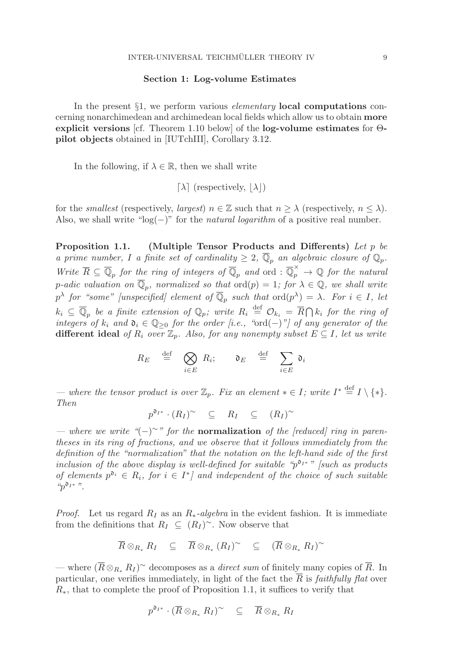## **Section 1: Log-volume Estimates**

In the present §1, we perform various elementary **local computations** concerning nonarchimedean and archimedean local fields which allow us to obtain **more explicit versions** [cf. Theorem 1.10 below] of the **log-volume estimates** for Θ**pilot objects** obtained in [IUTchIII], Corollary 3.12.

In the following, if  $\lambda \in \mathbb{R}$ , then we shall write

 $[\lambda]$  (respectively,  $|\lambda|$ )

for the *smallest* (respectively, *largest*)  $n \in \mathbb{Z}$  such that  $n > \lambda$  (respectively,  $n < \lambda$ ). Also, we shall write "log(−)" for the *natural logarithm* of a positive real number.

**Proposition 1.1. (Multiple Tensor Products and Differents)** Let p be a prime number, I a finite set of cardinality  $\geq 2$ ,  $\overline{\mathbb{Q}}_p$  an algebraic closure of  $\mathbb{Q}_p$ . Write  $\overline{R} \subseteq \overline{\mathbb{Q}}_p$  for the ring of integers of  $\overline{\mathbb{Q}}_p$  and ord :  $\overline{\mathbb{Q}}_p^{\times} \to \mathbb{Q}$  for the natural p-adic valuation on  $\overline{\mathbb{Q}}_p$ , normalized so that  $\text{ord}(p)=1$ ; for  $\lambda \in \mathbb{Q}$ , we shall write  $p^{\lambda}$  for "some" [unspecified] element of  $\overline{\mathbb{Q}}_p$  such that  $\text{ord}(p^{\lambda}) = \lambda$ . For  $i \in I$ , let  $k_i\ \subseteq\ \overline{\mathbb{Q}}_p$  be a finite extension of  $\mathbb{Q}_p$ ; write  $R_i\ \stackrel{\text{def}}{=}\ \mathcal{O}_{k_i}\ =\ \overline{R}\bigcap k_i$  for the ring of integers of  $k_i$  and  $\mathfrak{d}_i \in \mathbb{Q}_{\geq 0}$  for the order [i.e., "ord(-)"] of any generator of the **different ideal** of  $R_i$  over  $\mathbb{Z}_p$ . Also, for any nonempty subset  $E \subseteq I$ , let us write

$$
R_E \stackrel{\text{def}}{=} \bigotimes_{i \in E} R_i; \qquad \mathfrak{d}_E \stackrel{\text{def}}{=} \sum_{i \in E} \mathfrak{d}_i
$$

— where the tensor product is over  $\mathbb{Z}_p$ . Fix an element  $* \in I$ ; write  $I^* \stackrel{\text{def}}{=} I \setminus \{*\}.$ Then

$$
p^{\mathfrak{d}_{I^*}} \cdot (R_I)^{\sim} \subseteq R_I \subseteq (R_I)^{\sim}
$$

— where we write "(−)∼" for the **normalization** of the [reduced] ring in parentheses in its ring of fractions, and we observe that it follows immediately from the definition of the "normalization" that the notation on the left-hand side of the first inclusion of the above display is well-defined for suitable " $p^{0}I^*$ " [such as products of elements  $p^{o_i} \in R_i$ , for  $i \in I^*$  and independent of the choice of such suitable  $"p<sup>∂<sub>I</sub>∗"</sup>$ .

*Proof.* Let us regard  $R_I$  as an  $R_*$ -algebra in the evident fashion. It is immediate from the definitions that  $R_I \subseteq (R_I)^\sim$ . Now observe that

$$
\overline{R} \otimes_{R_*} R_I \quad \subseteq \quad \overline{R} \otimes_{R_*} (R_I)^\sim \quad \subseteq \quad (\overline{R} \otimes_{R_*} R_I)^\sim
$$

— where  $(\overline{R} \otimes_{R_{\ast}} R_I)^{\sim}$  decomposes as a *direct sum* of finitely many copies of  $\overline{R}$ . In particular, one verifies immediately, in light of the fact the  $\overline{R}$  is *faithfully flat* over  $R<sub>*</sub>$ , that to complete the proof of Proposition 1.1, it suffices to verify that

$$
p^{\mathfrak{d}_{I^*}} \cdot (\overline{R} \otimes_{R_*} R_I)^{\sim} \subseteq \overline{R} \otimes_{R_*} R_I
$$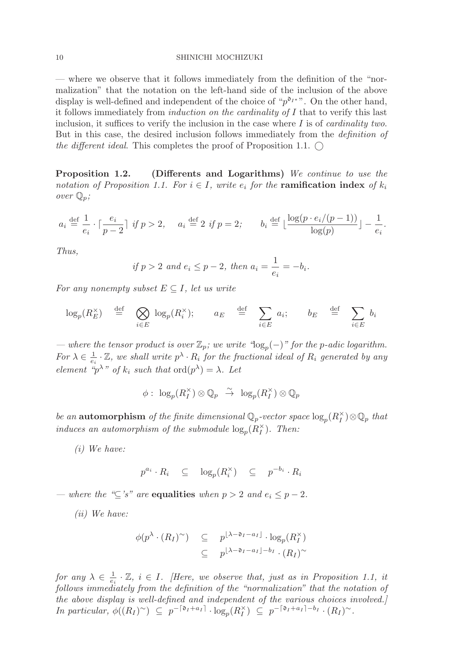— where we observe that it follows immediately from the definition of the "normalization" that the notation on the left-hand side of the inclusion of the above display is well-defined and independent of the choice of " $p^{d}$ <sup>\*</sup>". On the other hand, it follows immediately from induction on the cardinality of I that to verify this last inclusion, it suffices to verify the inclusion in the case where  $I$  is of *cardinality two*. But in this case, the desired inclusion follows immediately from the definition of the different ideal. This completes the proof of Proposition 1.1.  $\bigcirc$ 

**Proposition 1.2. (Differents and Logarithms)** We continue to use the notation of Proposition 1.1. For  $i \in I$ , write  $e_i$  for the **ramification index** of  $k_i$ over  $\mathbb{Q}_p$ ;

$$
a_i \stackrel{\text{def}}{=} \frac{1}{e_i} \cdot \lceil \frac{e_i}{p-2} \rceil \text{ if } p > 2, \quad a_i \stackrel{\text{def}}{=} 2 \text{ if } p = 2; \qquad b_i \stackrel{\text{def}}{=} \lfloor \frac{\log(p \cdot e_i/(p-1))}{\log(p)} \rfloor - \frac{1}{e_i}.
$$

Thus,

if 
$$
p > 2
$$
 and  $e_i \leq p-2$ , then  $a_i = \frac{1}{e_i} = -b_i$ .

For any nonempty subset  $E \subseteq I$ , let us write

$$
\log_p(R_E^{\times}) \stackrel{\text{def}}{=} \bigotimes_{i \in E} \log_p(R_i^{\times}); \quad a_E \stackrel{\text{def}}{=} \sum_{i \in E} a_i; \quad b_E \stackrel{\text{def}}{=} \sum_{i \in E} b_i
$$

— where the tensor product is over  $\mathbb{Z}_p$ ; we write "log<sub>p</sub>(−)" for the p-adic logarithm. For  $\lambda \in \frac{1}{e_i} \cdot \mathbb{Z}$ , we shall write  $p^{\lambda} \cdot R_i$  for the fractional ideal of  $R_i$  generated by any element " $p^{\lambda}$ " of  $k_i$  such that  $\text{ord}(p^{\lambda}) = \lambda$ . Let

$$
\phi: \ \log_p(R_I^\times) \otimes \mathbb{Q}_p \ \stackrel{\sim}{\rightarrow} \ \log_p(R_I^\times) \otimes \mathbb{Q}_p
$$

be an **automorphism** of the finite dimensional  $\mathbb{Q}_p$ -vector space  $\log_p(R_I^{\times}) \otimes \mathbb{Q}_p$  that induces an automorphism of the submodule  $\log_p(R_I^{\times})$ . Then:

(i) We have:

 $p^{a_i} \cdot R_i \quad \subseteq \quad \log_p(R_i^{\times}) \quad \subseteq \quad p^{-b_i} \cdot R_i$ 

— where the " $\subset$ 's" are **equalities** when  $p > 2$  and  $e_i \leq p - 2$ .

(ii) We have:

$$
\begin{array}{rcl}\n\phi(p^{\lambda} \cdot (R_I)^{\sim}) & \subseteq & p^{\lfloor \lambda - \mathfrak{d}_I - a_I \rfloor} \cdot \log_p(R_I^{\times}) \\
& \subseteq & p^{\lfloor \lambda - \mathfrak{d}_I - a_I \rfloor - b_I} \cdot (R_I)^{\sim}\n\end{array}
$$

for any  $\lambda \in \frac{1}{e_i} \cdot \mathbb{Z}$ ,  $i \in I$ . [Here, we observe that, just as in Proposition 1.1, it follows immediately from the definition of the "normalization" that the notation of the above display is well-defined and independent of the various choices involved.] In particular,  $\phi((R_I)^\sim) \subseteq p^{-\lceil \mathfrak{d}_I + a_I \rceil} \cdot \log_p(R_I^\times) \subseteq p^{-\lceil \mathfrak{d}_I + a_I \rceil - b_I} \cdot (R_I)^\sim$ .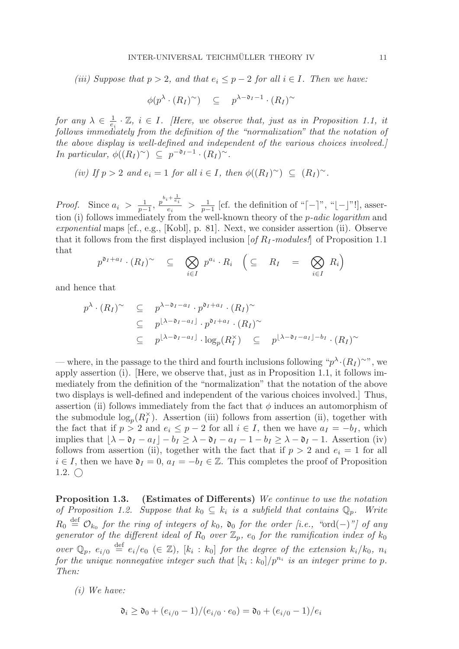(iii) Suppose that  $p > 2$ , and that  $e_i \leq p-2$  for all  $i \in I$ . Then we have:

$$
\phi(p^{\lambda} \cdot (R_I)^{\sim}) \subseteq p^{\lambda - \mathfrak{d}_I - 1} \cdot (R_I)^{\sim}
$$

for any  $\lambda \in \frac{1}{e_i} \cdot \mathbb{Z}$ ,  $i \in I$ . [Here, we observe that, just as in Proposition 1.1, it follows immediately from the definition of the "normalization" that the notation of the above display is well-defined and independent of the various choices involved.] In particular,  $\phi((R_I)^\sim) \subseteq p^{-\mathfrak{d}_I-1} \cdot (R_I)^\sim$ .

$$
(iv) If p > 2 and e_i = 1 for all i \in I, then \phi((R_I)^{\sim}) \subseteq (R_I)^{\sim}.
$$

*Proof.* Since  $a_i > \frac{1}{p-1}$ ,  $\frac{p^{b_i+\frac{1}{e_i}}}{e_i} > \frac{1}{p-1}$  [cf. the definition of "[-]", "[-]"!], assertion (i) follows immediately from the well-known theory of the *p-adic logarithm* and exponential maps [cf., e.g., [Kobl], p. 81]. Next, we consider assertion (ii). Observe that it follows from the first displayed inclusion  $\left[$  of  $R_I$ -modules! of Proposition 1.1 that

$$
p^{\mathfrak{d}_I + a_I} \cdot (R_I)^{\sim} \subseteq \bigotimes_{i \in I} p^{a_i} \cdot R_i \quad \left( \subseteq R_I \quad = \bigotimes_{i \in I} R_i \right)
$$

and hence that

$$
p^{\lambda} \cdot (R_I)^{\sim} \subseteq p^{\lambda - \mathfrak{d}_I - a_I} \cdot p^{\mathfrak{d}_I + a_I} \cdot (R_I)^{\sim}
$$
  
\n
$$
\subseteq p^{[\lambda - \mathfrak{d}_I - a_I]} \cdot p^{\mathfrak{d}_I + a_I} \cdot (R_I)^{\sim}
$$
  
\n
$$
\subseteq p^{[\lambda - \mathfrak{d}_I - a_I]} \cdot \log_p(R_I^{\times}) \subseteq p^{[\lambda - \mathfrak{d}_I - a_I] - b_I} \cdot (R_I)^{\sim}
$$

— where, in the passage to the third and fourth inclusions following " $p^{\lambda} \cdot (R_I)^{\sim}$ ", we apply assertion (i). [Here, we observe that, just as in Proposition 1.1, it follows immediately from the definition of the "normalization" that the notation of the above two displays is well-defined and independent of the various choices involved.] Thus, assertion (ii) follows immediately from the fact that  $\phi$  induces an automorphism of the submodule  $\log_p(R_I^{\times})$ . Assertion (iii) follows from assertion (ii), together with the fact that if  $p > 2$  and  $e_i \leq p - 2$  for all  $i \in I$ , then we have  $a_I = -b_I$ , which implies that  $\lfloor \lambda - \mathfrak{d}_I - a_I \rfloor - b_I \ge \lambda - \mathfrak{d}_I - a_I - 1 - b_I \ge \lambda - \mathfrak{d}_I - 1$ . Assertion (iv) follows from assertion (ii), together with the fact that if  $p > 2$  and  $e_i = 1$  for all  $i \in I$ , then we have  $\mathfrak{d}_I = 0$ ,  $a_I = -b_I \in \mathbb{Z}$ . This completes the proof of Proposition 1.2.  $\bigcirc$ 

**Proposition 1.3.** (Estimates of Differents) We continue to use the notation of Proposition 1.2. Suppose that  $k_0 \subseteq k_i$  is a subfield that contains  $\mathbb{Q}_p$ . Write  $R_0 \stackrel{\text{def}}{=} \mathcal{O}_{k_0}$  for the ring of integers of  $k_0$ ,  $\mathfrak{d}_0$  for the order [i.e., "ord(-)"] of any generator of the different ideal of  $R_0$  over  $\mathbb{Z}_p$ ,  $e_0$  for the ramification index of  $k_0$ over  $\mathbb{Q}_p$ ,  $e_{i/0} \stackrel{\text{def}}{=} e_i/e_0 \ (\in \mathbb{Z})$ ,  $[k_i : k_0]$  for the degree of the extension  $k_i/k_0$ ,  $n_i$ for the unique nonnegative integer such that  $[k_i : k_0]/p^{n_i}$  is an integer prime to p. Then:

(i) We have:

$$
\mathfrak{d}_i \ge \mathfrak{d}_0 + (e_{i/0} - 1)/(e_{i/0} \cdot e_0) = \mathfrak{d}_0 + (e_{i/0} - 1)/e_i
$$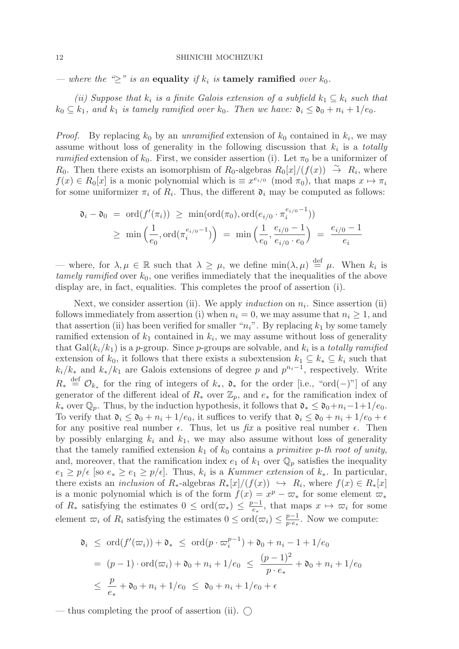— where the " $\geq$ " is an **equality** if  $k_i$  is **tamely ramified** over  $k_0$ .

(ii) Suppose that  $k_i$  is a finite Galois extension of a subfield  $k_1 \subseteq k_i$  such that  $k_0 \subseteq k_1$ , and  $k_1$  is tamely ramified over  $k_0$ . Then we have:  $\mathfrak{d}_i \leq \mathfrak{d}_0 + n_i + 1/e_0$ .

*Proof.* By replacing  $k_0$  by an unramified extension of  $k_0$  contained in  $k_i$ , we may assume without loss of generality in the following discussion that  $k_i$  is a totally ramified extension of  $k_0$ . First, we consider assertion (i). Let  $\pi_0$  be a uniformizer of R<sub>0</sub>. Then there exists an isomorphism of R<sub>0</sub>-algebras  $R_0[x]/(f(x)) \rightarrow R_i$ , where  $f(x) \in R_0[x]$  is a monic polynomial which is  $\equiv x^{e_{i/0}} \pmod{\pi_0}$ , that maps  $x \mapsto \pi_i$ for some uniformizer  $\pi_i$  of  $R_i$ . Thus, the different  $\mathfrak{d}_i$  may be computed as follows:

$$
\mathfrak{d}_i - \mathfrak{d}_0 = \text{ord}(f'(\pi_i)) \ge \min(\text{ord}(\pi_0), \text{ord}(e_{i/0} \cdot \pi_i^{e_{i/0} - 1}))
$$
  
 
$$
\ge \min\left(\frac{1}{e_0}, \text{ord}(\pi_i^{e_{i/0} - 1})\right) = \min\left(\frac{1}{e_0}, \frac{e_{i/0} - 1}{e_{i/0} \cdot e_0}\right) = \frac{e_{i/0} - 1}{e_i}
$$

— where, for  $\lambda, \mu \in \mathbb{R}$  such that  $\lambda \geq \mu$ , we define  $\min(\lambda, \mu) \stackrel{\text{def}}{=} \mu$ . When  $k_i$  is tamely ramified over  $k_0$ , one verifies immediately that the inequalities of the above display are, in fact, equalities. This completes the proof of assertion (i).

Next, we consider assertion (ii). We apply *induction* on  $n_i$ . Since assertion (ii) follows immediately from assertion (i) when  $n_i = 0$ , we may assume that  $n_i \geq 1$ , and that assertion (ii) has been verified for smaller " $n_i$ ". By replacing  $k_1$  by some tamely ramified extension of  $k_1$  contained in  $k_i$ , we may assume without loss of generality that  $Gal(k_i/k_1)$  is a p-group. Since p-groups are solvable, and  $k_i$  is a totally ramified extension of  $k_0$ , it follows that there exists a subextension  $k_1 \subseteq k_* \subseteq k_i$  such that  $k_i/k_*$  and  $k_*/k_1$  are Galois extensions of degree p and  $p^{n_i-1}$ , respectively. Write  $R_* \stackrel{\text{def}}{=} \mathcal{O}_{k_*}$  for the ring of integers of  $k_*, \, \mathfrak{d}_*$  for the order [i.e., "ord(−)"] of any generator of the different ideal of  $R_*$  over  $\mathbb{Z}_p$ , and  $e_*$  for the ramification index of  $k_*$  over  $\mathbb{Q}_p$ . Thus, by the induction hypothesis, it follows that  $\mathfrak{d}_* \leq \mathfrak{d}_0 + n_i - 1 + 1/e_0$ . To verify that  $\mathfrak{d}_i \leq \mathfrak{d}_0 + n_i + 1/e_0$ , it suffices to verify that  $\mathfrak{d}_i \leq \mathfrak{d}_0 + n_i + 1/e_0 + \epsilon$ for any positive real number  $\epsilon$ . Thus, let us  $\hat{H}x$  a positive real number  $\epsilon$ . Then by possibly enlarging  $k_i$  and  $k_1$ , we may also assume without loss of generality that the tamely ramified extension  $k_1$  of  $k_0$  contains a primitive p-th root of unity, and, moreover, that the ramification index  $e_1$  of  $k_1$  over  $\mathbb{Q}_p$  satisfies the inequality  $e_1 \geq p/\epsilon$  [so  $e_* \geq e_1 \geq p/\epsilon$ ]. Thus,  $k_i$  is a *Kummer extension* of  $k_*$ . In particular, there exists an *inclusion* of  $R_*$ -algebras  $R_*[x]/(f(x)) \hookrightarrow R_i$ , where  $f(x) \in R_*[x]$ is a monic polynomial which is of the form  $f(x) = x^p - \overline{\omega}_*$  for some element  $\overline{\omega}_*$ of  $R_*$  satisfying the estimates  $0 \leq \text{ord}(\varpi_*) \leq \frac{p-1}{e_*}$ , that maps  $x \mapsto \varpi_i$  for some element  $\varpi_i$  of  $R_i$  satisfying the estimates  $0 \leq \text{ord}(\varpi_i) \leq \frac{p-1}{p \cdot e_*}$ . Now we compute:

$$
\mathfrak{d}_i \leq \text{ord}(f'(\varpi_i)) + \mathfrak{d}_* \leq \text{ord}(p \cdot \varpi_i^{p-1}) + \mathfrak{d}_0 + n_i - 1 + 1/e_0
$$
\n
$$
= (p-1) \cdot \text{ord}(\varpi_i) + \mathfrak{d}_0 + n_i + 1/e_0 \leq \frac{(p-1)^2}{p \cdot e_*} + \mathfrak{d}_0 + n_i + 1/e_0
$$
\n
$$
\leq \frac{p}{e_*} + \mathfrak{d}_0 + n_i + 1/e_0 \leq \mathfrak{d}_0 + n_i + 1/e_0 + \epsilon
$$

— thus completing the proof of assertion (ii).  $\bigcirc$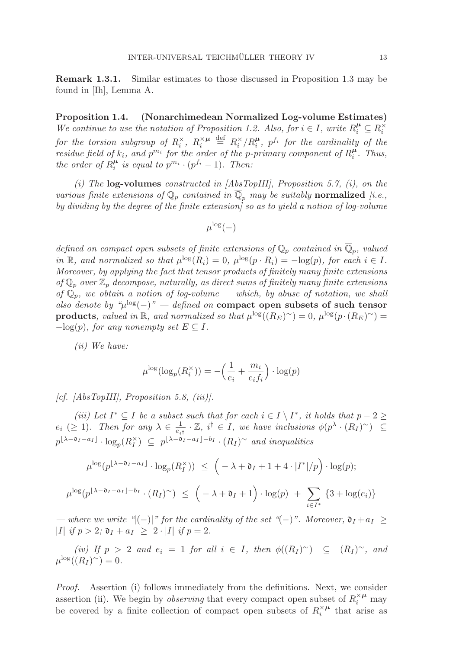**Remark 1.3.1.** Similar estimates to those discussed in Proposition 1.3 may be found in [Ih], Lemma A.

**Proposition 1.4. (Nonarchimedean Normalized Log-volume Estimates)** We continue to use the notation of Proposition 1.2. Also, for  $i \in I$ , write  $R_i^{\mu} \subseteq R_i^{\times}$ for the torsion subgroup of  $R_i^{\times}$ ,  $R_i^{\times \mu}$  $\stackrel{\text{def}}{=} R_i^{\times}/R_i^{\mu}, \ p^{f_i}$  for the cardinality of the residue field of  $k_i$ , and  $p^{m_i}$  for the order of the p-primary component of  $R_i^{\mu}$ . Thus, the order of  $R_i^{\mu}$  is equal to  $p^{m_i} \cdot (p^{f_i} - 1)$ . Then:

(i) The **log-volumes** constructed in [AbsTopIII], Proposition 5.7, (i), on the various finite extensions of  $\mathbb{Q}_p$  contained in  $\overline{\mathbb{Q}}_p$  may be suitably **normalized** [i.e., by dividing by the degree of the finite extension] so as to yield a notion of log-volume

$$
\mu^{\log}(-)
$$

defined on compact open subsets of finite extensions of  $\mathbb{Q}_p$  contained in  $\overline{\mathbb{Q}}_p$ , valued in R, and normalized so that  $\mu^{\log}(R_i)=0$ ,  $\mu^{\log}(p \cdot R_i) = -\log(p)$ , for each  $i \in I$ . Moreover, by applying the fact that tensor products of finitely many finite extensions of  $\mathbb{Q}_p$  over  $\mathbb{Z}_p$  decompose, naturally, as direct sums of finitely many finite extensions of  $\mathbb{Q}_p$ , we obtain a notion of log-volume — which, by abuse of notation, we shall also denote by " $\mu^{\log}(-)$ " — defined on **compact open subsets of such tensor products**, valued in R, and normalized so that  $\mu^{\log}((R_E)^{\sim})=0$ ,  $\mu^{\log}(p \cdot (R_E)^{\sim})=0$  $-\log(p)$ , for any nonempty set  $E \subseteq I$ .

(ii) We have:

$$
\mu^{\log}(\log_p(R_i^{\times})) = -\left(\frac{1}{e_i} + \frac{m_i}{e_if_i}\right) \cdot \log(p)
$$

[cf. [AbsTopIII], Proposition 5.8, (iii)].

(iii) Let  $I^* \subseteq I$  be a subset such that for each  $i \in I \setminus I^*$ , it holds that  $p - 2 \geq$  $e_i$  (≥ 1). Then for any  $\lambda \in \frac{1}{e_{i\uparrow}} \cdot \mathbb{Z}$ ,  $i^{\dagger} \in I$ , we have inclusions  $\phi(p^{\lambda} \cdot (R_I)^{\sim}) \subseteq$  $p^{\lfloor \lambda - \mathfrak{d}_I - a_I \rfloor} \cdot \log_p(R_I^{\times}) \subseteq p^{\lfloor \lambda - \mathfrak{d}_I - a_I \rfloor - b_I} \cdot (R_I)^{\sim}$  and inequalities

$$
\mu^{\log}(p^{\lfloor \lambda - \mathfrak{d}_I - a_I \rfloor} \cdot \log_p(R_I^{\times})) \leq \left( -\lambda + \mathfrak{d}_I + 1 + 4 \cdot |I^*|/p \right) \cdot \log(p);
$$
  

$$
\mu^{\log}(p^{\lfloor \lambda - \mathfrak{d}_I - a_I \rfloor - b_I} \cdot (R_I)^{\sim}) \leq \left( -\lambda + \mathfrak{d}_I + 1 \right) \cdot \log(p) + \sum_{i \in I^*} \{3 + \log(e_i)\}
$$

— where we write " $(-)|$ " for the cardinality of the set " $(-)$ ". Moreover,  $\mathfrak{d}_I + a_I \geq$ |*I*| if  $p > 2$ ;  $\mathfrak{d}_I + a_I \geq 2 \cdot |I|$  if  $p = 2$ .

 $(iv)$  If  $p > 2$  and  $e_i = 1$  for all  $i \in I$ , then  $\phi((R_I)^\sim) \subseteq (R_I)^\sim$ , and  $\mu^{\log}((R_I)^\sim)=0.$ 

Proof. Assertion (i) follows immediately from the definitions. Next, we consider assertion (ii). We begin by *observing* that every compact open subset of  $R_i^{\times \mu}$  may be covered by a finite collection of compact open subsets of  $R_i^{\times \mu}$  that arise as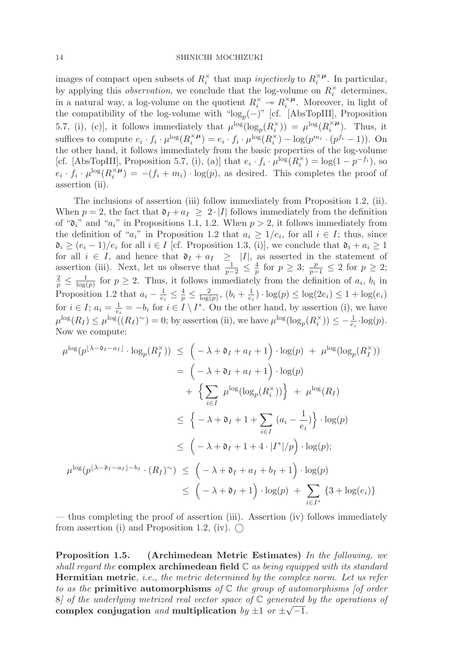images of compact open subsets of  $R_i^{\times}$  that map *injectively* to  $R_i^{\times \mu}$ . In particular, by applying this *observation*, we conclude that the log-volume on  $R_i^{\times}$  determines, in a natural way, a log-volume on the quotient  $R_i^{\times} \to R_i^{\times}$ <sup> $\mu$ </sup>. Moreover, in light of the compatibility of the log-volume with " $log_p(-)$ " [cf. [AbsTopIII], Proposition 5.7, (i), (c)], it follows immediately that  $\mu^{\log}(\log_p(R_i^{\times})) = \mu^{\log}(R_i^{\times \mu})$ . Thus, it suffices to compute  $e_i \cdot f_i \cdot \mu^{\log}(R_i^{\times \mu}) = e_i \cdot f_i \cdot \mu^{\log}(R_i^{\times}) - \log(p^{m_i} \cdot (p^{f_i} - 1)).$  On the other hand, it follows immediately from the basic properties of the log-volume [cf. [AbsTopIII], Proposition 5.7, (i), (a)] that  $e_i \cdot f_i \cdot \mu^{\log}(R_i^{\times}) = \log(1 - p^{-f_i})$ , so  $e_i \cdot f_i \cdot \mu^{\log}(R_i^{\times \mu}) = -(f_i + m_i) \cdot \log(p)$ , as desired. This completes the proof of assertion (ii).

The inclusions of assertion (iii) follow immediately from Proposition 1.2, (ii). When  $p = 2$ , the fact that  $\mathfrak{d}_I + a_I \geq 2 \cdot |I|$  follows immediately from the definition of " $\mathfrak{d}_i$ " and " $a_i$ " in Propositions 1.1, 1.2. When  $p > 2$ , it follows immediately from the definition of " $a_i$ " in Proposition 1.2 that  $a_i \geq 1/e_i$ , for all  $i \in I$ ; thus, since  $\mathfrak{d}_i \geq (e_i - 1)/e_i$  for all  $i \in I$  [cf. Proposition 1.3, (i)], we conclude that  $\mathfrak{d}_i + a_i \geq 1$ for all  $i \in I$ , and hence that  $\mathfrak{d}_I + a_I \geq |I|$ , as asserted in the statement of assertion (iii). Next, let us observe that  $\frac{1}{p-2} \leq \frac{4}{p}$  for  $p \geq 3$ ;  $\frac{p}{p-1} \leq 2$  for  $p \geq 2$ ;  $\frac{2}{p} \leq \frac{1}{\log(p)}$  for  $p \geq 2$ . Thus, it follows immediately from the definition of  $a_i$ ,  $b_i$  in Proposition 1.2 that  $a_i - \frac{1}{e_i} \leq \frac{4}{p} \leq \frac{2}{\log(p)}, (b_i + \frac{1}{e_i}) \cdot \log(p) \leq \log(2e_i) \leq 1 + \log(e_i)$ for  $i \in I$ ;  $a_i = \frac{1}{e_i} = -b_i$  for  $i \in I \setminus I^*$ . On the other hand, by assertion (i), we have  $\mu^{\log}(R_I) \leq \mu^{\log}((R_I)^{\sim}) = 0$ ; by assertion (ii), we have  $\mu^{\log}(\log_p(R_i^{\times})) \leq -\frac{1}{e_i} \cdot \log(p)$ . Now we compute:

$$
\mu^{\log}(p^{\lfloor \lambda - \mathfrak{d}_I - a_I \rfloor} \cdot \log_p(R_I^{\times})) \leq \left( -\lambda + \mathfrak{d}_I + a_I + 1 \right) \cdot \log(p) + \mu^{\log}(\log_p(R_I^{\times}))
$$
  
\n
$$
= \left( -\lambda + \mathfrak{d}_I + a_I + 1 \right) \cdot \log(p)
$$
  
\n
$$
+ \left\{ \sum_{i \in I} \mu^{\log}(\log_p(R_i^{\times})) \right\} + \mu^{\log}(R_I)
$$
  
\n
$$
\leq \left\{ -\lambda + \mathfrak{d}_I + 1 + \sum_{i \in I} (a_i - \frac{1}{e_i}) \right\} \cdot \log(p)
$$
  
\n
$$
\leq \left( -\lambda + \mathfrak{d}_I + 1 + 4 \cdot |I^*|/p \right) \cdot \log(p);
$$
  
\n
$$
\mu^{\log}(p^{\lfloor \lambda - \mathfrak{d}_I - a_I \rfloor - b_I} \cdot (R_I)^{\sim}) \leq \left( -\lambda + \mathfrak{d}_I + a_I + b_I + 1 \right) \cdot \log(p)
$$
  
\n
$$
\leq \left( -\lambda + \mathfrak{d}_I + 1 \right) \cdot \log(p) + \sum_{i \in I^*} \left\{ 3 + \log(e_i) \right\}
$$

— thus completing the proof of assertion (iii). Assertion (iv) follows immediately from assertion (i) and Proposition 1.2, (iv).  $\bigcap$ 

**Proposition 1.5. (Archimedean Metric Estimates)** In the following, we shall regard the **complex archimedean field** C as being equipped with its standard **Hermitian metric**, *i.e.*, the metric determined by the complex norm. Let us refer to as the **primitive automorphisms** of C the group of automorphisms [of order 8) of the underlying metrized real vector space of  $\mathbb C$  generated by the operations of complex conjugation and multiplication by  $\pm 1$  or  $\pm \sqrt{-1}$ .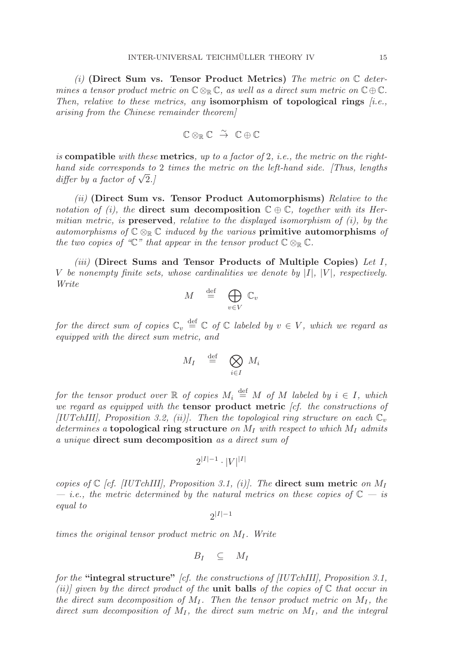(i) **(Direct Sum vs. Tensor Product Metrics)** The metric on C determines a tensor product metric on  $\mathbb{C} \otimes_{\mathbb{R}} \mathbb{C}$ , as well as a direct sum metric on  $\mathbb{C} \oplus \mathbb{C}$ . Then, relative to these metrics, any **isomorphism of topological rings**  $[i.e.,$ arising from the Chinese remainder theorem]

$$
\mathbb{C} \otimes_{\mathbb{R}} \mathbb{C} \stackrel{\sim}{\rightarrow} \mathbb{C} \oplus \mathbb{C}
$$

is **compatible** with these **metrics**, up to a factor of 2, i.e., the metric on the righthand side corresponds to 2 times the metric on the left-hand side. [Thus, lengths differ by a factor of  $\sqrt{2}$ .

(ii) **(Direct Sum vs. Tensor Product Automorphisms)** Relative to the notation of (i), the **direct sum decomposition**  $\mathbb{C} \oplus \mathbb{C}$ , together with its Hermitian metric, is **preserved**, relative to the displayed isomorphism of  $(i)$ , by the automorphisms of  $\mathbb{C} \otimes_{\mathbb{R}} \mathbb{C}$  induced by the various **primitive automorphisms** of the two copies of " $\mathbb{C}$ " that appear in the tensor product  $\mathbb{C} \otimes_{\mathbb{R}} \mathbb{C}$ .

(iii) **(Direct Sums and Tensor Products of Multiple Copies)** Let I, V be nonempty finite sets, whose cardinalities we denote by  $|I|$ ,  $|V|$ , respectively. Write

$$
M \stackrel{\text{def}}{=} \bigoplus_{v \in V} \mathbb{C}_v
$$

for the direct sum of copies  $\mathbb{C}_v \stackrel{\text{def}}{=} \mathbb{C}$  of  $\mathbb{C}$  labeled by  $v \in V$ , which we regard as equipped with the direct sum metric, and

$$
M_I \stackrel{\text{def}}{=} \bigotimes_{i \in I} M_i
$$

for the tensor product over  $\mathbb R$  of copies  $M_i \stackrel{\text{def}}{=} M$  of  $M$  labeled by  $i \in I$ , which we regard as equipped with the **tensor product metric** [cf. the constructions of [IUTchIII], Proposition 3.2, (ii)]. Then the topological ring structure on each  $\mathbb{C}_v$ determines a **topological ring structure** on  $M_I$  with respect to which  $M_I$  admits a unique **direct sum decomposition** as a direct sum of

$$
2^{|I|-1}\cdot |V|^{|I|}
$$

copies of  $\mathbb{C}$  [cf. [IUTchIII], Proposition 3.1, (i)]. The **direct sum metric** on  $M_I$ — *i.e.*, the metric determined by the natural metrics on these copies of  $\mathbb{C}$  — is equal to

 $2|I|-1$ 

times the original tensor product metric on  $M_I$ . Write

$$
B_I \quad \subseteq \quad M_I
$$

for the **"integral structure"** [cf. the constructions of [IUTchIII], Proposition 3.1, (ii)] given by the direct product of the **unit balls** of the copies of  $\mathbb C$  that occur in the direct sum decomposition of  $M<sub>I</sub>$ . Then the tensor product metric on  $M<sub>I</sub>$ , the direct sum decomposition of  $M_I$ , the direct sum metric on  $M_I$ , and the integral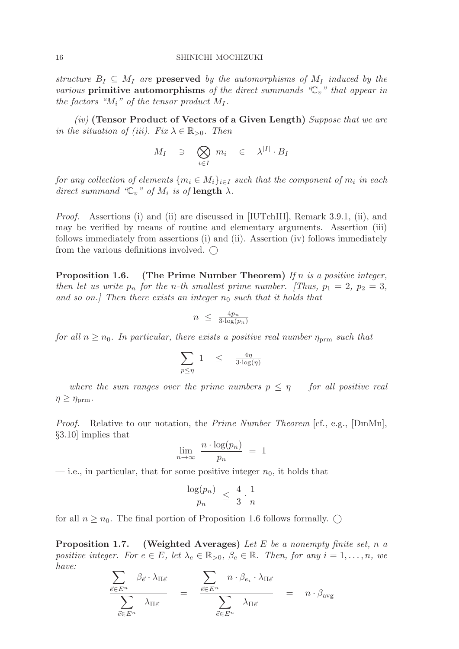structure  $B_I \subseteq M_I$  are **preserved** by the automorphisms of  $M_I$  induced by the various **primitive automorphisms** of the direct summands  $\mathscr{C}_n$ " that appear in the factors " $M_i$ " of the tensor product  $M_I$ .

(iv) **(Tensor Product of Vectors of a Given Length)** Suppose that we are in the situation of (iii). Fix  $\lambda \in \mathbb{R}_{>0}$ . Then

$$
M_I \quad \ni \quad \bigotimes_{i \in I} \ m_i \quad \in \quad \lambda^{|I|} \cdot B_I
$$

for any collection of elements  $\{m_i \in M_i\}_{i \in I}$  such that the component of  $m_i$  in each direct summand " $\mathbb{C}_v$ " of  $M_i$  is of **length**  $\lambda$ .

Proof. Assertions (i) and (ii) are discussed in [IUTchIII], Remark 3.9.1, (ii), and may be verified by means of routine and elementary arguments. Assertion (iii) follows immediately from assertions (i) and (ii). Assertion (iv) follows immediately from the various definitions involved.  $\bigcap$ 

**Proposition 1.6.** (The Prime Number Theorem) If n is a positive integer, then let us write  $p_n$  for the n-th smallest prime number. [Thus,  $p_1 = 2$ ,  $p_2 = 3$ , and so on.] Then there exists an integer  $n_0$  such that it holds that

$$
n \leq \frac{4p_n}{3 \cdot \log(p_n)}
$$

for all  $n \geq n_0$ . In particular, there exists a positive real number  $\eta_{\text{prm}}$  such that

$$
\sum_{p\leq \eta}~ 1\quad \leq\quad \tfrac{4\eta}{3\cdot \log(\eta)}
$$

— where the sum ranges over the prime numbers  $p \le \eta$  — for all positive real  $\eta \geq \eta_{\text{prm}}$ .

Proof. Relative to our notation, the Prime Number Theorem [cf., e.g., [DmMn], §3.10] implies that

$$
\lim_{n \to \infty} \frac{n \cdot \log(p_n)}{p_n} = 1
$$

— i.e., in particular, that for some positive integer  $n_0$ , it holds that

$$
\frac{\log(p_n)}{p_n} \ \leq \ \frac{4}{3} \cdot \frac{1}{n}
$$

for all  $n \geq n_0$ . The final portion of Proposition 1.6 follows formally.  $\bigcirc$ 

**Proposition 1.7.** (Weighted Averages) Let E be a nonempty finite set, n a positive integer. For  $e \in E$ , let  $\lambda_e \in \mathbb{R}_{>0}$ ,  $\beta_e \in \mathbb{R}$ . Then, for any  $i = 1, \ldots, n$ , we have:

$$
\frac{\sum_{\vec{e}\in E^n} \beta_{\vec{e}} \cdot \lambda_{\Pi \vec{e}}}{\sum_{\vec{e}\in E^n} \lambda_{\Pi \vec{e}}} = \frac{\sum_{\vec{e}\in E^n} n \cdot \beta_{e_i} \cdot \lambda_{\Pi \vec{e}}}{\sum_{\vec{e}\in E^n} \lambda_{\Pi \vec{e}}} = n \cdot \beta_{\text{avg}}
$$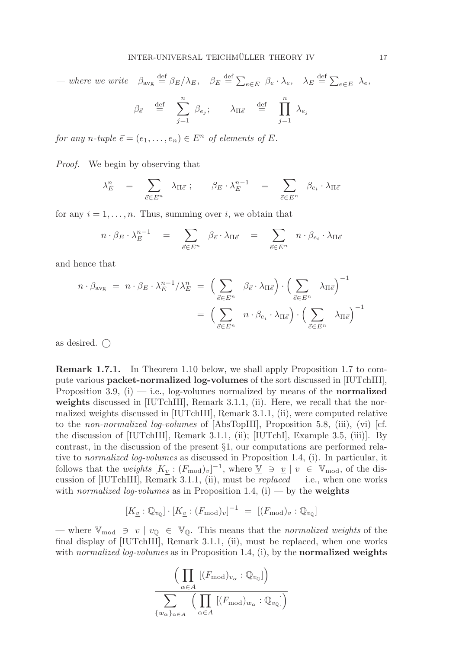— where we write  $\beta_{\text{avg}} \stackrel{\text{def}}{=} \beta_E/\lambda_E$ ,  $\beta_E \stackrel{\text{def}}{=} \sum_{e \in E} \beta_e \cdot \lambda_e$ ,  $\lambda_E \stackrel{\text{def}}{=} \sum_{e \in E} \lambda_e$ ,

$$
\beta_{\vec{e}} \stackrel{\text{def}}{=} \sum_{j=1}^n \beta_{e_j}; \qquad \lambda_{\Pi \vec{e}} \stackrel{\text{def}}{=} \prod_{j=1}^n \lambda_{e_j}
$$

for any n-tuple  $\vec{e} = (e_1, \ldots, e_n) \in E^n$  of elements of E.

Proof. We begin by observing that

$$
\lambda_E^n = \sum_{\vec{e} \in E^n} \lambda_{\Pi \vec{e}} \, ; \qquad \beta_E \cdot \lambda_E^{n-1} = \sum_{\vec{e} \in E^n} \beta_{e_i} \cdot \lambda_{\Pi \vec{e}}
$$

for any  $i = 1, \ldots, n$ . Thus, summing over i, we obtain that

$$
n \cdot \beta_E \cdot \lambda_E^{n-1} = \sum_{\vec{e} \in E^n} \beta_{\vec{e}} \cdot \lambda_{\Pi \vec{e}} = \sum_{\vec{e} \in E^n} n \cdot \beta_{e_i} \cdot \lambda_{\Pi \vec{e}}
$$

and hence that

$$
n \cdot \beta_{\text{avg}} = n \cdot \beta_E \cdot \lambda_E^{n-1} / \lambda_E^n = \left( \sum_{\vec{e} \in E^n} \beta_{\vec{e}} \cdot \lambda_{\Pi \vec{e}} \right) \cdot \left( \sum_{\vec{e} \in E^n} \lambda_{\Pi \vec{e}} \right)^{-1}
$$

$$
= \left( \sum_{\vec{e} \in E^n} n \cdot \beta_{e_i} \cdot \lambda_{\Pi \vec{e}} \right) \cdot \left( \sum_{\vec{e} \in E^n} \lambda_{\Pi \vec{e}} \right)^{-1}
$$

as desired.  $\bigcap$ 

**Remark 1.7.1.** In Theorem 1.10 below, we shall apply Proposition 1.7 to compute various **packet-normalized log-volumes** of the sort discussed in [IUTchIII], Proposition 3.9,  $(i)$  — i.e., log-volumes normalized by means of the **normalized** weights discussed in [IUTchIII], Remark 3.1.1, (ii). Here, we recall that the normalized weights discussed in [IUTchIII], Remark 3.1.1, (ii), were computed relative to the non-normalized log-volumes of [AbsTopIII], Proposition 5.8, (iii), (vi) [cf. the discussion of [IUTchIII], Remark 3.1.1, (ii); [IUTchI], Example 3.5, (iii)]. By contrast, in the discussion of the present §1, our computations are performed relative to normalized log-volumes as discussed in Proposition 1.4, (i). In particular, it follows that the weights  $[K_{\underline{v}} : (F_{\text{mod}})_v]^{-1}$ , where  $\underline{V} \ni \underline{v} | v \in \mathbb{V}_{\text{mod}}$ , of the discussion of [IUTchIII], Remark 3.1.1, (ii), must be  $replaced$  - i.e., when one works with normalized log-volumes as in Proposition 1.4,  $(i)$  — by the **weights** 

$$
[K_{\underline{v}} : \mathbb{Q}_{v_{\mathbb{Q}}}] \cdot [K_{\underline{v}} : (F_{\text{mod}})_v]^{-1} = [(F_{\text{mod}})_v : \mathbb{Q}_{v_{\mathbb{Q}}}]
$$

— where  $\mathbb{V}_{\text{mod}} \ni v \mid v_0 \in \mathbb{V}_{\mathbb{Q}}$ . This means that the normalized weights of the final display of [IUTchIII], Remark 3.1.1, (ii), must be replaced, when one works with normalized log-volumes as in Proposition 1.4, (i), by the **normalized weights**

$$
\frac{\left(\prod_{\alpha \in A} [(F_{\text{mod}})_{v_{\alpha}} : \mathbb{Q}_{v_{\mathbb{Q}}}] \right)}{\sum_{\{w_{\alpha}\}_{\alpha \in A}} \left(\prod_{\alpha \in A} [(F_{\text{mod}})_{w_{\alpha}} : \mathbb{Q}_{v_{\mathbb{Q}}}] \right)}
$$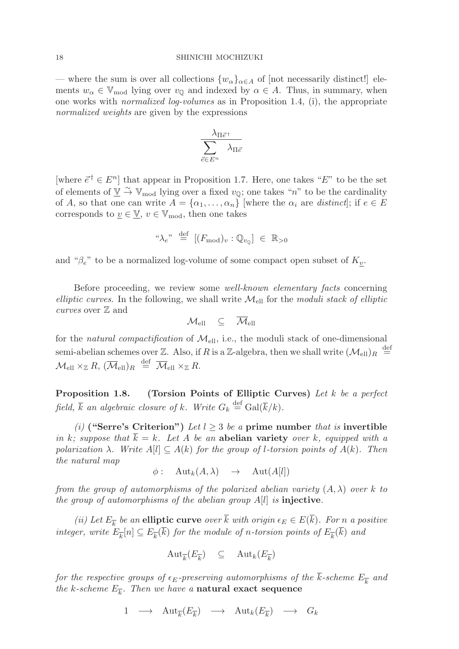— where the sum is over all collections  $\{w_{\alpha}\}_{{\alpha}\in A}$  of [not necessarily distinct!] elements  $w_{\alpha} \in V_{\text{mod}}$  lying over  $v_{\mathbb{Q}}$  and indexed by  $\alpha \in A$ . Thus, in summary, when one works with normalized log-volumes as in Proposition 1.4, (i), the appropriate normalized weights are given by the expressions

$$
\frac{\lambda_{\Pi \vec{e}^\dagger}}{\displaystyle\sum_{\vec{e} \in E^n}\lambda_{\Pi \vec{e}}}
$$

[where  $\vec{e}^{\dagger} \in E^{n}$ ] that appear in Proposition 1.7. Here, one takes "E" to be the set of elements of  $\underline{V} \stackrel{\sim}{\rightarrow} \mathbb{V}_{\text{mod}}$  lying over a fixed  $v_{\overline{Q}}$ ; one takes "n" to be the cardinality of A, so that one can write  $A = {\alpha_1, \ldots, \alpha_n}$  where the  $\alpha_i$  are distinct; if  $e \in E$ corresponds to  $\underline{v} \in \underline{\mathbb{V}}$ ,  $v \in \mathbb{V}_{\text{mod}}$ , then one takes

$$
\text{``}\lambda_e\text{''}\stackrel{\text{def}}{=}\left[(F_{\text{mod}})_v:\mathbb{Q}_{v_{\mathbb{Q}}}\right]\ \in\ \mathbb{R}_{>0}
$$

and " $\beta_e$ " to be a normalized log-volume of some compact open subset of  $K_v$ .

Before proceeding, we review some well-known elementary facts concerning elliptic curves. In the following, we shall write  $\mathcal{M}_{\text{ell}}$  for the moduli stack of elliptic curves over  $\mathbb Z$  and

$$
\mathcal{M}_{\text{ell}} \quad \subseteq \quad \overline{\mathcal{M}}_{\text{ell}}
$$

for the natural compactification of  $\mathcal{M}_{ell}$ , i.e., the moduli stack of one-dimensional semi-abelian schemes over Z. Also, if R is a Z-algebra, then we shall write  $(\mathcal{M}_{ell})_R \stackrel{\text{def}}{=}$  $\mathcal{M}_{\text{ell}} \times_{\mathbb{Z}} R$ ,  $(\overline{\mathcal{M}}_{\text{ell}})_R \stackrel{\text{def}}{=} \overline{\mathcal{M}}_{\text{ell}} \times_{\mathbb{Z}} R$ .

**Proposition 1.8. (Torsion Points of Elliptic Curves)** Let k be a perfect field,  $\overline{k}$  an algebraic closure of k. Write  $G_k \stackrel{\text{def}}{=} \text{Gal}(\overline{k}/k)$ .

(i) **("Serre's Criterion")** Let  $l > 3$  be a prime number that is invertible in k; suppose that  $\overline{k} = k$ . Let A be an **abelian variety** over k, equipped with a polarization  $\lambda$ . Write  $A[l] \subseteq A(k)$  for the group of *l*-torsion points of  $A(k)$ . Then the natural map

$$
\phi: \quad \operatorname{Aut}_k(A,\lambda) \quad \to \quad \operatorname{Aut}(A[l])
$$

from the group of automorphisms of the polarized abelian variety  $(A, \lambda)$  over k to the group of automorphisms of the abelian group A[l] is **injective**.

(ii) Let  $E_{\overline{k}}$  be an **elliptic curve** over  $\overline{k}$  with origin  $\epsilon_E \in E(\overline{k})$ . For n a positive integer, write  $E_{\overline{k}}[n] \subseteq E_{\overline{k}}(\overline{k})$  for the module of n-torsion points of  $E_{\overline{k}}(\overline{k})$  and

$$
\mathrm{Aut}_{\overline{k}}(E_{\overline{k}}) \subseteq \mathrm{Aut}_{k}(E_{\overline{k}})
$$

for the respective groups of  $\epsilon_E$ -preserving automorphisms of the  $\overline{k}$ -scheme  $E_{\overline{k}}$  and the k-scheme  $E_{\overline{k}}$ . Then we have a **natural exact sequence** 

$$
1 \longrightarrow \text{Aut}_{\overline{k}}(E_{\overline{k}}) \longrightarrow \text{Aut}_{k}(E_{\overline{k}}) \longrightarrow G_{k}
$$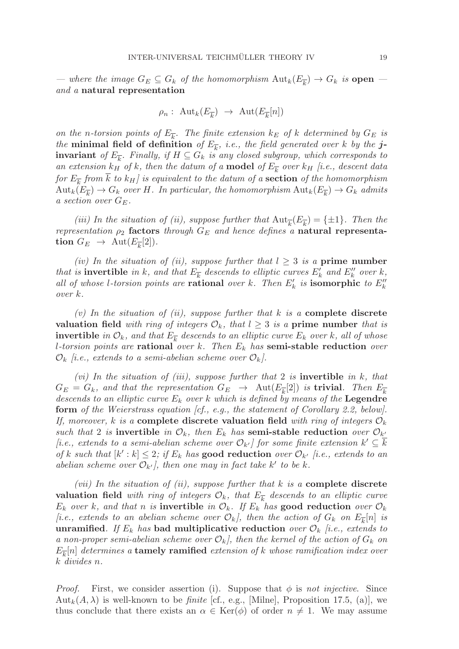— where the image  $G_E \subseteq G_k$  of the homomorphism  ${\rm Aut}_k(E_{\overline{k}}) \to G_k$  is **open** and a **natural representation**

$$
\rho_n: \operatorname{Aut}_k(E_{\overline{k}}) \to \operatorname{Aut}(E_{\overline{k}}[n])
$$

on the n-torsion points of  $E_{\overline{k}}$ . The finite extension  $k_E$  of k determined by  $G_E$  is the **minimal field of definition** of  $E_{\overline{k}}$ , *i.e.*, the field generated over k by the **jinvariant** of  $E_{\overline{k}}$ . Finally, if  $H \subseteq G_k$  is any closed subgroup, which corresponds to an extension  $k_H$  of k, then the datum of a **model** of  $E_{\overline{k}}$  over  $k_H$  [i.e., descent data for  $E_{\overline{k}}$  from  $\overline{k}$  to  $k_H$  is equivalent to the datum of a **section** of the homomorphism  $\text{Aut}_k(E_{\overline{k}}) \to G_k$  over H. In particular, the homomorphism  $\text{Aut}_k(E_{\overline{k}}) \to G_k$  admits a section over  $G_E$ .

(iii) In the situation of (ii), suppose further that  $Aut_{\overline{k}}(E_{\overline{k}}) = {\pm 1}$ . Then the representation  $\rho_2$  factors through  $G_E$  and hence defines a **natural representation**  $G_E \rightarrow \text{Aut}(E_{\overline{k}}[2]).$ 

(iv) In the situation of (ii), suppose further that  $l > 3$  is a **prime number** that is **invertible** in k, and that  $E_{\overline{k}}$  descends to elliptic curves  $E'_k$  and  $E''_k$  over k, all of whose *l*-torsion points are **rational** over k. Then  $E'_k$  is **isomorphic** to  $E''_k$ over k.

(v) In the situation of (ii), suppose further that k is a **complete discrete valuation field** with ring of integers  $\mathcal{O}_k$ , that  $l \geq 3$  is a **prime number** that is **invertible** in  $\mathcal{O}_k$ , and that  $E_{\overline{k}}$  descends to an elliptic curve  $E_k$  over k, all of whose l-torsion points are **rational** over k. Then E<sup>k</sup> has **semi-stable reduction** over  $\mathcal{O}_k$  [i.e., extends to a semi-abelian scheme over  $\mathcal{O}_k$ ].

(vi) In the situation of (iii), suppose further that 2 is **invertible** in k, that  $G_E = G_k$ , and that the representation  $G_E \rightarrow \text{Aut}(E_{\overline{k}}[2])$  is **trivial**. Then  $E_{\overline{k}}$ descends to an elliptic curve E<sup>k</sup> over k which is defined by means of the **Legendre form** of the Weierstrass equation [cf., e.g., the statement of Corollary 2.2, below]. If, moreover, k is a **complete discrete valuation field** with ring of integers  $\mathcal{O}_k$ such that 2 is **invertible** in  $\mathcal{O}_k$ , then  $E_k$  has **semi-stable reduction** over  $\mathcal{O}_{k'}$ [i.e., extends to a semi-abelian scheme over  $\mathcal{O}_{k'}$ ] for some finite extension  $k' \subseteq k$ of k such that  $[k' : k] \leq 2$ ; if  $E_k$  has **good reduction** over  $\mathcal{O}_{k'}$  [i.e., extends to an abelian scheme over  $\mathcal{O}_{k'}$ , then one may in fact take k' to be k.

(vii) In the situation of (ii), suppose further that k is a **complete discrete valuation field** with ring of integers  $\mathcal{O}_k$ , that  $E_k$  descends to an elliptic curve  $E_k$  over k, and that n is **invertible** in  $\mathcal{O}_k$ . If  $E_k$  has **good reduction** over  $\mathcal{O}_k$ [i.e., extends to an abelian scheme over  $\mathcal{O}_k$ ], then the action of  $G_k$  on  $E_{\overline{k}}[n]$  is **unramified**. If  $E_k$  has **bad multiplicative reduction** over  $\mathcal{O}_k$  [i.e., extends to a non-proper semi-abelian scheme over  $\mathcal{O}_k$ , then the kernel of the action of  $G_k$  on  $E_{\overline{k}}[n]$  determines a **tamely ramified** extension of k whose ramification index over k divides n.

*Proof.* First, we consider assertion (i). Suppose that  $\phi$  is not injective. Since  $\text{Aut}_k(A, \lambda)$  is well-known to be *finite* [cf., e.g., [Milne], Proposition 17.5, (a)], we thus conclude that there exists an  $\alpha \in \text{Ker}(\phi)$  of order  $n \neq 1$ . We may assume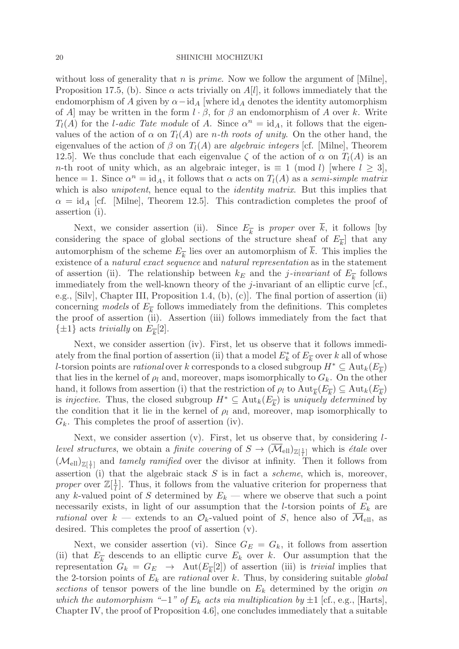without loss of generality that n is *prime*. Now we follow the argument of  $[\text{Milne}]$ , Proposition 17.5, (b). Since  $\alpha$  acts trivially on  $A[l]$ , it follows immediately that the endomorphism of A given by  $\alpha$  – id<sub>A</sub> [where id<sub>A</sub> denotes the identity automorphism of A] may be written in the form  $l \cdot \beta$ , for  $\beta$  an endomorphism of A over k. Write  $T_l(A)$  for the *l*-adic Tate module of A. Since  $\alpha^n = id_A$ , it follows that the eigenvalues of the action of  $\alpha$  on  $T_l(A)$  are *n*-th roots of unity. On the other hand, the eigenvalues of the action of  $\beta$  on  $T_l(A)$  are algebraic integers [cf. [Milne], Theorem 12.5]. We thus conclude that each eigenvalue  $\zeta$  of the action of  $\alpha$  on  $T_l(A)$  is an n-th root of unity which, as an algebraic integer, is  $\equiv 1 \pmod{l}$  [where  $l \geq 3$ ], hence = 1. Since  $\alpha^n = id_A$ , it follows that  $\alpha$  acts on  $T_l(A)$  as a semi-simple matrix which is also *unipotent*, hence equal to the *identity matrix*. But this implies that  $\alpha = \text{id}_{A}$  [cf. [Milne], Theorem 12.5]. This contradiction completes the proof of assertion (i).

Next, we consider assertion (ii). Since  $E_{\overline{k}}$  is proper over  $\overline{k}$ , it follows [by considering the space of global sections of the structure sheaf of  $E_{\overline{k}}$  that any automorphism of the scheme  $E_{\overline{k}}$  lies over an automorphism of  $\overline{k}$ . This implies the existence of a natural exact sequence and natural representation as in the statement of assertion (ii). The relationship between  $k_E$  and the *j*-invariant of  $E_{\overline{k}}$  follows immediately from the well-known theory of the j-invariant of an elliptic curve [cf., e.g., [Silv], Chapter III, Proposition 1.4, (b), (c)]. The final portion of assertion (ii) concerning models of  $E_{\overline{k}}$  follows immediately from the definitions. This completes the proof of assertion (ii). Assertion (iii) follows immediately from the fact that  $\{\pm 1\}$  acts trivially on  $E_{\overline{k}}[2]$ .

Next, we consider assertion (iv). First, let us observe that it follows immediately from the final portion of assertion (ii) that a model  $E_k^*$  of  $E_{\overline{k}}$  over k all of whose l-torsion points are *rational* over k corresponds to a closed subgroup  $H^* \subseteq \text{Aut}_k(E_{\overline{k}})$ that lies in the kernel of  $\rho_l$  and, moreover, maps isomorphically to  $G_k$ . On the other hand, it follows from assertion (i) that the restriction of  $\rho_l$  to  $\text{Aut}_{\overline{k}}(E_{\overline{k}}) \subseteq \text{Aut}_{k}(E_{\overline{k}})$ is injective. Thus, the closed subgroup  $H^* \subseteq \text{Aut}_k(E_{\overline{k}})$  is uniquely determined by the condition that it lie in the kernel of  $\rho_l$  and, moreover, map isomorphically to  $G_k$ . This completes the proof of assertion (iv).

Next, we consider assertion  $(v)$ . First, let us observe that, by considering  $l$ *level structures*, we obtain a *finite covering* of  $S \to (\overline{\mathcal{M}}_{ell})_{\mathbb{Z}[\frac{1}{l}]}$  which is *étale* over  $(\mathcal{M}_{ell})_{\mathbb{Z}[\frac{1}{l}]}$  and tamely ramified over the divisor at infinity. Then it follows from assertion (i) that the algebraic stack  $S$  is in fact a *scheme*, which is, moreover, proper over  $\mathbb{Z}[\frac{1}{l}]$ . Thus, it follows from the valuative criterion for properness that any k-valued point of S determined by  $E_k$  — where we observe that such a point necessarily exists, in light of our assumption that the *l*-torsion points of  $E_k$  are rational over  $k$  — extends to an  $\mathcal{O}_k$ -valued point of S, hence also of  $\overline{\mathcal{M}}_{ell}$ , as desired. This completes the proof of assertion (v).

Next, we consider assertion (vi). Since  $G_E = G_k$ , it follows from assertion (ii) that  $E_{\overline{k}}$  descends to an elliptic curve  $E_k$  over k. Our assumption that the representation  $G_k = G_E \rightarrow \text{Aut}(E_{\overline{k}}[2])$  of assertion (iii) is *trivial* implies that the 2-torsion points of  $E_k$  are *rational* over k. Thus, by considering suitable *global* sections of tensor powers of the line bundle on  $E_k$  determined by the origin on which the automorphism " $-1$ " of  $E_k$  acts via multiplication by  $\pm 1$  [cf., e.g., [Harts], Chapter IV, the proof of Proposition 4.6], one concludes immediately that a suitable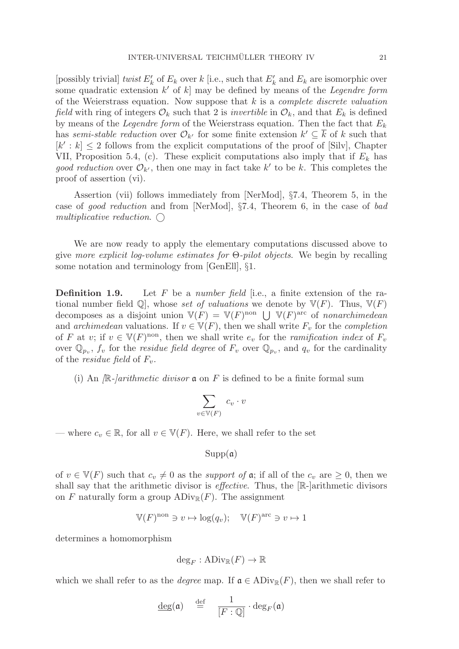[possibly trivial] twist  $E'_k$  of  $E_k$  over k [i.e., such that  $E'_k$  and  $E_k$  are isomorphic over some quadratic extension  $k'$  of k] may be defined by means of the *Legendre form* of the Weierstrass equation. Now suppose that  $k$  is a *complete discrete valuation* field with ring of integers  $\mathcal{O}_k$  such that 2 is *invertible* in  $\mathcal{O}_k$ , and that  $E_k$  is defined by means of the *Legendre form* of the Weierstrass equation. Then the fact that  $E_k$ has semi-stable reduction over  $\mathcal{O}_{k'}$  for some finite extension  $k' \subseteq \overline{k}$  of k such that  $[k': k] \leq 2$  follows from the explicit computations of the proof of [Silv], Chapter VII, Proposition 5.4, (c). These explicit computations also imply that if  $E_k$  has good reduction over  $\mathcal{O}_{k'}$ , then one may in fact take k' to be k. This completes the proof of assertion (vi).

Assertion (vii) follows immediately from [NerMod], §7.4, Theorem 5, in the case of good reduction and from [NerMod], §7.4, Theorem 6, in the case of bad multiplicative reduction.  $\bigcap$ 

We are now ready to apply the elementary computations discussed above to give more explicit log-volume estimates for Θ-pilot objects. We begin by recalling some notation and terminology from [GenEll], §1.

**Definition 1.9.** Let F be a number field [i.e., a finite extension of the rational number field  $\mathbb{Q}$ , whose set of valuations we denote by  $\mathbb{V}(F)$ . Thus,  $\mathbb{V}(F)$ decomposes as a disjoint union  $V(F) = V(F)^{non} \bigcup V(F)^{arc}$  of nonarchimedean and archimedean valuations. If  $v \in V(F)$ , then we shall write  $F_v$  for the completion of F at v; if  $v \in V(F)$ <sup>non</sup>, then we shall write  $e_v$  for the *ramification index* of  $F_v$ over  $\mathbb{Q}_{p_v}$ ,  $f_v$  for the *residue field degree* of  $F_v$  over  $\mathbb{Q}_{p_v}$ , and  $q_v$  for the cardinality of the *residue field* of  $F_v$ .

(i) An  $\mathbb{R}$ -*larithmetic divisor*  $\mathfrak{a}$  on F is defined to be a finite formal sum

$$
\sum_{v \in \mathbb{V}(F)} c_v \cdot v
$$

— where  $c_v \in \mathbb{R}$ , for all  $v \in V(F)$ . Here, we shall refer to the set

 $Supp(a)$ 

of  $v \in V(F)$  such that  $c_v \neq 0$  as the *support of*  $\mathfrak{a}$ ; if all of the  $c_v$  are  $\geq 0$ , then we shall say that the arithmetic divisor is *effective*. Thus, the  $[\mathbb{R}\text{-}]\text{arithmetic divisors}$ on F naturally form a group  $\mathrm{ADiv}_{\mathbb{R}}(F)$ . The assignment

$$
\mathbb{V}(F)^{\text{non}} \ni v \mapsto \log(q_v); \quad \mathbb{V}(F)^{\text{arc}} \ni v \mapsto 1
$$

determines a homomorphism

$$
\deg_F : \mathrm{ADiv}_{\mathbb{R}}(F) \to \mathbb{R}
$$

which we shall refer to as the *degree* map. If  $\mathfrak{a} \in ADiv_{\mathbb{R}}(F)$ , then we shall refer to

$$
\underline{\deg}(\mathfrak{a}) \quad \stackrel{\text{def}}{=} \quad \frac{1}{[F:\mathbb{Q}]} \cdot \deg_F(\mathfrak{a})
$$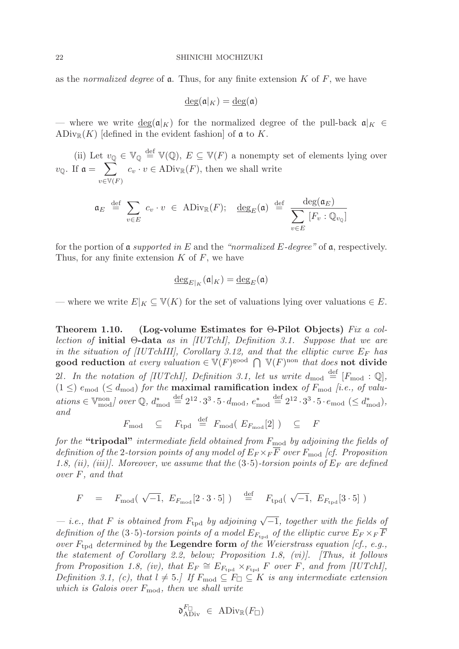as the normalized degree of  $\alpha$ . Thus, for any finite extension K of F, we have

$$
\underline{\deg}(\mathfrak{a}|_K) = \underline{\deg}(\mathfrak{a})
$$

— where we write  $\deg(\mathfrak{a}|_K)$  for the normalized degree of the pull-back  $\mathfrak{a}|_K \in$  $\mathrm{ADiv}_{\mathbb{R}}(K)$  [defined in the evident fashion] of  $\mathfrak a$  to K.

(ii) Let  $\underline{v}_{\mathbb{Q}} \in \mathbb{V}_{\mathbb{Q}} \stackrel{\text{def}}{=} \mathbb{V}(\mathbb{Q}), E \subseteq \mathbb{V}(F)$  a nonempty set of elements lying over  $v_{\mathbb{Q}}$ . If  $\mathfrak{a} = \sum$  $v\in V(F)$  $c_v \cdot v \in \text{ADiv}_{\mathbb{R}}(F)$ , then we shall write

$$
\mathfrak{a}_E \stackrel{\text{def}}{=} \sum_{v \in E} c_v \cdot v \in \text{ADiv}_{\mathbb{R}}(F); \quad \underline{\text{deg}}_E(\mathfrak{a}) \stackrel{\text{def}}{=} \frac{\text{deg}(\mathfrak{a}_E)}{\sum_{v \in E} [F_v : \mathbb{Q}_{v_{\mathbb{Q}}}]}
$$

for the portion of a supported in E and the "normalized E-degree" of  $\mathfrak{a}$ , respectively. Thus, for any finite extension  $K$  of  $F$ , we have

$$
\underline{\deg}_{E|_K}(\mathfrak{a}|_K) = \underline{\deg}_E(\mathfrak{a})
$$

— where we write  $E|_K \subseteq V(K)$  for the set of valuations lying over valuations  $\in E$ .

**Theorem 1.10. (Log-volume Estimates for** Θ**-Pilot Objects)** Fix a collection of **initial** Θ**-data** as in [IUTchI], Definition 3.1. Suppose that we are in the situation of [IUTchIII], Corollary 3.12, and that the elliptic curve  $E_F$  has good reduction at every valuation  $\in V(F)_{\text{good}} \cap V(F)_{\text{non that does not divide}}$ 2l. In the notation of [IUTchI], Definition 3.1, let us write  $d_{\text{mod}} \stackrel{\text{def}}{=} [F_{\text{mod}} : \mathbb{Q}],$  $(1 \leq)$   $e_{\text{mod}} \leq d_{\text{mod}}$  for the **maximal ramification index** of  $F_{\text{mod}}$  [i.e., of valu $ations \in \mathbb{V}_{\text{mod}}^{\text{non}}$  over  $\mathbb{Q}$ ,  $d_{\text{mod}}^* \stackrel{\text{def}}{=} 2^{12} \cdot 3^3 \cdot 5 \cdot d_{\text{mod}}$ ,  $e_{\text{mod}}^* \stackrel{\text{def}}{=} 2^{12} \cdot 3^3 \cdot 5 \cdot e_{\text{mod}} \ (\leq d_{\text{mod}}^*)$ , and

$$
F_{\text{mod}} \subseteq F_{\text{tpd}} \stackrel{\text{def}}{=} F_{\text{mod}} (E_{F_{\text{mod}}}[2]) \subseteq F
$$

for the "tripodal" intermediate field obtained from  $F_{\text{mod}}$  by adjoining the fields of definition of the 2-torsion points of any model of  $E_F \times_F \overline{F}$  over  $F_{\text{mod}}$  [cf. Proposition 1.8, (ii), (iii)]. Moreover, we assume that the  $(3.5)$ -torsion points of  $E_F$  are defined over F, and that

$$
F = F_{\text{mod}}(\sqrt{-1}, E_{F_{\text{mod}}}[2 \cdot 3 \cdot 5]) = \stackrel{\text{def}}{=} F_{\text{tpd}}(\sqrt{-1}, E_{F_{\text{tpd}}}[3 \cdot 5])
$$

 $-$  i.e., that F is obtained from  $F_{\text{tpd}}$  by adjoining  $\sqrt{-1}$ , together with the fields of definition of the (3.5)-torsion points of a model  $E_{F_{\text{tnd}}}$  of the elliptic curve  $E_F \times_F F$ over  $F_{\text{tnd}}$  determined by the **Legendre form** of the Weierstrass equation [cf., e.g., the statement of Corollary 2.2, below; Proposition 1.8, (vi)]. [Thus, it follows from Proposition 1.8, (iv), that  $E_F \cong E_{F_{\text{tpd}}} \times_{F_{\text{tpd}}} F$  over F, and from [IUTchI], Definition 3.1, (c), that  $l \neq 5$ . If  $F_{\text{mod}} \subseteq F_{\square} \subseteq K$  is any intermediate extension which is Galois over  $F_{\text{mod}}$ , then we shall write

$$
\mathfrak{d}^{F_\square}_{\mathrm{ADiv}}\ \in\ \mathrm{ADiv}_\mathbb{R}(F_\square)
$$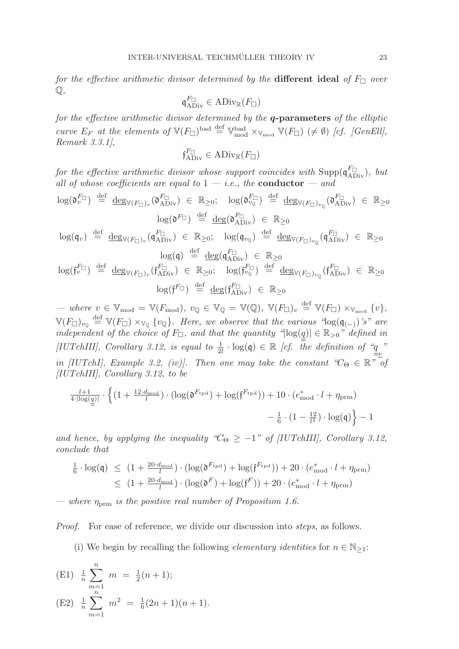for the effective arithmetic divisor determined by the **different ideal** of  $F_{\Box}$  over  $\mathbb{O},$ 

$$
\mathfrak{q}^{F_\square}_{\mathrm{ADiv}}\in\mathrm{ADiv}_\mathbb{R}(F_\square)
$$

for the effective arithmetic divisor determined by the *q***-parameters** of the elliptic curve  $E_F$  at the elements of  $\mathbb{V}(F_{\Box})^{\text{bad}} \stackrel{\text{def}}{=} \mathbb{V}_{\text{mod}}^{\text{bad}} \times_{\mathbb{V}_{\text{mod}}} \mathbb{V}(F_{\Box}) \neq \emptyset$  [cf. [GenEll], Remark 3.3.1],

$$
\mathfrak{f}^{F_\square}_{\mathrm{ADiv}}\in\mathrm{ADiv}_\mathbb{R}(F_\square)
$$

for the effective arithmetic divisor whose support coincides with  $\text{Supp}(\mathfrak{q}_{\text{ADiv}}^{F_{\Box}})$ , but all of whose coefficients are equal to  $1 - i.e.,$  the **conductor**  $-$  and

$$
\log(\mathfrak{d}_{v}^{F_{\Box}}) \stackrel{\text{def}}{=} \frac{\deg_{\mathbb{V}(F_{\Box})_{v}}(\mathfrak{d}_{\mathrm{ADiv}}^{F_{\Box}}) \in \mathbb{R}_{\geq 0}; \quad \log(\mathfrak{d}_{v_{\mathbb{Q}}}^{F_{\Box}}) \stackrel{\text{def}}{=} \frac{\deg_{\mathbb{V}(F_{\Box})_{v_{\mathbb{Q}}}}(\mathfrak{d}_{\mathrm{ADiv}}^{F_{\Box}}) \in \mathbb{R}_{\geq 0}
$$
\n
$$
\log(\mathfrak{q}_{v}) \stackrel{\text{def}}{=} \frac{\deg(\mathfrak{d}_{v_{\mathbb{Q}}})_{v_{\mathbb{Q}}}(\mathfrak{d}_{\mathrm{ADiv}}^{F_{\Box}}) \in \mathbb{R}_{\geq 0}; \quad \log(\mathfrak{q}_{v_{\mathbb{Q}}}) \stackrel{\text{def}}{=} \frac{\deg(\mathfrak{d}_{v_{\mathbb{Q}}})_{v_{\mathbb{Q}}}(\mathfrak{d}_{\mathrm{ADiv}}^{F_{\Box}}) \in \mathbb{R}_{\geq 0}
$$
\n
$$
\log(\mathfrak{q}) \stackrel{\text{def}}{=} \frac{\deg(\mathfrak{q}_{\mathrm{ADiv}}^{F_{\Box}}) \in \mathbb{R}_{\geq 0}}{\deg(\mathfrak{d}_{\mathrm{ADiv}}^{F_{\Box}}) \in \mathbb{R}_{\geq 0}} \log(\mathfrak{f}_{v_{\mathbb{Q}}}^{F_{\Box}}) \stackrel{\text{def}}{=} \frac{\deg(\mathfrak{d}_{v_{\mathbb{Q}}})_{v_{\mathbb{Q}}}(\mathfrak{d}_{\mathrm{ADiv}}^{F_{\Box}}) \in \mathbb{R}_{\geq 0}}{\log(\mathfrak{f}_{v_{\mathbb{Q}}}^{F_{\Box}}) \stackrel{\text{def}}{=} \frac{\deg(\mathfrak{d}_{v_{\mathbb{Q}}})_{v_{\mathbb{Q}}}(\mathfrak{f}_{\mathrm{ADiv}}^{F_{\Box}}) \in \mathbb{R}_{\geq 0}}
$$

$$
\log(\mathfrak{f}^{F_\Box})\ \stackrel{\text{def}}{=}\ \underline{\deg}(\mathfrak{f}^{F_\Box}_{\text{ADiv}})\ \in\ \mathbb{R}_{\geq 0}
$$

 $\begin{aligned}\n\mathcal{L} \cdot \mathcal{L} \cdot \mathcal{L} \cdot \mathcal{L} \cdot \mathcal{L} \cdot \mathcal{L} \cdot \mathcal{L} \cdot \mathcal{L} \cdot \mathcal{L} \cdot \mathcal{L} \cdot \mathcal{L} \cdot \mathcal{L} \cdot \mathcal{L} \cdot \mathcal{L} \cdot \mathcal{L} \cdot \mathcal{L} \cdot \mathcal{L} \cdot \mathcal{L} \cdot \mathcal{L} \cdot \mathcal{L} \cdot \mathcal{L} \cdot \mathcal{L} \cdot \mathcal{L} \cdot \mathcal{L} \cdot \mathcal{L} \cdot \mathcal{L} \cdot \mathcal{L$  $\mathbb{V}(F_{\Box})_{v_{\mathbb{Q}}}\stackrel{\text{def}}{=} \mathbb{V}(F_{\Box})\times_{\mathbb{V}_{\mathbb{Q}}}\{v_{\mathbb{Q}}\}\$ . Here, we observe that the various " $\log(\mathfrak{q}_{(-)})$ 's" are independent of the choice of  $F_{\Box}$ , and that the quantity " $|\log(\underline{q})| \in \mathbb{R}_{>0}$ " defined in [IUTchIII], Corollary 3.12, is equal to  $\frac{1}{2l} \cdot \log(q) \in \mathbb{R}$  [cf. the definition of  $\frac{q}{m}$ " in [IUTchI], Example 3.2, (iv)]. Then one may take the constant  $^{\circ}C_{\Theta} \in \mathbb{R}^{n}$  of [IUTchIII], Corollary 3.12, to be

$$
\frac{l+1}{4\cdot \lvert \log(\underline{q}) \rvert}\cdot \left\{ (1+\frac{12\cdot d_{\text{mod}}}{l}) \cdot (\log(\mathfrak{d}^{F_{\text{tpd}}})+\log(\mathfrak{f}^{F_{\text{tpd}}})) + 10\cdot (e_{\text{mod}}^* \cdot l + \eta_{\text{prm}}) \right. \\ \left. - \frac{1}{6} \cdot (1-\frac{12}{l^2}) \cdot \log(\mathfrak{q}) \right\} - 1
$$

and hence, by applying the inequality " $C_{\Theta} \geq -1$ " of [IUTchIII], Corollary 3.12, conclude that

$$
\frac{1}{6} \cdot \log(\mathfrak{q}) \le (1 + \frac{20 \cdot d_{\text{mod}}}{l}) \cdot (\log(\mathfrak{d}^{F_{\text{tpd}}}) + \log(\mathfrak{f}^{F_{\text{tpd}}})) + 20 \cdot (e_{\text{mod}}^* \cdot l + \eta_{\text{prm}})
$$
\n
$$
\le (1 + \frac{20 \cdot d_{\text{mod}}}{l}) \cdot (\log(\mathfrak{d}^F) + \log(\mathfrak{f}^F)) + 20 \cdot (e_{\text{mod}}^* \cdot l + \eta_{\text{prm}})
$$

— where  $\eta_{\text{term}}$  is the positive real number of Proposition 1.6.

Proof. For ease of reference, we divide our discussion into steps, as follows.

(i) We begin by recalling the following *elementary identities* for  $n \in \mathbb{N}_{\geq 1}$ :

(E1) 
$$
\frac{1}{n} \sum_{m=1}^{n} m = \frac{1}{2}(n+1);
$$
  
\n(E2)  $\frac{1}{n} \sum_{m=1}^{n} m^2 = \frac{1}{6}(2n+1)(n+1).$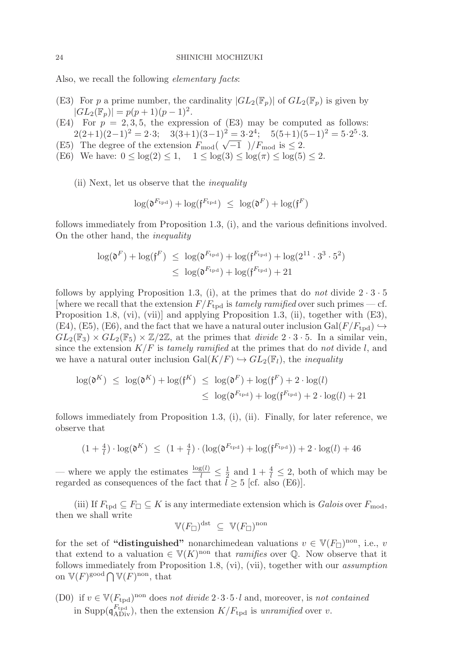Also, we recall the following *elementary facts*:

- (E3) For p a prime number, the cardinality  $|GL_2(\mathbb{F}_p)|$  of  $GL_2(\mathbb{F}_p)$  is given by  $|GL_2(\mathbb{F}_p)| = p(p+1)(p-1)^2.$
- (E4) For  $p = 2, 3, 5$ , the expression of (E3) may be computed as follows:  $2(2+1)(2-1)^2 = 2\cdot 3$ ;  $3(3+1)(3-1)^2 = 3\cdot 2^4$ ;  $5(5+1)(5-1)^2 = 5\cdot 2^5\cdot 3$ .
- (E5) The degree of the extension  $F_{\text{mod}}(\sqrt{-1})/F_{\text{mod}}$  is  $\leq 2$ .
- (E6) We have:  $0 \le \log(2) \le 1$ ,  $1 \le \log(3) \le \log(\pi) \le \log(5) \le 2$ .

(ii) Next, let us observe that the inequality

$$
\log(\mathfrak{d}^{F_{\text{tpd}}}) + \log(\mathfrak{f}^{F_{\text{tpd}}}) \leq \log(\mathfrak{d}^F) + \log(\mathfrak{f}^F)
$$

follows immediately from Proposition 1.3, (i), and the various definitions involved. On the other hand, the inequality

$$
\log(\mathfrak{d}^F) + \log(\mathfrak{f}^F) \le \log(\mathfrak{d}^{F_{\text{tpd}}}) + \log(\mathfrak{f}^{F_{\text{tpd}}}) + \log(2^{11} \cdot 3^3 \cdot 5^2)
$$
  

$$
\le \log(\mathfrak{d}^{F_{\text{tpd}}}) + \log(\mathfrak{f}^{F_{\text{tpd}}}) + 21
$$

follows by applying Proposition 1.3, (i), at the primes that do not divide  $2 \cdot 3 \cdot 5$ [where we recall that the extension  $F/F_{\text{tpd}}$  is tamely ramified over such primes — cf. Proposition 1.8, (vi), (vii)] and applying Proposition 1.3, (ii), together with (E3), (E4), (E5), (E6), and the fact that we have a natural outer inclusion Gal( $F/F_{\text{tnd}}$ )  $\hookrightarrow$  $GL_2(\mathbb{F}_3) \times GL_2(\mathbb{F}_5) \times \mathbb{Z}/2\mathbb{Z}$ , at the primes that *divide*  $2 \cdot 3 \cdot 5$ . In a similar vein, since the extension  $K/F$  is tamely ramified at the primes that do not divide l, and we have a natural outer inclusion  $Gal(K/F) \hookrightarrow GL_2(\mathbb{F}_l)$ , the *inequality* 

$$
\log(\mathfrak{d}^K) \le \log(\mathfrak{d}^K) + \log(\mathfrak{f}^K) \le \log(\mathfrak{d}^F) + \log(\mathfrak{f}^F) + 2 \cdot \log(l)
$$
  

$$
\le \log(\mathfrak{d}^{F_{\text{tpd}}}) + \log(\mathfrak{f}^{F_{\text{tpd}}}) + 2 \cdot \log(l) + 21
$$

follows immediately from Proposition 1.3, (i), (ii). Finally, for later reference, we observe that

$$
(1 + \frac{4}{l}) \cdot \log(\mathfrak{d}^K) \leq (1 + \frac{4}{l}) \cdot (\log(\mathfrak{d}^{F_{\text{tpd}}}) + \log(\mathfrak{f}^{F_{\text{tpd}}})) + 2 \cdot \log(l) + 46
$$

— where we apply the estimates  $\frac{\log(l)}{l} \leq \frac{1}{2}$  and  $1 + \frac{4}{l} \leq 2$ , both of which may be regarded as consequences of the fact that  $l \geq 5$  [cf. also (E6)].

(iii) If  $F_{\text{tpd}} \subseteq F_{\square} \subseteq K$  is any intermediate extension which is *Galois* over  $F_{\text{mod}}$ , then we shall write

$$
\mathbb{V}(F_{\square})^{\text{dst}} \subseteq \mathbb{V}(F_{\square})^{\text{non}}
$$

for the set of **"distinguished"** nonarchimedean valuations  $v \in \mathbb{V}(F_{\Box})^{\text{non}}$ , i.e., v that extend to a valuation  $\in V(K)$ <sup>non</sup> that *ramifies* over  $\mathbb Q$ . Now observe that it follows immediately from Proposition 1.8, (vi), (vii), together with our assumption on  $V(F)^\text{good} \bigcap V(F)^\text{non}$ , that

(D0) if  $v \in V(F_{tpd})^{non}$  does not divide  $2 \cdot 3 \cdot 5 \cdot l$  and, moreover, is not contained in Supp( $\mathfrak{q}_{\rm ADiv}^{F_{\rm trd}}$ ), then the extension  $K/F_{\rm trd}$  is unramified over v.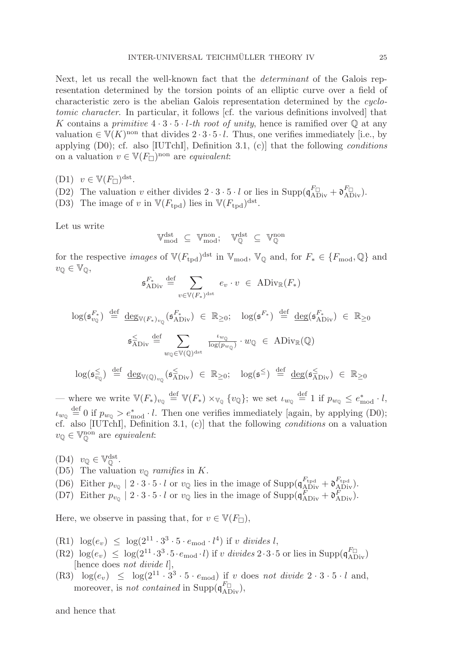Next, let us recall the well-known fact that the determinant of the Galois representation determined by the torsion points of an elliptic curve over a field of characteristic zero is the abelian Galois representation determined by the cyclotomic character. In particular, it follows [cf. the various definitions involved] that K contains a primitive  $4 \cdot 3 \cdot 5 \cdot l$ -th root of unity, hence is ramified over  $\mathbb Q$  at any valuation  $\in V(K)$ <sup>non</sup> that divides  $2 \cdot 3 \cdot 5 \cdot l$ . Thus, one verifies immediately [i.e., by applying  $(D0)$ ; cf. also [IUTchI], Definition 3.1, (c)] that the following *conditions* on a valuation  $v \in V(F_{\square})^{\text{non}}$  are *equivalent*:

(D1)  $v \in \mathbb{V}(F_{\square})^{\text{dst}}$ .

(D2) The valuation v either divides  $2 \cdot 3 \cdot 5 \cdot l$  or lies in Supp( $\mathfrak{q}_{ADiv}^{F\Box} + \mathfrak{d}_{ADiv}^{F\Box}$ ).

(D3) The image of v in  $V(F_{tpd})$  lies in  $V(F_{tpd})^{dst}$ .

Let us write

$$
\mathbb{V}_{\rm mod}^{\rm dst} \ \subseteq \ \mathbb{V}_{\rm mod}^{\rm non}; \quad \mathbb{V}_{\mathbb{Q}}^{\rm dst} \ \subseteq \ \mathbb{V}_{\mathbb{Q}}^{\rm non}
$$

for the respective *images* of  $V(F_{\text{tnd}})^{\text{dst}}$  in  $V_{\text{mod}}$ ,  $V_{\mathbb{Q}}$  and, for  $F_* \in \{F_{\text{mod}}\}$  and  $v_{\mathbb{O}} \in \mathbb{V}_{\mathbb{O}},$ 

$$
\mathfrak{s}_{\rm ADiv}^{F_*} \stackrel{\text{def}}{=} \sum_{v \in \mathbb{V}(F_*)^{\rm{dst}}} e_v \cdot v \in \text{ADiv}_{\mathbb{R}}(F_*)
$$

$$
\log(\mathfrak{s}_{v_{\mathbb{Q}}}^{F_{*}}) \stackrel{\text{def}}{=} \underbrace{\deg_{\mathbb{V}(F_{*})_{v_{\mathbb{Q}}}}(\mathfrak{s}_{\text{Abiv}}^{F_{*}})}_{\mathfrak{s}_{\text{Abiv}}} \in \mathbb{R}_{\geq 0}; \quad \log(\mathfrak{s}_{*}^{F_{*}}) \stackrel{\text{def}}{=} \underbrace{\deg(\mathfrak{s}_{\text{Abiv}}^{F_{*}})}_{\log(p_{w_{\mathbb{Q}}})} \in \mathbb{R}_{\geq 0}
$$

 $\log(\mathfrak{s}_{v_\mathbb{Q}}^{\leq}) \stackrel{\mathrm{def}}{=} \underline{\deg}_{\mathbb{V}(\mathbb{Q})_{v_\mathbb{Q}}}(\mathfrak{s}_{\mathrm{Abiv}}^{\leq}) \in \mathbb{R}_{\geq 0}; \quad \log(\mathfrak{s}^{\leq}) \stackrel{\mathrm{def}}{=} \underline{\deg}(\mathfrak{s}_{\mathrm{Abiv}}^{\leq}) \in \mathbb{R}_{\geq 0}$ 

— where we write  $\mathbb{V}(F_*)_{v_{\mathbb{Q}}} \stackrel{\text{def}}{=} \mathbb{V}(F_*) \times_{\mathbb{V}_{\mathbb{Q}}} \{v_{\mathbb{Q}}\}$ ; we set  $\iota_{w_{\mathbb{Q}}} \stackrel{\text{def}}{=} 1$  if  $p_{w_{\mathbb{Q}}} \leq e_{\text{mod}}^* \cdot l$ ,  $\iota_{w_{\mathbb{Q}}} \stackrel{\text{def}}{=} 0$  if  $p_{w_{\mathbb{Q}}} > e_{\text{mod}}^* \cdot l$ . Then one verifies immediately [again, by applying (D0); cf. also [IUTchI], Definition 3.1, (c)] that the following conditions on a valuation  $v_{\mathbb{Q}} \in \mathbb{V}_{\mathbb{Q}}^{\text{non}}$  are *equivalent*:

- $(D4) \quad v_{\mathbb{Q}} \in \mathbb{V}_{\mathbb{Q}}^{\text{dst}}.$
- (D5) The valuation  $v_{\mathbb{Q}}$  ramifies in K.
- (D6) Either  $p_{v_Q} \mid 2 \cdot 3 \cdot 5 \cdot l$  or  $v_Q$  lies in the image of Supp( $\mathfrak{q}_{ADiv}^{F_{\text{tpd}}} + \mathfrak{d}_{ADiv}^{F_{\text{tpd}}}.$
- (D7) Either  $p_{v_Q}$  |  $2 \cdot 3 \cdot 5 \cdot l$  or  $v_Q$  lies in the image of Supp( $\mathfrak{q}_{ADiv}^F + \mathfrak{d}_{ADiv}^F$ ).

Here, we observe in passing that, for  $v \in V(F_{\square})$ ,

- (R1)  $\log(e_v) \leq \log(2^{11} \cdot 3^3 \cdot 5 \cdot e_{\text{mod}} \cdot l^4)$  if v divides l,
- $(R2) \log(e_v) \leq \log(2^{11} \cdot 3^3 \cdot 5 \cdot e_{\text{mod}} \cdot l)$  if v divides  $2 \cdot 3 \cdot 5$  or lies in Supp $(q_{ADiv}^{F\Box})$ [hence does not divide l],
- (R3)  $\log(e_v) \leq \log(2^{11} \cdot 3^3 \cdot 5 \cdot e_{\text{mod}})$  if v does not divide  $2 \cdot 3 \cdot 5 \cdot l$  and, moreover, is not contained in Supp $(q_{ADiv}^{F_{\Box}})$ ,

and hence that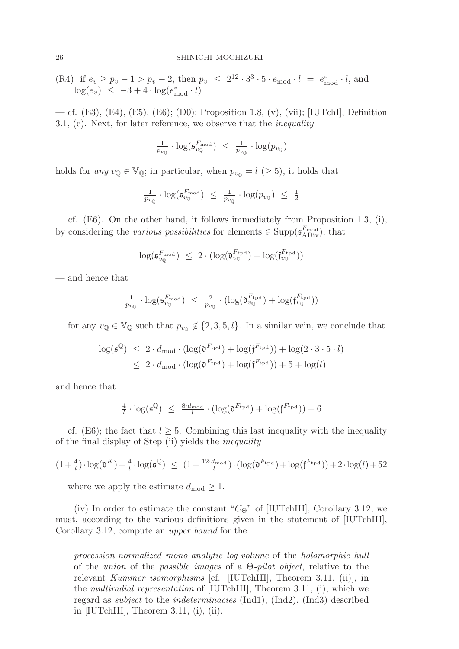(R4) if 
$$
e_v \ge p_v - 1 > p_v - 2
$$
, then  $p_v \le 2^{12} \cdot 3^3 \cdot 5 \cdot e_{\text{mod}} \cdot l = e_{\text{mod}}^* \cdot l$ , and  $\log(e_v) \le -3 + 4 \cdot \log(e_{\text{mod}}^* \cdot l)$ 

— cf. (E3), (E4), (E5), (E6); (D0); Proposition 1.8, (v), (vii); [IUTchI], Definition 3.1, (c). Next, for later reference, we observe that the inequality

$$
\tfrac{1}{p_{v_{\mathbb{Q}}}} \cdot \log(\mathfrak{s}_{v_{\mathbb{Q}}}^{F_{\mathrm{mod}}}) \leq \tfrac{1}{p_{v_{\mathbb{Q}}}} \cdot \log(p_{v_{\mathbb{Q}}})
$$

holds for any  $v_{\mathbb{Q}} \in V_{\mathbb{Q}}$ ; in particular, when  $p_{v_{\mathbb{Q}}} = l \ (\geq 5)$ , it holds that

$$
\tfrac{1}{p_{v_{\mathbb{Q}}}} \cdot \log(\mathfrak{s}_{v_{\mathbb{Q}}}^{F_{\text{mod}}}) \leq \tfrac{1}{p_{v_{\mathbb{Q}}}} \cdot \log(p_{v_{\mathbb{Q}}}) \leq \tfrac{1}{2}
$$

— cf. (E6). On the other hand, it follows immediately from Proposition 1.3, (i), by considering the various possibilities for elements  $\in \text{Supp}(\mathfrak{s}_{ADiv}^{F_{\text{mod}}})$ , that

$$
\log(\mathfrak{s}_{v_\mathbb{Q}}^{F_\mathrm{mod}}) \leq 2 \cdot (\log(\mathfrak{d}_{v_\mathbb{Q}}^{F_\mathrm{tpd}}) + \log(\mathfrak{f}_{v_\mathbb{Q}}^{F_\mathrm{tpd}}))
$$

— and hence that

$$
\tfrac{1}{p_{v_\mathbb{Q}}} \cdot \log(\mathfrak{s}_{v_\mathbb{Q}}^{F_\mathrm{mod}}) \ \leq \ \tfrac{2}{p_{v_\mathbb{Q}}} \cdot (\log(\mathfrak{d}_{v_\mathbb{Q}}^{F_\mathrm{tpd}}) + \log(\mathfrak{f}_{v_\mathbb{Q}}^{F_\mathrm{tpd}}))
$$

— for any  $v_{\mathbb{Q}} \in V_{\mathbb{Q}}$  such that  $p_{v_{\mathbb{Q}}} \notin \{2, 3, 5, l\}$ . In a similar vein, we conclude that

$$
\begin{aligned} \log(\mathfrak{s}^{\mathbb{Q}}) &\leq 2 \cdot d_{\text{mod}} \cdot (\log(\mathfrak{d}^{F_{\text{tpd}}}) + \log(\mathfrak{f}^{F_{\text{tpd}}})) + \log(2 \cdot 3 \cdot 5 \cdot l) \\ &\leq 2 \cdot d_{\text{mod}} \cdot (\log(\mathfrak{d}^{F_{\text{tpd}}}) + \log(\mathfrak{f}^{F_{\text{tpd}}})) + 5 + \log(l) \end{aligned}
$$

and hence that

$$
\tfrac{4}{l} \cdot \log(\mathfrak{s}^\mathbb{Q}) \ \leq \ \tfrac{8 \cdot d_{\text{mod}}}{l} \cdot (\log(\mathfrak{d}^{F_{\text{tpd}}}) + \log(\mathfrak{f}^{F_{\text{tpd}}})) + 6
$$

— cf. (E6); the fact that  $l \geq 5$ . Combining this last inequality with the inequality of the final display of Step (ii) yields the inequality

$$
(1 + \frac{4}{l}) \cdot \log(\mathfrak{d}^K) + \frac{4}{l} \cdot \log(\mathfrak{s}^{\mathbb{Q}}) \le (1 + \frac{12 \cdot d_{\text{mod}}}{l}) \cdot (\log(\mathfrak{d}^{F_{\text{tpd}}}) + \log(\mathfrak{f}^{F_{\text{tpd}}})) + 2 \cdot \log(l) + 52
$$

— where we apply the estimate  $d_{mod} \geq 1$ .

(iv) In order to estimate the constant " $C_{\Theta}$ " of [IUTchIII], Corollary 3.12, we must, according to the various definitions given in the statement of [IUTchIII], Corollary 3.12, compute an upper bound for the

procession-normalized mono-analytic log-volume of the holomorphic hull of the *union* of the *possible images* of a  $\Theta$ -*pilot object*, relative to the relevant Kummer isomorphisms [cf. [IUTchIII], Theorem 3.11, (ii)], in the multiradial representation of [IUTchIII], Theorem 3.11, (i), which we regard as subject to the indeterminacies (Ind1), (Ind2), (Ind3) described in [IUTchIII], Theorem 3.11, (i), (ii).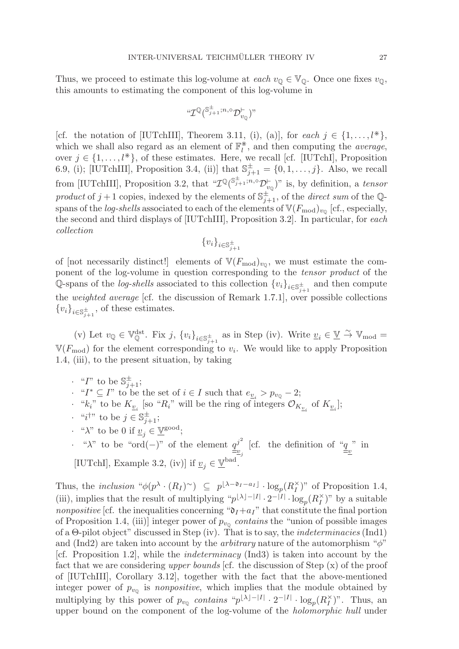Thus, we proceed to estimate this log-volume at each  $v_{\mathbb{Q}} \in V_{\mathbb{Q}}$ . Once one fixes  $v_{\mathbb{Q}}$ , this amounts to estimating the component of this log-volume in

$$
``{\cal I}^{\mathbb{Q}}(\mathbb{S}_{j+1}^{\pm}; n, \circ {\cal D}^{\vdash}_{v_{\mathbb{Q}}})"
$$

[cf. the notation of [IUTchIII], Theorem 3.11, (i), (a)], for each  $j \in \{1, \ldots, l^*\},$ which we shall also regard as an element of  $\mathbb{F}_l^*$ , and then computing the *average*, over  $j \in \{1, \ldots, l^*\}$ , of these estimates. Here, we recall [cf. [IUTchI], Proposition 6.9, (i); [IUTchIII], Proposition 3.4, (ii)] that  $\mathbb{S}_{j+1}^{\pm} = \{0, 1, \ldots, j\}$ . Also, we recall from [IUTchIII], Proposition 3.2, that  $\mathscr{CD}^{ \mathbb{C}^{\pm} }_{\mathscr{ID}(\mathbb{S}_{j+1}^{\pm};n,\circ}\mathscr{D}^{\vdash}_{v_{\mathbb{Q}}})$ " is, by definition, a tensor product of  $j+1$  copies, indexed by the elements of  $\mathbb{S}_{j+1}^{\pm}$ , of the *direct sum* of the Qspans of the *log-shells* associated to each of the elements of  $V(F_{\text{mod}})_{v_0}$  [cf., especially, the second and third displays of [IUTchIII], Proposition 3.2]. In particular, for each collection

$$
\{v_i\}_{i \in \mathbb{S}^\pm_{j+1}}
$$

of [not necessarily distinct!] elements of  $V(F_{mod})_{v_0}$ , we must estimate the component of the log-volume in question corresponding to the tensor product of the Q-spans of the *log-shells* associated to this collection  ${v_i}_{i \in \mathbb{S}_{j+1}^{\pm}}$  and then compute the weighted average [cf. the discussion of Remark 1.7.1], over possible collections  ${v_i}_{i \in \mathbb{S}_{j+1}^{\pm}}$ , of these estimates.

(v) Let  $v_{\mathbb{Q}} \in \mathbb{V}_{\mathbb{Q}}^{\text{dst}}$ . Fix j,  $\{v_i\}_{i \in \mathbb{S}_{j+1}^{\pm}}$  as in Step (iv). Write  $\underline{v}_i \in \underline{\mathbb{V}} \stackrel{\sim}{\to} \mathbb{V}_{\text{mod}} =$  $V(F_{\text{mod}})$  for the element corresponding to  $v_i$ . We would like to apply Proposition 1.4, (iii), to the present situation, by taking

- $\cdot$  "I" to be  $\mathbb{S}_{j+1}^{\pm}$ ;
- $\cdot$  " $I^*$  ⊆  $I$ " to be the set of  $i \in I$  such that  $e_{\underline{v}_i} > p_{v_{\mathbb{Q}}} 2;$
- · " $k_i$ " to be  $K_{\underline{v}_i}$  [so " $R_i$ " will be the ring of integers  $\mathcal{O}_{K_{\underline{v}_i}}$  of  $K_{\underline{v}_i}$ ];
- $\cdot$  "*i*<sup>†</sup>" to be  $j \in \mathbb{S}_{j+1}^{\pm}$ ;
- " $\lambda$ " to be 0 if  $\underline{v}_i \in \underline{\mathbb{V}}^{\text{good}}$ ;
- $\cdot$  "λ" to be "ord(−)" of the element  $q^{j^2}$ <sub> $\equiv v_j$ </sub> [cf. the definition of " $q_{\overline{z}}$ " in [IUTchI], Example 3.2, (iv)] if  $v_i \in \mathbb{Y}^{\text{bad}}$ .

Thus, the inclusion " $\phi(p^{\lambda} \cdot (R_I)^{\sim}) \subseteq p^{\lfloor \lambda - \mathfrak{d}_I - a_I \rfloor} \cdot \log_p(R_I^{\times})$ " of Proposition 1.4, (iii), implies that the result of multiplying " $p^{\lfloor \lambda \rfloor - |I|} \cdot 2^{-|I|} \cdot \log_p(R_I^{\times})$ " by a suitable *nonpositive* [cf. the inequalities concerning " $\mathfrak{d}_I + a_I$ " that constitute the final portion of Proposition 1.4, (iii)] integer power of  $p_{v_0}$  contains the "union of possible images of a  $\Theta$ -pilot object" discussed in Step (iv). That is to say, the *indeterminacies* (Ind1) and (Ind2) are taken into account by the *arbitrary* nature of the automorphism " $\phi$ " [cf. Proposition 1.2], while the indeterminacy (Ind3) is taken into account by the fact that we are considering upper bounds  $cf.$  the discussion of Step  $(x)$  of the proof of [IUTchIII], Corollary 3.12], together with the fact that the above-mentioned integer power of  $p_{v_0}$  is nonpositive, which implies that the module obtained by multiplying by this power of  $p_{v_Q}$  contains " $p^{\lfloor \lambda \rfloor - |I|} \cdot 2^{-|I|} \cdot \log_p(R_I^{\times})$ ". Thus, an upper bound on the component of the log-volume of the holomorphic hull under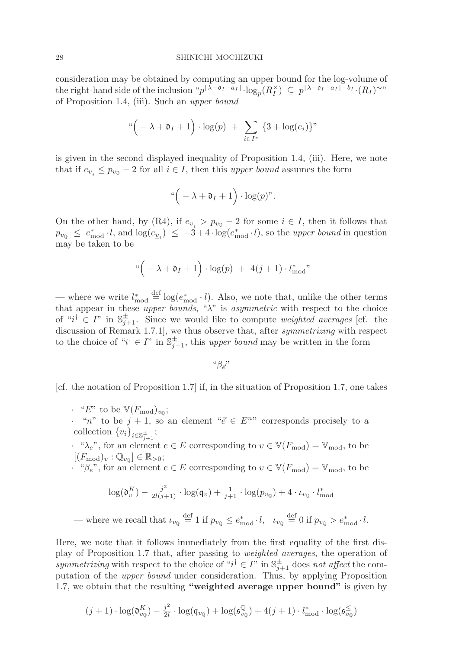consideration may be obtained by computing an upper bound for the log-volume of the right-hand side of the inclusion " $p^{\lfloor \lambda - \mathfrak{d}_I - a_I \rfloor} \cdot \log_p(R_I^{\times}) \subseteq p^{\lfloor \lambda - \mathfrak{d}_I - a_I \rfloor - b_I} \cdot (R_I)^{\sim}$ " of Proposition 1.4, (iii). Such an upper bound

$$
\sqrt[a] - \lambda + \mathfrak{d}_I + 1 \bigg) \cdot \log(p) + \sum_{i \in I^*} \{3 + \log(e_i)\}^n
$$

is given in the second displayed inequality of Proposition 1.4, (iii). Here, we note that if  $e_{v_i} \leq p_{v_0} - 2$  for all  $i \in I$ , then this upper bound assumes the form

$$
\sqrt[a]{(-\lambda+\mathfrak{d}_I+1)}\cdot \log(p)
$$

On the other hand, by (R4), if  $e_{v_i} > p_{v_0} - 2$  for some  $i \in I$ , then it follows that  $p_{v_Q} \leq e_{\text{mod}}^* \cdot l$ , and  $\log(e_{v_i}) \leq -3+4 \cdot \log(e_{\text{mod}}^* \cdot l)$ , so the upper bound in question may be taken to be

$$
\sqrt[a]{}(-\lambda + \mathfrak{d}_I + 1) \cdot \log(p) + 4(j+1) \cdot l^*_{\text{mod}}"
$$

— where we write  $l_{\text{mod}}^* \stackrel{\text{def}}{=} \log(e_{\text{mod}}^* \cdot l)$ . Also, we note that, unlike the other terms that appear in these upper bounds, " $\lambda$ " is asymmetric with respect to the choice of " $i^{\dagger} \in I$ " in  $\mathbb{S}_{j+1}^{\pm}$ . Since we would like to compute *weighted averages* [cf. the discussion of Remark 1.7.1], we thus observe that, after *symmetrizing* with respect to the choice of " $i^{\dagger} \in I$ " in  $\mathbb{S}_{j+1}^{\pm}$ , this *upper bound* may be written in the form

 $``\beta_{\vec{e}}"$ 

[cf. the notation of Proposition 1.7] if, in the situation of Proposition 1.7, one takes

 $\cdot$  "E" to be  $V(F_{\text{mod}})_{v_{\text{0}}};$ 

• "n" to be  $j + 1$ , so an element " $\vec{e} \in E^{n}$ " corresponds precisely to a collection  ${v_i}_{i \in \mathbb{S}_{j+1}^{\pm}}$ ;

· " $\lambda_e$ ", for an element  $e \in E$  corresponding to  $v \in V(F_{\text{mod}}) = V_{\text{mod}}$ , to be  $[(F_{\text{mod}})_v : \mathbb{Q}_{v_{\mathbb{Q}}}] \in \mathbb{R}_{>0};$ 

 $\cdot \hat{H}^* \beta_e$ , for an element  $e \in E$  corresponding to  $v \in V(F_{mod}) = V_{mod}$ , to be

$$
\log(\mathfrak{d}_{v}^{K}) - \frac{j^{2}}{2l(j+1)} \cdot \log(\mathfrak{q}_{v}) + \frac{1}{j+1} \cdot \log(p_{v_{\mathbb{Q}}}) + 4 \cdot \iota_{v_{\mathbb{Q}}} \cdot l_{\text{mod}}^{*}
$$

— where we recall that  $\iota_{v_{\mathbb{Q}}} \stackrel{\text{def}}{=} 1$  if  $p_{v_{\mathbb{Q}}} \leq e_{\text{mod}}^* \cdot l$ ,  $\iota_{v_{\mathbb{Q}}} \stackrel{\text{def}}{=} 0$  if  $p_{v_{\mathbb{Q}}} > e_{\text{mod}}^* \cdot l$ .

Here, we note that it follows immediately from the first equality of the first display of Proposition 1.7 that, after passing to weighted averages, the operation of symmetrizing with respect to the choice of " $i^{\dagger} \in I$ " in  $\mathbb{S}_{j+1}^{\pm}$  does not affect the computation of the upper bound under consideration. Thus, by applying Proposition 1.7, we obtain that the resulting **"weighted average upper bound"** is given by

$$
(j+1)\cdot \log(\mathfrak{d}_{v_\mathbb{Q}}^K)-\tfrac{j^2}{2l}\cdot \log(\mathfrak{q}_{v_\mathbb{Q}})+\log(\mathfrak{s}_{v_\mathbb{Q}}^\mathbb{Q})+4(j+1)\cdot l_\text{mod}^*\cdot \log(\mathfrak{s}_{v_\mathbb{Q}}^\leq)
$$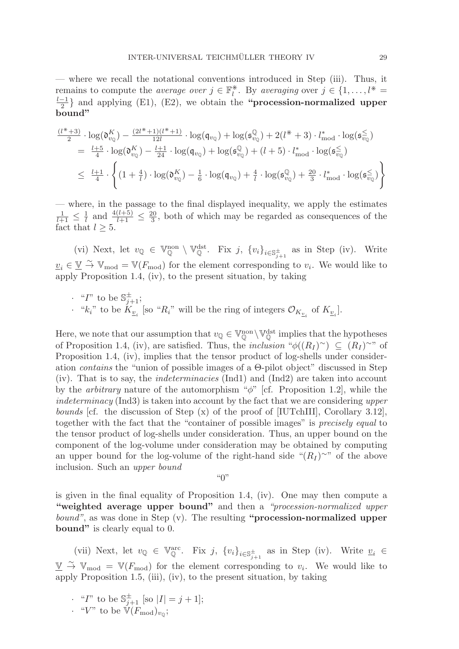— where we recall the notational conventions introduced in Step (iii). Thus, it remains to compute the *average over*  $j \in \mathbb{F}_l^*$ . By *averaging* over  $j \in \{1, \ldots, l^* \}$ remains to compute the *average over*  $j \in \mathbb{F}_l^*$ . By *averaging* over  $j \in \{1, ..., l^* = \frac{l-1}{2}\}$  and applying (E1), (E2), we obtain the **"procession-normalized upper bound"**

$$
\frac{(l^*+3)}{2} \cdot \log(\mathfrak{d}_{v_\mathbb{Q}}^K) - \frac{(2l^*+1)(l^*+1)}{12l} \cdot \log(\mathfrak{q}_{v_\mathbb{Q}}) + \log(\mathfrak{s}_{v_\mathbb{Q}}^{\mathbb{Q}}) + 2(l^*+3) \cdot l^*_{\text{mod}} \cdot \log(\mathfrak{s}_{v_\mathbb{Q}}^{\leq})
$$
\n
$$
= \frac{l+5}{4} \cdot \log(\mathfrak{d}_{v_\mathbb{Q}}^K) - \frac{l+1}{24} \cdot \log(\mathfrak{q}_{v_\mathbb{Q}}) + \log(\mathfrak{s}_{v_\mathbb{Q}}^{\mathbb{Q}}) + (l+5) \cdot l^*_{\text{mod}} \cdot \log(\mathfrak{s}_{v_\mathbb{Q}}^{\leq})
$$
\n
$$
\leq \frac{l+1}{4} \cdot \left\{ (1+\frac{4}{l}) \cdot \log(\mathfrak{d}_{v_\mathbb{Q}}^K) - \frac{1}{6} \cdot \log(\mathfrak{q}_{v_\mathbb{Q}}) + \frac{4}{l} \cdot \log(\mathfrak{s}_{v_\mathbb{Q}}^{\mathbb{Q}}) + \frac{20}{3} \cdot l^*_{\text{mod}} \cdot \log(\mathfrak{s}_{v_\mathbb{Q}}^{\leq}) \right\}
$$

— where, in the passage to the final displayed inequality, we apply the estimates  $\frac{1}{l+1} \leq \frac{1}{l}$  and  $\frac{4(l+5)}{l+1} \leq \frac{20}{3}$ , both of which may be regarded as consequences of the fact that  $l \geq 5$ .

(vi) Next, let  $v_{\mathbb{Q}} \in \mathbb{V}_{\mathbb{Q}}^{\text{non}} \setminus \mathbb{V}_{\mathbb{Q}}^{\text{dst}}$ . Fix  $j$ ,  $\{v_i\}_{i \in \mathbb{S}_{j+1}^{\pm}}$  as in Step (iv). Write  $v_i \in \underline{V} \overset{\sim}{\rightarrow} V_{\text{mod}} = V(F_{\text{mod}})$  for the element corresponding to  $v_i$ . We would like to apply Proposition 1.4, (iv), to the present situation, by taking

 $\cdot$  "*I*" to be  $\mathbb{S}_{j+1}^{\pm}$ ; · " $k_i$ " to be  $K_{\underline{v}_i}$  [so " $R_i$ " will be the ring of integers  $\mathcal{O}_{K_{\underline{v}_i}}$  of  $K_{\underline{v}_i}$ ].

Here, we note that our assumption that  $v_{\mathbb{Q}} \in V^{\text{non}}_{\mathbb{Q}} \setminus V^{\text{dst}}_{\mathbb{Q}}$  implies that the hypotheses of Proposition 1.4, (iv), are satisfied. Thus, the inclusion " $\phi((R_I)^\sim) \subseteq (R_I)^\sim$ " of Proposition 1.4, (iv), implies that the tensor product of log-shells under consideration contains the "union of possible images of a Θ-pilot object" discussed in Step (iv). That is to say, the indeterminacies (Ind1) and (Ind2) are taken into account by the *arbitrary* nature of the automorphism " $\phi$ " [cf. Proposition 1.2], while the indeterminacy (Ind3) is taken into account by the fact that we are considering upper bounds [cf. the discussion of Step (x) of the proof of [IUTchIII], Corollary 3.12], together with the fact that the "container of possible images" is precisely equal to the tensor product of log-shells under consideration. Thus, an upper bound on the component of the log-volume under consideration may be obtained by computing an upper bound for the log-volume of the right-hand side " $(R<sub>I</sub>)$ <sup>~"</sup> of the above inclusion. Such an upper bound

 $\mathfrak{g}_{\Omega}$ 

is given in the final equality of Proposition 1.4, (iv). One may then compute a **"weighted average upper bound"** and then a "procession-normalized upper bound", as was done in Step (v). The resulting **"procession-normalized upper bound"** is clearly equal to 0.

(vii) Next, let  $v_{\mathbb{Q}} \in \mathbb{V}_{\mathbb{Q}}^{\text{arc}}$ . Fix j,  $\{v_i\}_{i \in \mathbb{S}_{j+1}^{\pm}}$  as in Step (iv). Write  $v_i \in$  $\underline{\mathbb{V}} \stackrel{\sim}{\rightarrow} \mathbb{V}_{\text{mod}} = \mathbb{V}(F_{\text{mod}})$  for the element corresponding to  $v_i$ . We would like to apply Proposition 1.5, (iii), (iv), to the present situation, by taking

- $\cdot$  "*I*" to be  $\mathbb{S}_{j+1}^{\pm}$  [so  $|I| = j + 1$ ];
- · " $V$ " to be  $V(F_{\text{mod}})_{v_{\mathbb{Q}}};$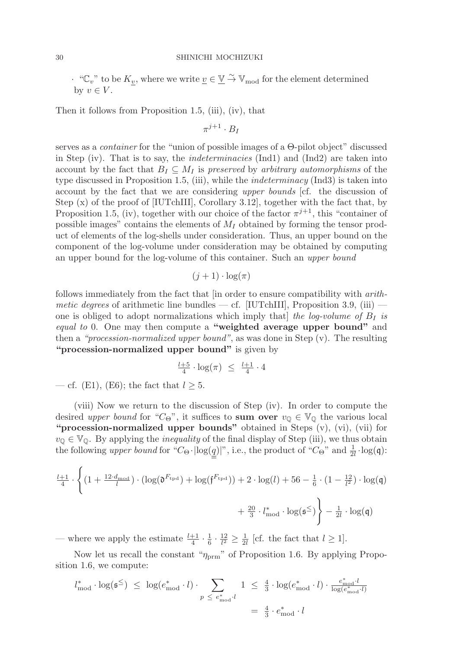$\cdot \text{``C}_v$ " to be  $K_{\underline{v}}$ , where we write  $\underline{v} \in \underline{V} \stackrel{\sim}{\to} V_{\text{mod}}$  for the element determined by  $v \in V$ .

Then it follows from Proposition 1.5, (iii), (iv), that

 $\pi^{j+1} \cdot B_I$ 

serves as a container for the "union of possible images of a Θ-pilot object" discussed in Step (iv). That is to say, the indeterminacies (Ind1) and (Ind2) are taken into account by the fact that  $B_I \subseteq M_I$  is preserved by arbitrary automorphisms of the type discussed in Proposition 1.5, (iii), while the indeterminacy (Ind3) is taken into account by the fact that we are considering upper bounds [cf. the discussion of Step  $(x)$  of the proof of [IUTchIII], Corollary 3.12], together with the fact that, by Proposition 1.5, (iv), together with our choice of the factor  $\pi^{j+1}$ , this "container of possible images" contains the elements of  $M_I$  obtained by forming the tensor product of elements of the log-shells under consideration. Thus, an upper bound on the component of the log-volume under consideration may be obtained by computing an upper bound for the log-volume of this container. Such an upper bound

$$
(j+1)\cdot \log(\pi)
$$

follows immediately from the fact that [in order to ensure compatibility with arithmetic degrees of arithmetic line bundles — cf. [IUTchIII], Proposition 3.9, (iii) one is obliged to adopt normalizations which imply that the log-volume of  $B_I$  is equal to 0. One may then compute a **"weighted average upper bound"** and then a "procession-normalized upper bound", as was done in Step (v). The resulting **"procession-normalized upper bound"** is given by

$$
\tfrac{l+5}{4}\cdot\log(\pi)~\leq~\tfrac{l+1}{4}\cdot 4
$$

— cf. (E1), (E6); the fact that  $l \geq 5$ .

(viii) Now we return to the discussion of Step (iv). In order to compute the desired upper bound for "C<sub>Θ</sub>", it suffices to **sum over**  $v_{\mathbb{Q}} \in V_{\mathbb{Q}}$  the various local **"procession-normalized upper bounds"** obtained in Steps (v), (vi), (vii) for  $v_{\mathbb{Q}} \in V_{\mathbb{Q}}$ . By applying the *inequality* of the final display of Step (iii), we thus obtain the following upper bound for " $C_{\Theta} \cdot |\text{log}(\underline{q})|$ ", i.e., the product of " $C_{\Theta}$ " and  $\frac{1}{2l} \cdot \text{log}(\mathfrak{q})$ :

$$
\frac{l+1}{4} \cdot \left\{ \left(1 + \frac{12 \cdot d_{\text{mod}}}{l}\right) \cdot \left(\log(\mathfrak{d}^{F_{\text{tpd}}}) + \log(\mathfrak{f}^{F_{\text{tpd}}})\right) + 2 \cdot \log(l) + 56 - \frac{1}{6} \cdot \left(1 - \frac{12}{l^2}\right) \cdot \log(\mathfrak{q}) + \frac{20}{3} \cdot l_{\text{mod}}^* \cdot \log(\mathfrak{s}^{\le}) \right\} - \frac{1}{2l} \cdot \log(\mathfrak{q})
$$

— where we apply the estimate  $\frac{l+1}{4} \cdot \frac{1}{6} \cdot \frac{12}{l^2} \geq \frac{1}{2l}$  [cf. the fact that  $l \geq 1$ ].

Now let us recall the constant " $\eta_{\text{prm}}$ " of Proposition 1.6. By applying Proposition 1.6, we compute:

$$
l_{\text{mod}}^* \cdot \log(\mathfrak{s}^{\le}) \le \log(e_{\text{mod}}^* \cdot l) \cdot \sum_{p \le e_{\text{mod}}^* \cdot l} 1 \le \frac{4}{3} \cdot \log(e_{\text{mod}}^* \cdot l) \cdot \frac{e_{\text{mod}}^* \cdot l}{\log(e_{\text{mod}}^* \cdot l)}
$$

$$
= \frac{4}{3} \cdot e_{\text{mod}}^* \cdot l
$$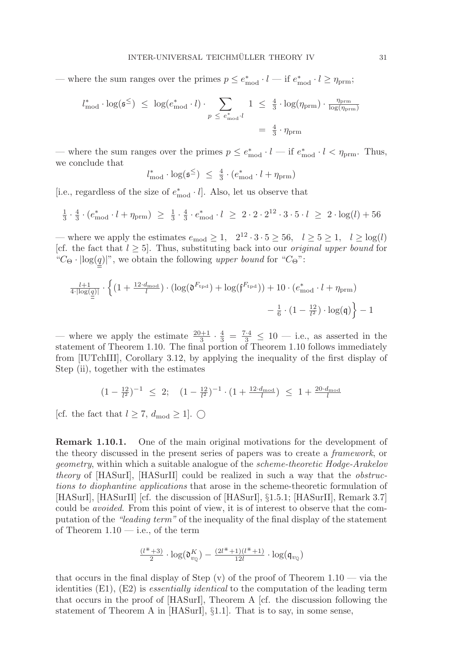— where the sum ranges over the primes  $p \le e_{mod}^* \cdot l$  — if  $e_{mod}^* \cdot l \ge \eta_{prim}$ ;

$$
l_{\text{mod}}^* \cdot \log(\mathfrak{s}^{\le}) \le \log(e_{\text{mod}}^* \cdot l) \cdot \sum_{p \le e_{\text{mod}}^* \cdot l} 1 \le \frac{4}{3} \cdot \log(\eta_{\text{prm}}) \cdot \frac{\eta_{\text{prm}}}{\log(\eta_{\text{prm}})}
$$

$$
= \frac{4}{3} \cdot \eta_{\text{prm}}
$$

— where the sum ranges over the primes  $p \leq e_{\text{mod}}^* \cdot l$  — if  $e_{\text{mod}}^* \cdot l < \eta_{\text{prm}}$ . Thus, we conclude that

$$
l_{\text{mod}}^* \cdot \log(\mathfrak{s}^{\le}) \leq \frac{4}{3} \cdot (e_{\text{mod}}^* \cdot l + \eta_{\text{prm}})
$$

[i.e., regardless of the size of  $e_{mod}^* \cdot l$ ]. Also, let us observe that

$$
\frac{1}{3} \cdot \frac{4}{3} \cdot (e_{\text{mod}}^* \cdot l + \eta_{\text{prm}}) \ \geq \ \frac{1}{3} \cdot \frac{4}{3} \cdot e_{\text{mod}}^* \cdot l \ \geq \ 2 \cdot 2 \cdot 2^{12} \cdot 3 \cdot 5 \cdot l \ \geq \ 2 \cdot \log(l) + 56
$$

— where we apply the estimates  $e_{mod} \geq 1$ ,  $2^{12} \cdot 3 \cdot 5 \geq 56$ ,  $l \geq 5 \geq 1$ ,  $l \geq log(l)$ [cf. the fact that  $l \geq 5$ ]. Thus, substituting back into our *original upper bound* for " $C_{\Theta} \cdot |\log(q)|$ ", we obtain the following upper bound for " $C_{\Theta}$ ":

$$
\frac{l+1}{4 \cdot |\log(\underline{q})|} \cdot \left\{ \left(1 + \frac{12 \cdot d_{\text{mod}}}{l}\right) \cdot \left(\log(\mathfrak{d}^{F_{\text{tpd}}}) + \log(\mathfrak{f}^{F_{\text{tpd}}})\right) + 10 \cdot \left(e_{\text{mod}}^* \cdot l + \eta_{\text{prm}}\right) \right. \\ \left. - \frac{1}{6} \cdot \left(1 - \frac{12}{l^2}\right) \cdot \log(\mathfrak{q})\right\} - 1
$$

— where we apply the estimate  $\frac{20+1}{3} \cdot \frac{4}{3} = \frac{7\cdot 4}{3} \le 10$  — i.e., as asserted in the statement of Theorem 1.10. The final portion of Theorem 1.10 follows immediately from [IUTchIII], Corollary 3.12, by applying the inequality of the first display of Step (ii), together with the estimates

$$
(1-\tfrac{12}{l^2})^{-1} \leq 2; \quad (1-\tfrac{12}{l^2})^{-1} \cdot (1+\tfrac{12 \cdot d_{\mathrm{mod}}}{l}) \leq 1+\tfrac{20 \cdot d_{\mathrm{mod}}}{l}
$$

[cf. the fact that  $l \geq 7$ ,  $d_{\text{mod}} \geq 1$ ].  $\bigcirc$ 

**Remark 1.10.1.** One of the main original motivations for the development of the theory discussed in the present series of papers was to create a framework, or geometry, within which a suitable analogue of the scheme-theoretic Hodge-Arakelov theory of [HASurI], [HASurII] could be realized in such a way that the obstructions to diophantine applications that arose in the scheme-theoretic formulation of [HASurI], [HASurII] [cf. the discussion of [HASurI],  $\S1.5.1$ ; [HASurII], Remark 3.7] could be avoided. From this point of view, it is of interest to observe that the computation of the "leading term" of the inequality of the final display of the statement of Theorem  $1.10 - i.e.,$  of the term

$$
\tfrac{(l^*+3)}{2}\cdot \log(\mathfrak{d}_{v_\mathbb{Q}}^K) - \tfrac{(2l^*+1)(l^*+1)}{12l}\cdot \log(\mathfrak{q}_{v_\mathbb{Q}})
$$

that occurs in the final display of Step  $(v)$  of the proof of Theorem 1.10 — via the identities  $(E1)$ ,  $(E2)$  is *essentially identical* to the computation of the leading term that occurs in the proof of [HASurI], Theorem A [cf. the discussion following the statement of Theorem A in [HASurI], §1.1]. That is to say, in some sense,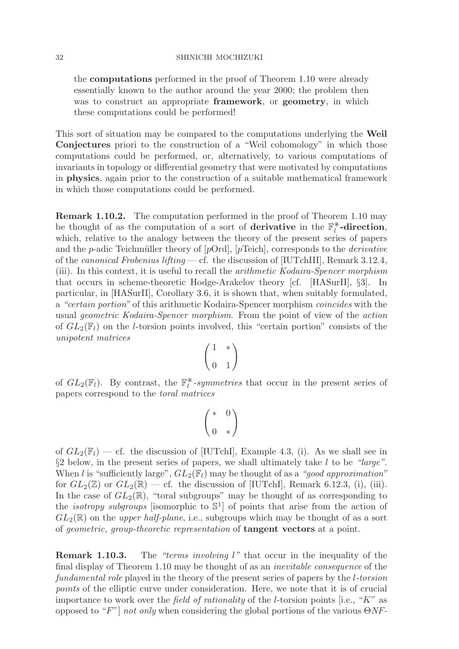the **computations** performed in the proof of Theorem 1.10 were already essentially known to the author around the year 2000; the problem then was to construct an appropriate **framework**, or **geometry**, in which these computations could be performed!

This sort of situation may be compared to the computations underlying the **Weil Conjectures** priori to the construction of a "Weil cohomology" in which those computations could be performed, or, alternatively, to various computations of invariants in topology or differential geometry that were motivated by computations in **physics**, again prior to the construction of a suitable mathematical framework in which those computations could be performed.

**Remark 1.10.2.** The computation performed in the proof of Theorem 1.10 may be thought of as the computation of a sort of **derivative** in the  $\mathbb{F}_l^*$ **-direction**, which, relative to the analogy between the theory of the present series of papers and the p-adic Teichmüller theory of  $[pOrd]$ ,  $[pTeich]$ , corresponds to the *derivative* of the *canonical Frobenius lifting* — cf. the discussion of [IUTchIII], Remark 3.12.4, (iii). In this context, it is useful to recall the arithmetic Kodaira-Spencer morphism that occurs in scheme-theoretic Hodge-Arakelov theory [cf. [HASurII], §3]. In particular, in [HASurII], Corollary 3.6, it is shown that, when suitably formulated, a "certain portion" of this arithmetic Kodaira-Spencer morphism coincides with the usual geometric Kodaira-Spencer morphism. From the point of view of the action of  $GL_2(\mathbb{F}_l)$  on the *l*-torsion points involved, this "certain portion" consists of the unipotent matrices

$$
\begin{pmatrix} 1 & * \\ 0 & 1 \end{pmatrix}
$$

of  $GL_2(\mathbb{F}_l)$ . By contrast, the  $\mathbb{F}_l^*$ -symmetries that occur in the present series of papers correspond to the toral matrices

$$
\begin{pmatrix} *&0\\0&*\end{pmatrix}
$$

of  $GL_2(\mathbb{F}_l)$  — cf. the discussion of [IUTchI], Example 4.3, (i). As we shall see in  $\S2$  below, in the present series of papers, we shall ultimately take l to be "large". When l is "sufficiently large",  $GL_2(\mathbb{F}_l)$  may be thought of as a "good approximation" for  $GL_2(\mathbb{Z})$  or  $GL_2(\mathbb{R})$  — cf. the discussion of [IUTchI], Remark 6.12.3, (i), (iii). In the case of  $GL_2(\mathbb{R})$ , "toral subgroups" may be thought of as corresponding to the *isotropy subgroups* [isomorphic to  $\mathbb{S}^1$ ] of points that arise from the action of  $GL_2(\mathbb{R})$  on the *upper half-plane*, i.e., subgroups which may be thought of as a sort of geometric, group-theoretic representation of **tangent vectors** at a point.

**Remark 1.10.3.** The "terms involving l" that occur in the inequality of the final display of Theorem 1.10 may be thought of as an inevitable consequence of the fundamental role played in the theory of the present series of papers by the l-torsion points of the elliptic curve under consideration. Here, we note that it is of crucial importance to work over the field of rationality of the l-torsion points [i.e., "K" as opposed to "F"] not only when considering the global portions of the various  $\Theta N$ -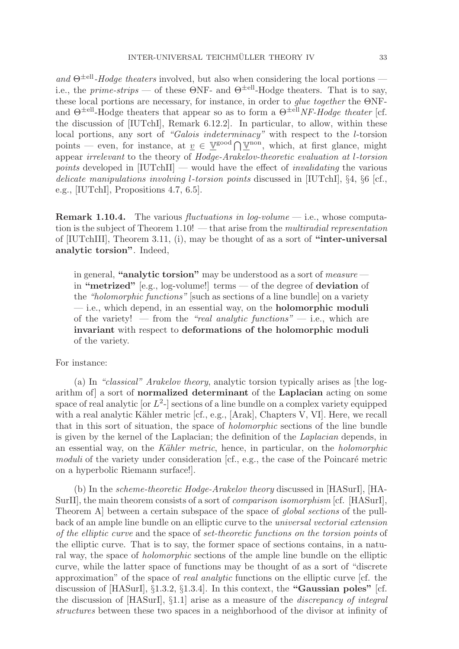and  $\Theta^{\pm \text{ell}}$ -Hodge theaters involved, but also when considering the local portions i.e., the *prime-strips* — of these  $\Theta$ NF- and  $\Theta^{\pm \text{ell}}$ -Hodge theaters. That is to say, these local portions are necessary, for instance, in order to glue together the ΘNFand  $\Theta^{\pm \text{ell}}$ -Hodge theaters that appear so as to form a  $\Theta^{\pm \text{ell}}$ *NF-Hodge theater* [cf. the discussion of [IUTchI], Remark 6.12.2]. In particular, to allow, within these local portions, any sort of "Galois indeterminacy" with respect to the *l*-torsion points — even, for instance, at  $\underline{v} \in \underline{\mathbb{V}}^{\text{good}} \cap \underline{\mathbb{V}}^{\text{non}}$ , which, at first glance, might appear irrelevant to the theory of Hodge-Arakelov-theoretic evaluation at l-torsion *points* developed in  $\text{[IUTchII]}$  — would have the effect of *invalidating* the various delicate manipulations involving l-torsion points discussed in [IUTchI], §4, §6 [cf., e.g., [IUTchI], Propositions 4.7, 6.5].

**Remark 1.10.4.** The various *fluctuations in log-volume* — i.e., whose computation is the subject of Theorem  $1.10!$  — that arise from the *multiradial representation* of [IUTchIII], Theorem 3.11, (i), may be thought of as a sort of **"inter-universal analytic torsion"**. Indeed,

in general, **"analytic torsion"** may be understood as a sort of measure in **"metrized"** [e.g., log-volume!] terms — of the degree of **deviation** of the "holomorphic functions" [such as sections of a line bundle] on a variety — i.e., which depend, in an essential way, on the **holomorphic moduli** of the variety! — from the "real analytic functions" — i.e., which are **invariant** with respect to **deformations of the holomorphic moduli** of the variety.

#### For instance:

(a) In "classical" Arakelov theory, analytic torsion typically arises as [the logarithm of] a sort of **normalized determinant** of the **Laplacian** acting on some space of real analytic [or  $L^2$ -] sections of a line bundle on a complex variety equipped with a real analytic Kähler metric  $[\text{cf.}, \text{e.g., [Arak], Chapters V, VI]. Here, we recall}$ that in this sort of situation, the space of holomorphic sections of the line bundle is given by the kernel of the Laplacian; the definition of the Laplacian depends, in an essential way, on the Kähler metric, hence, in particular, on the *holomorphic* moduli of the variety under consideration  $[cf., e.g., the case of the Poincaré metric]$ on a hyperbolic Riemann surface!].

(b) In the scheme-theoretic Hodge-Arakelov theory discussed in [HASurI], [HA-SurII], the main theorem consists of a sort of comparison isomorphism [cf. [HASurI], Theorem A] between a certain subspace of the space of global sections of the pullback of an ample line bundle on an elliptic curve to the universal vectorial extension of the elliptic curve and the space of set-theoretic functions on the torsion points of the elliptic curve. That is to say, the former space of sections contains, in a natural way, the space of holomorphic sections of the ample line bundle on the elliptic curve, while the latter space of functions may be thought of as a sort of "discrete approximation" of the space of real analytic functions on the elliptic curve [cf. the discussion of [HASurI], §1.3.2, §1.3.4]. In this context, the **"Gaussian poles"** [cf. the discussion of  $[HASurl]$ , §1.1] arise as a measure of the *discrepancy of integral* structures between these two spaces in a neighborhood of the divisor at infinity of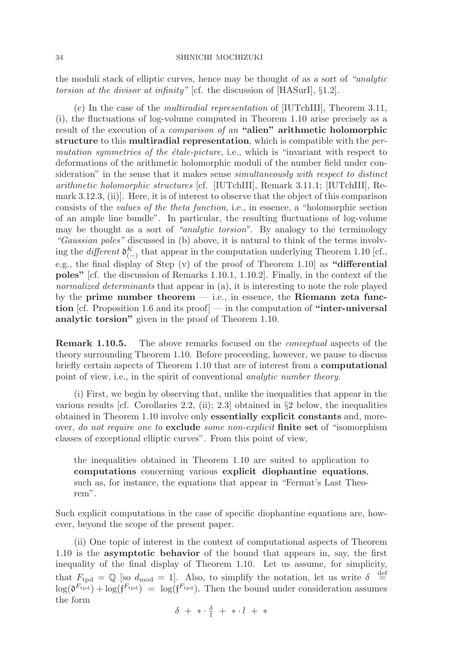the moduli stack of elliptic curves, hence may be thought of as a sort of "analytic torsion at the divisor at infinity" [cf. the discussion of [HASurI], §1.2].

(c) In the case of the multiradial representation of [IUTchIII], Theorem 3.11, (i), the fluctuations of log-volume computed in Theorem 1.10 arise precisely as a result of the execution of a comparison of an **"alien" arithmetic holomorphic structure** to this **multiradial representation**, which is compatible with the permutation symmetries of the  $\acute{e}tale-picture$ , i.e., which is "invariant with respect to deformations of the arithmetic holomorphic moduli of the number field under consideration" in the sense that it makes sense simultaneously with respect to distinct arithmetic holomorphic structures [cf. [IUTchIII], Remark 3.11.1; [IUTchIII], Remark 3.12.3, (ii)]. Here, it is of interest to observe that the object of this comparison consists of the values of the theta function, i.e., in essence, a "holomorphic section of an ample line bundle". In particular, the resulting fluctuations of log-volume may be thought as a sort of "analytic torsion". By analogy to the terminology "Gaussian poles" discussed in (b) above, it is natural to think of the terms involving the different  $\mathfrak{d}_{(-)}^K$  that appear in the computation underlying Theorem 1.10 [cf., e.g., the final display of Step (v) of the proof of Theorem 1.10] as **"differential poles"** [cf. the discussion of Remarks 1.10.1, 1.10.2]. Finally, in the context of the normalized determinants that appear in (a), it is interesting to note the role played by the **prime number theorem** — i.e., in essence, the **Riemann zeta function** [cf. Proposition 1.6 and its proof] — in the computation of **"inter-universal analytic torsion"** given in the proof of Theorem 1.10.

**Remark 1.10.5.** The above remarks focused on the *conceptual* aspects of the theory surrounding Theorem 1.10. Before proceeding, however, we pause to discuss briefly certain aspects of Theorem 1.10 that are of interest from a **computational** point of view, i.e., in the spirit of conventional analytic number theory.

(i) First, we begin by observing that, unlike the inequalities that appear in the various results [cf. Corollaries 2.2, (ii); 2.3] obtained in §2 below, the inequalities obtained in Theorem 1.10 involve only **essentially explicit constants** and, moreover, do not require one to **exclude** some non-explicit **finite set** of "isomorphism classes of exceptional elliptic curves". From this point of view,

the inequalities obtained in Theorem 1.10 are suited to application to **computations** concerning various **explicit diophantine equations**, such as, for instance, the equations that appear in "Fermat's Last Theorem".

Such explicit computations in the case of specific diophantine equations are, however, beyond the scope of the present paper.

(ii) One topic of interest in the context of computational aspects of Theorem 1.10 is the **asymptotic behavior** of the bound that appears in, say, the first inequality of the final display of Theorem 1.10. Let us assume, for simplicity, that  $F_{\text{tpd}} = \mathbb{Q}$  [so  $d_{\text{mod}} = 1$ ]. Also, to simplify the notation, let us write  $\delta \stackrel{\text{def}}{=}$  $\log(\mathfrak{d}^{F_{\text{tpd}}}) + \log(\mathfrak{f}^{F_{\text{tpd}}}) = \log(\mathfrak{f}^{F_{\text{tpd}}})$ . Then the bound under consideration assumes the form

$$
\delta\,\,+\,\, *\cdot\,\tfrac{\delta}{l}\,\,+\,\, *\cdot\, l\,\,+\,\, *
$$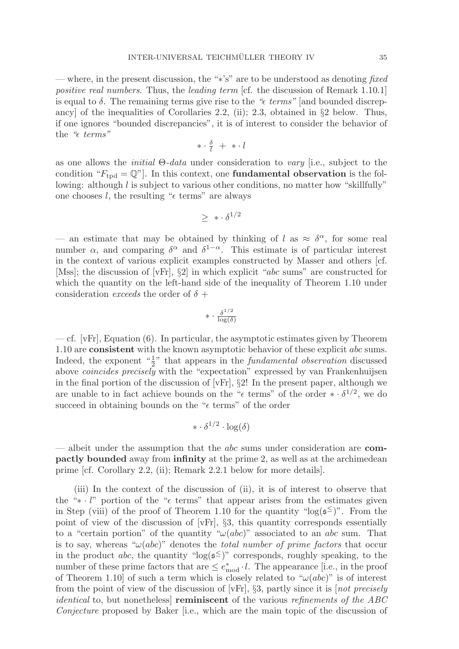— where, in the present discussion, the "∗'s" are to be understood as denoting fixed positive real numbers. Thus, the leading term [cf. the discussion of Remark 1.10.1] is equal to  $\delta$ . The remaining terms give rise to the " $\epsilon$  terms" [and bounded discrepancy] of the inequalities of Corollaries 2.2, (ii); 2.3, obtained in  $\S 2$  below. Thus, if one ignores "bounded discrepancies", it is of interest to consider the behavior of the " $\epsilon$  terms"

$$
*\cdot \tfrac{\delta}{l} \ + \ * \cdot l
$$

as one allows the *initial*  $\Theta$ -data under consideration to vary [i.e., subject to the condition " $F_{\text{tpd}} = \mathbb{Q}$ ". In this context, one **fundamental observation** is the following: although l is subject to various other conditions, no matter how "skillfully" one chooses  $l$ , the resulting " $\epsilon$  terms" are always

$$
\geq \; * \cdot \delta^{1/2}
$$

— an estimate that may be obtained by thinking of l as  $\approx \delta^{\alpha}$ , for some real number  $\alpha$ , and comparing  $\delta^{\alpha}$  and  $\delta^{1-\alpha}$ . This estimate is of particular interest in the context of various explicit examples constructed by Masser and others [cf. [Mss]; the discussion of [vFr], §2] in which explicit "abc sums" are constructed for which the quantity on the left-hand side of the inequality of Theorem 1.10 under consideration *exceeds* the order of  $\delta$  +

$$
* \cdot \tfrac{\delta^{1/2}}{\log(\delta)}
$$

— cf. [vFr], Equation (6). In particular, the asymptotic estimates given by Theorem 1.10 are **consistent** with the known asymptotic behavior of these explicit abc sums. Indeed, the exponent  $\frac{1}{2}$ " that appears in the *fundamental observation* discussed above *coincides precisely* with the "expectation" expressed by van Frankenhuijsen in the final portion of the discussion of [vFr], §2! In the present paper, although we are unable to in fact achieve bounds on the " $\epsilon$  terms" of the order  $\ast \cdot \delta^{1/2}$ , we do succeed in obtaining bounds on the " $\epsilon$  terms" of the order

$$
* \cdot \delta^{1/2} \cdot \log(\delta)
$$

— albeit under the assumption that the abc sums under consideration are **compactly bounded** away from **infinity** at the prime 2, as well as at the archimedean prime [cf. Corollary 2.2, (ii); Remark 2.2.1 below for more details].

(iii) In the context of the discussion of (ii), it is of interest to observe that the "∗ · l" portion of the " $\epsilon$  terms" that appear arises from the estimates given in Step (viii) of the proof of Theorem 1.10 for the quantity " $log(s^{\le})$ ". From the point of view of the discussion of [vFr], §3, this quantity corresponds essentially to a "certain portion" of the quantity " $\omega(abc)$ " associated to an abc sum. That is to say, whereas " $\omega(abc)$ " denotes the *total number of prime factors* that occur in the product abc, the quantity " $log(s^{\leq})$ " corresponds, roughly speaking, to the number of these prime factors that are  $\leq e_{mod}^* \cdot l$ . The appearance [i.e., in the proof of Theorem 1.10 of such a term which is closely related to " $\omega(abc)$ " is of interest from the point of view of the discussion of [vFr],  $\S$ 3, partly since it is [not precisely identical to, but nonetheless] **reminiscent** of the various refinements of the ABC Conjecture proposed by Baker [i.e., which are the main topic of the discussion of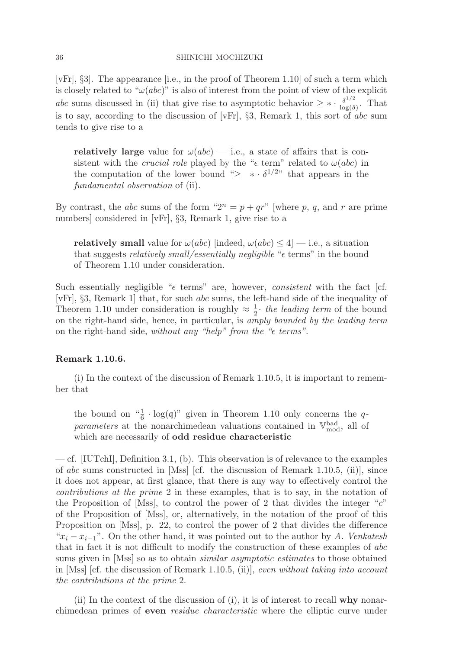[vFr], §3]. The appearance [i.e., in the proof of Theorem 1.10] of such a term which is closely related to " $\omega(abc)$ " is also of interest from the point of view of the explicit abc sums discussed in (ii) that give rise to asymptotic behavior  $\geq \ast \cdot \frac{\delta^{1/2}}{\log(\delta)}$ . That is to say, according to the discussion of [vFr], §3, Remark 1, this sort of abc sum tends to give rise to a

**relatively large** value for  $\omega(abc)$  — i.e., a state of affairs that is consistent with the *crucial role* played by the " $\epsilon$  term" related to  $\omega(abc)$  in the computation of the lower bound " $\geq * \cdot \delta^{1/2}$ " that appears in the fundamental observation of (ii).

By contrast, the *abc* sums of the form " $2^n = p + qr$ " [where p, q, and r are prime numbers] considered in [vFr], §3, Remark 1, give rise to a

**relatively small** value for  $\omega(abc)$  [indeed,  $\omega(abc) \leq 4$ ] — i.e., a situation that suggests *relatively small/essentially negligible* " $\epsilon$  terms" in the bound of Theorem 1.10 under consideration.

Such essentially negligible " $\epsilon$  terms" are, however, consistent with the fact [cf. [vFr], §3, Remark 1] that, for such abc sums, the left-hand side of the inequality of Theorem 1.10 under consideration is roughly  $\approx \frac{1}{2}$  the leading term of the bound on the right-hand side, hence, in particular, is amply bounded by the leading term on the right-hand side, without any "help" from the " $\epsilon$  terms".

# **Remark 1.10.6.**

(i) In the context of the discussion of Remark 1.10.5, it is important to remember that

the bound on  $\frac{4}{6} \cdot \log(q)$ " given in Theorem 1.10 only concerns the q*parameters* at the nonarchimedean valuations contained in  $\mathbb{V}_{\text{mod}}^{\text{bad}}$ , all of which are necessarily of **odd residue characteristic**

— cf. [IUTchI], Definition 3.1, (b). This observation is of relevance to the examples of abc sums constructed in [Mss] [cf. the discussion of Remark 1.10.5, (ii)], since it does not appear, at first glance, that there is any way to effectively control the contributions at the prime 2 in these examples, that is to say, in the notation of the Proposition of [Mss], to control the power of 2 that divides the integer " $c$ " of the Proposition of [Mss], or, alternatively, in the notation of the proof of this Proposition on [Mss], p. 22, to control the power of 2 that divides the difference " $x_i - x_{i-1}$ ". On the other hand, it was pointed out to the author by A. Venkatesh that in fact it is not difficult to modify the construction of these examples of abc sums given in [Mss] so as to obtain *similar asymptotic estimates* to those obtained in [Mss] [cf. the discussion of Remark 1.10.5, (ii)], even without taking into account the contributions at the prime 2.

(ii) In the context of the discussion of (i), it is of interest to recall **why** nonarchimedean primes of **even** residue characteristic where the elliptic curve under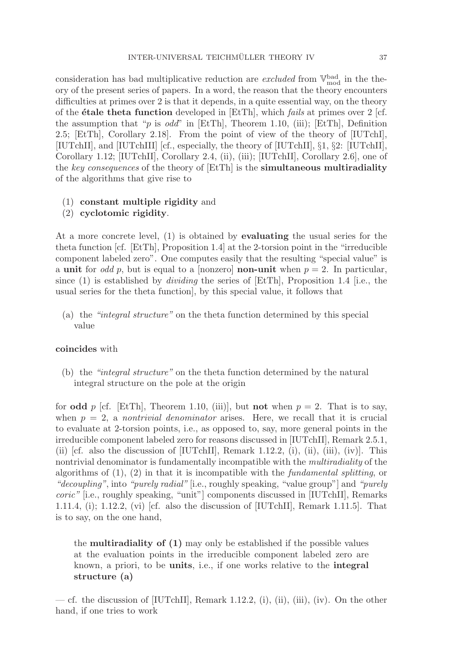consideration has bad multiplicative reduction are *excluded* from  $\mathbb{V}_{\text{mod}}^{\text{bad}}$  in the theory of the present series of papers. In a word, the reason that the theory encounters difficulties at primes over 2 is that it depends, in a quite essential way, on the theory of the **étale theta function** developed in [EtTh], which *fails* at primes over 2 [cf. the assumption that "p is  $odd$ " in [EtTh], Theorem 1.10, (iii); [EtTh], Definition 2.5; [EtTh], Corollary 2.18]. From the point of view of the theory of [IUTchI], [IUTchII], and [IUTchIII] [cf., especially, the theory of [IUTchII], §1, §2: [IUTchII], Corollary 1.12; [IUTchII], Corollary 2.4, (ii), (iii); [IUTchII], Corollary 2.6], one of the key consequences of the theory of [EtTh] is the **simultaneous multiradiality** of the algorithms that give rise to

# (1) **constant multiple rigidity** and

(2) **cyclotomic rigidity**.

At a more concrete level, (1) is obtained by **evaluating** the usual series for the theta function [cf. [EtTh], Proposition 1.4] at the 2-torsion point in the "irreducible component labeled zero". One computes easily that the resulting "special value" is a **unit** for *odd p*, but is equal to a [nonzero] **non-unit** when  $p = 2$ . In particular, since (1) is established by *dividing* the series of  $[EtTh]$ , Proposition 1.4 [i.e., the usual series for the theta function], by this special value, it follows that

(a) the "integral structure" on the theta function determined by this special value

# **coincides** with

(b) the "integral structure" on the theta function determined by the natural integral structure on the pole at the origin

for **odd** p [cf. [EtTh], Theorem 1.10, (iii)], but **not** when  $p = 2$ . That is to say, when  $p = 2$ , a nontrivial denominator arises. Here, we recall that it is crucial to evaluate at 2-torsion points, i.e., as opposed to, say, more general points in the irreducible component labeled zero for reasons discussed in [IUTchII], Remark 2.5.1, (ii) [cf. also the discussion of [IUTchII], Remark 1.12.2, (i), (ii), (iii), (iv)]. This nontrivial denominator is fundamentally incompatible with the multiradiality of the algorithms of  $(1)$ ,  $(2)$  in that it is incompatible with the *fundamental splitting*, or "decoupling", into "purely radial" i.e., roughly speaking, "value group" and "purely" coric" [i.e., roughly speaking, "unit"] components discussed in [IUTchII], Remarks 1.11.4, (i); 1.12.2, (vi) [cf. also the discussion of [IUTchII], Remark 1.11.5]. That is to say, on the one hand,

the **multiradiality of (1)** may only be established if the possible values at the evaluation points in the irreducible component labeled zero are known, a priori, to be **units**, i.e., if one works relative to the **integral structure (a)**

— cf. the discussion of  $[IVTchII]$ , Remark 1.12.2, (i), (ii), (iii), (iv). On the other hand, if one tries to work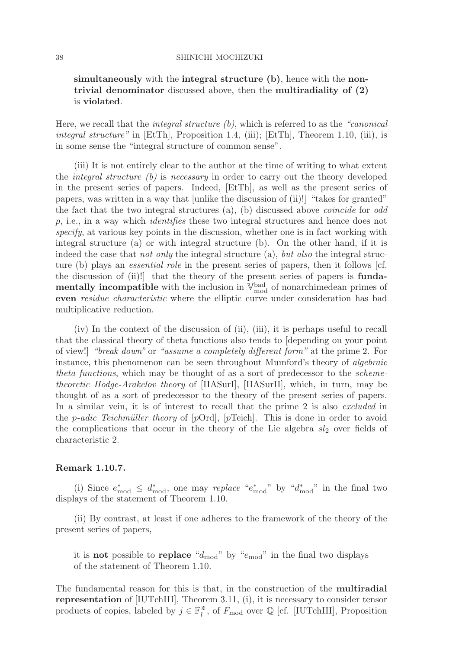# **simultaneously** with the **integral structure (b)**, hence with the **nontrivial denominator** discussed above, then the **multiradiality of (2)** is **violated**.

Here, we recall that the *integral structure*  $(b)$ , which is referred to as the "*canonical integral structure*" in [EtTh], Proposition 1.4, (iii); [EtTh], Theorem 1.10, (iii), is in some sense the "integral structure of common sense".

(iii) It is not entirely clear to the author at the time of writing to what extent the integral structure (b) is necessary in order to carry out the theory developed in the present series of papers. Indeed, [EtTh], as well as the present series of papers, was written in a way that [unlike the discussion of (ii)!] "takes for granted" the fact that the two integral structures (a), (b) discussed above coincide for odd p, i.e., in a way which identifies these two integral structures and hence does not specify, at various key points in the discussion, whether one is in fact working with integral structure (a) or with integral structure (b). On the other hand, if it is indeed the case that *not only* the integral structure  $(a)$ , *but also* the integral structure (b) plays an essential role in the present series of papers, then it follows [cf. the discussion of (ii)!] that the theory of the present series of papers is **fundamentally incompatible** with the inclusion in  $\mathbb{V}_{\text{mod}}^{\text{bad}}$  of nonarchimedean primes of **even** residue characteristic where the elliptic curve under consideration has bad multiplicative reduction.

(iv) In the context of the discussion of (ii), (iii), it is perhaps useful to recall that the classical theory of theta functions also tends to [depending on your point of view!] "break down" or "assume a completely different form" at the prime 2. For instance, this phenomenon can be seen throughout Mumford's theory of algebraic theta functions, which may be thought of as a sort of predecessor to the schemetheoretic Hodge-Arakelov theory of [HASurI], [HASurII], which, in turn, may be thought of as a sort of predecessor to the theory of the present series of papers. In a similar vein, it is of interest to recall that the prime 2 is also excluded in the *p-adic Teichmüller theory* of  $[pOrd]$ ,  $[pTeich]$ . This is done in order to avoid the complications that occur in the theory of the Lie algebra  $sl_2$  over fields of characteristic 2.

# **Remark 1.10.7.**

(i) Since  $e_{\text{mod}}^* \leq d_{\text{mod}}^*$ , one may replace " $e_{\text{mod}}^*$ " by " $d_{\text{mod}}^*$ " in the final two displays of the statement of Theorem 1.10.

(ii) By contrast, at least if one adheres to the framework of the theory of the present series of papers,

it is **not** possible to **replace** " $d_{mod}$ " by " $e_{mod}$ " in the final two displays of the statement of Theorem 1.10.

The fundamental reason for this is that, in the construction of the **multiradial representation** of [IUTchIII], Theorem 3.11, (i), it is necessary to consider tensor products of copies, labeled by  $j \in \mathbb{F}_l^*$ , of  $F_{\text{mod}}$  over  $\mathbb Q$  [cf. [IUTchIII], Proposition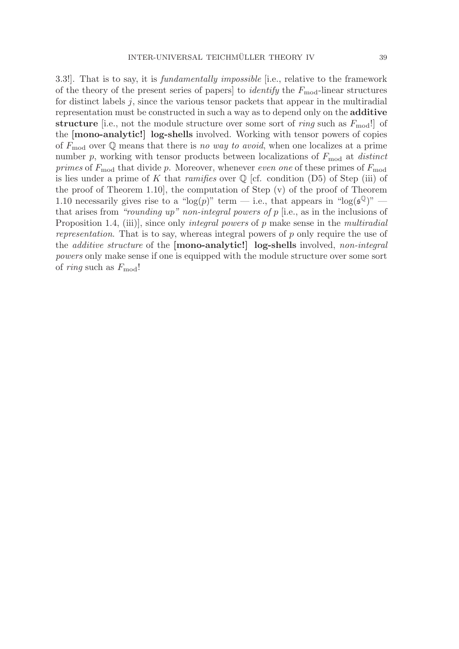3.3!]. That is to say, it is fundamentally impossible [i.e., relative to the framework of the theory of the present series of papers to *identify* the  $F_{mod}$ -linear structures for distinct labels  $j$ , since the various tensor packets that appear in the multiradial representation must be constructed in such a way as to depend only on the **additive structure** [i.e., not the module structure over some sort of *ring* such as  $F_{\text{mod}}$ !] of the **[mono-analytic!] log-shells** involved. Working with tensor powers of copies of  $F_{\text{mod}}$  over Q means that there is no way to avoid, when one localizes at a prime number p, working with tensor products between localizations of  $F_{mod}$  at *distinct* primes of  $F_{\text{mod}}$  that divide p. Moreover, whenever even one of these primes of  $F_{\text{mod}}$ is lies under a prime of K that *ramifies* over  $\mathbb Q$  [cf. condition (D5) of Step (iii) of the proof of Theorem 1.10], the computation of Step (v) of the proof of Theorem 1.10 necessarily gives rise to a "log(p)" term — i.e., that appears in "log( $\mathfrak{s}^{\mathbb{Q}}$ )" that arises from "rounding up" non-integral powers of  $p$  [i.e., as in the inclusions of Proposition 1.4, (iii)], since only *integral powers* of p make sense in the *multiradial* representation. That is to say, whereas integral powers of p only require the use of the additive structure of the **[mono-analytic!] log-shells** involved, non-integral powers only make sense if one is equipped with the module structure over some sort of *ring* such as  $F_{mod}$ !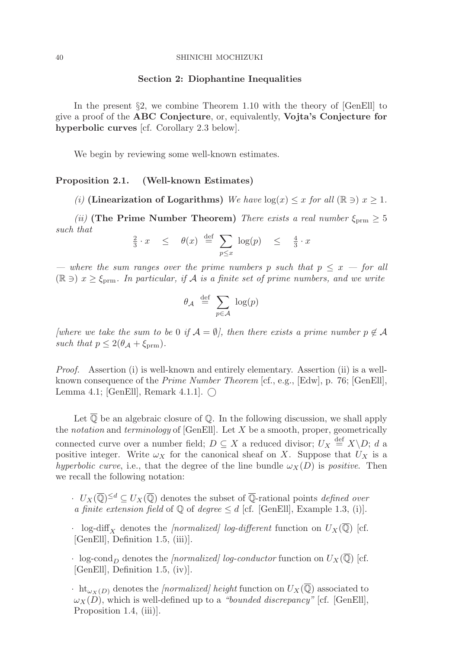### **Section 2: Diophantine Inequalities**

In the present  $\S2$ , we combine Theorem 1.10 with the theory of [GenEll] to give a proof of the **ABC Conjecture**, or, equivalently, **Vojta's Conjecture for hyperbolic curves** [cf. Corollary 2.3 below].

We begin by reviewing some well-known estimates.

### **Proposition 2.1. (Well-known Estimates)**

(i) **(Linearization of Logarithms)** We have  $log(x) \leq x$  for all  $(\mathbb{R} \ni x \geq 1$ .

(ii) **(The Prime Number Theorem)** There exists a real number  $\xi_{\text{prm}} \geq 5$ such that

$$
\frac{2}{3} \cdot x \leq \theta(x) \stackrel{\text{def}}{=} \sum_{p \leq x} \log(p) \leq \frac{4}{3} \cdot x
$$

— where the sum ranges over the prime numbers p such that  $p \leq x$  — for all  $(\mathbb{R} \ni x \geq \xi_{\text{prm}})$ . In particular, if A is a finite set of prime numbers, and we write

$$
\theta_{\mathcal{A}} \stackrel{\text{def}}{=} \sum_{p \in \mathcal{A}} \log(p)
$$

[where we take the sum to be 0 if  $\mathcal{A} = \emptyset$ ], then there exists a prime number  $p \notin \mathcal{A}$ such that  $p \leq 2(\theta_{\mathcal{A}} + \xi_{\text{prm}})$ .

Proof. Assertion (i) is well-known and entirely elementary. Assertion (ii) is a wellknown consequence of the Prime Number Theorem [cf., e.g., [Edw], p. 76; [GenEll], Lemma 4.1; [GenEll], Remark 4.1.1].  $\bigcap$ 

Let  $\overline{\mathbb{Q}}$  be an algebraic closure of  $\mathbb{Q}$ . In the following discussion, we shall apply the notation and terminology of [GenEll]. Let  $X$  be a smooth, proper, geometrically connected curve over a number field;  $D \subseteq X$  a reduced divisor;  $U_X \stackrel{\text{def}}{=} X \backslash D$ ; d a positive integer. Write  $\omega_X$  for the canonical sheaf on X. Suppose that  $U_X$  is a hyperbolic curve, i.e., that the degree of the line bundle  $\omega_X(D)$  is positive. Then we recall the following notation:

 $\cdot$   $U_X(\overline{\mathbb{Q}})^{\leq d} \subset U_X(\overline{\mathbb{Q}})$  denotes the subset of  $\overline{\mathbb{Q}}$ -rational points *defined over* a finite extension field of  $\mathbb Q$  of degree  $\leq d$  [cf. [GenEll], Example 1.3, (i)].

- · log-diff<sub>X</sub> denotes the *[normalized]* log-different function on  $U_X(\overline{\mathbb{Q}})$  [cf. [GenEll], Definition 1.5, (iii)].
- · log-cond<sub>D</sub> denotes the [normalized] log-conductor function on  $U_X(\overline{\mathbb{Q}})$  [cf. [GenEll], Definition 1.5, (iv)].

 $\cdot$  ht<sub> $\omega_X(D)$ </sub> denotes the *[normalized] height* function on  $U_X(\overline{\mathbb{Q}})$  associated to  $\omega_X(D)$ , which is well-defined up to a "bounded discrepancy" [cf. [GenEll], Proposition 1.4, (iii).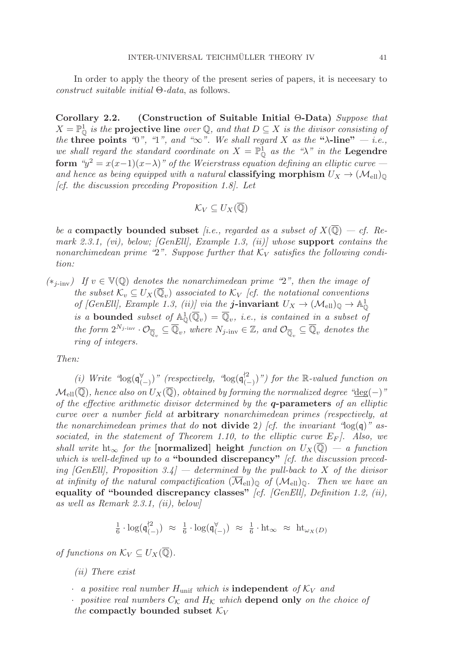In order to apply the theory of the present series of papers, it is neceesary to construct suitable initial Θ-data, as follows.

**Corollary 2.2. (Construction of Suitable Initial** Θ**-Data)** Suppose that  $X = \mathbb{P}^1_{\mathbb{Q}}$  is the **projective line** over  $\mathbb{Q}$ , and that  $D \subseteq X$  is the divisor consisting of the **three points** "0", "1", and " $\infty$ ". We shall regard X as the " $\lambda$ -line"  $-$  *i.e.*, we shall regard the standard coordinate on  $X = \mathbb{P}^1_{\mathbb{Q}}$  as the " $\lambda$ " in the **Legendre form** " $y^2 = x(x-1)(x-\lambda)$ " of the Weierstrass equation defining an elliptic curve and hence as being equipped with a natural **classifying morphism**  $U_X \rightarrow (\mathcal{M}_{ell})_0$  $[cf.$  the discussion preceding Proposition 1.8. Let

$$
\mathcal{K}_V \subseteq U_X(\overline{\mathbb{Q}})
$$

be a **compactly bounded subset** *[i.e., regarded as a subset of*  $X(\overline{Q}) - cf.$  Remark 2.3.1, (vi), below; [GenEll], Example 1.3, (ii)] whose **support** contains the nonarchimedean prime "2". Suppose further that  $K_V$  satisfies the following condition:

 $(*_{i\text{-inv}})$  If  $v \in V(\mathbb{Q})$  denotes the nonarchimedean prime "2", then the image of the subset  $\mathcal{K}_v \subseteq U_X(\overline{\mathbb{Q}}_v)$  associated to  $\mathcal{K}_V$  [cf. the notational conventions of [GenEll], Example 1.3, (ii)] via the **j-invariant**  $U_X \to (\mathcal{M}_{ell})_\mathbb{Q} \to \mathbb{A}_\mathbb{Q}^1$ is a **bounded** subset of  $\mathbb{A}_{\mathbb{Q}}^1(\overline{\mathbb{Q}}_v) = \overline{\mathbb{Q}}_v$ , *i.e.*, *is contained in a subset of* the form  $2^{N_{j\text{-inv}}} \cdot \mathcal{O}_{\overline{\mathbb{Q}}_v} \subseteq \overline{\mathbb{Q}}_v$ , where  $N_{j\text{-inv}} \in \mathbb{Z}$ , and  $\mathcal{O}_{\overline{\mathbb{Q}}_v} \subseteq \overline{\mathbb{Q}}_v$  denotes the ring of integers.

Then:

(i) Write " $\log(\mathfrak{q}_{-}^{\vee})$ " (respectively, " $\log(\mathfrak{q}_{-}^{\sharp2})$ ") for the R-valued function on  $\mathcal{M}_{ell}(\overline{\mathbb{Q}})$ , hence also on  $U_X(\overline{\mathbb{Q}})$ , obtained by forming the normalized degree "deg(-)" of the effective arithmetic divisor determined by the *q***-parameters** of an elliptic curve over a number field at **arbitrary** nonarchimedean primes (respectively, at the nonarchimedean primes that do **not divide** 2) [cf. the invariant " $log(q)$ " associated, in the statement of Theorem 1.10, to the elliptic curve  $E_F$ . Also, we shall write ht<sub>∞</sub> for the [normalized] height function on  $U_X(\mathbb{Q}) - a$  function which is well-defined up to a "**bounded discrepancy**" [cf. the discussion preceding [GenEll], Proposition 3.4] — determined by the pull-back to X of the divisor at infinity of the natural compactification  $(M_{\text{ell}})_{\text{Q}}$  of  $(M_{\text{ell}})_{\text{Q}}$ . Then we have an **equality of "bounded discrepancy classes"** [cf. [GenEll], Definition 1.2, (ii), as well as Remark 2.3.1, (ii), below]

$$
\tfrac{1}{6}\cdot \log(\mathfrak{q}_{(-)}^{\sharp 2}) \,\,\approx\,\, \tfrac{1}{6}\cdot \log(\mathfrak{q}_{(-)}^\forall) \,\,\approx\,\, \tfrac{1}{6}\cdot \mathrm{ht}_{\infty} \,\,\approx\,\, \mathrm{ht}_{\omega_X(D)}
$$

of functions on  $\mathcal{K}_V \subset U_X(\overline{\mathbb{Q}})$ .

(ii) There exist

 $\cdot$  a positive real number  $H_{\text{unif}}$  which is **independent** of  $K_V$  and

<sup>•</sup> positive real numbers  $C_K$  and  $H_K$  which **depend only** on the choice of the **compactly** bounded subset  $\mathcal{K}_V$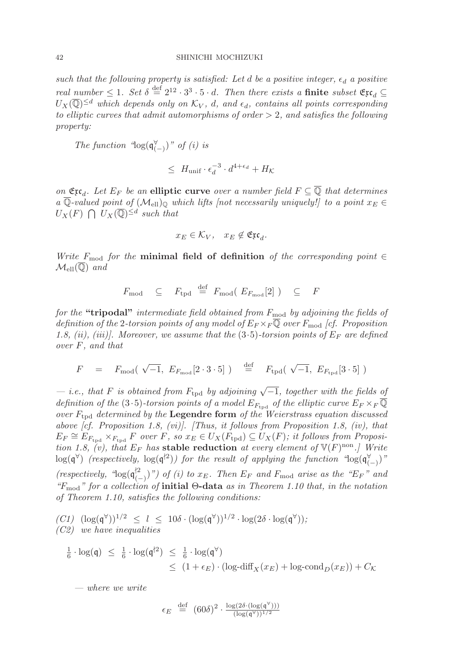such that the following property is satisfied: Let d be a positive integer,  $\epsilon_d$  a positive real number  $\leq 1$ . Set  $\delta \stackrel{\text{def}}{=} 2^{12} \cdot 3^3 \cdot 5 \cdot d$ . Then there exists a **finite** subset  $\mathfrak{Ex}_d \subseteq$  $U_X(\overline{\mathbb{Q}})^{\le d}$  which depends only on  $\mathcal{K}_V$ , d, and  $\epsilon_d$ , contains all points corresponding to elliptic curves that admit automorphisms of order  $> 2$ , and satisfies the following property:

The function " $log(q_{(-)}^{\vee})$ " of (i) is

$$
\leq H_{\text{unif}} \cdot \epsilon_d^{-3} \cdot d^{4+\epsilon_d} + H_{\mathcal{K}}
$$

on  $\mathfrak{Ex}_d$ . Let  $E_F$  be an elliptic curve over a number field  $F \subseteq \overline{\mathbb{Q}}$  that determines a  $\overline{\mathbb{Q}}$ -valued point of  $(\mathcal{M}_{ell})_{\mathbb{Q}}$  which lifts [not necessarily uniquely!] to a point  $x_E \in$  $U_X(F) \bigcap U_X(\overline{\mathbb{Q}})^{\leq d}$  such that

$$
x_E \in \mathcal{K}_V, \quad x_E \notin \mathfrak{Ex}_d.
$$

Write  $F_{\text{mod}}$  for the **minimal field of definition** of the corresponding point  $\in$  $\mathcal{M}_{\text{ell}}(\overline{\mathbb{Q}})$  and

$$
F_{\text{mod}} \subseteq F_{\text{tpd}} \stackrel{\text{def}}{=} F_{\text{mod}} (E_{F_{\text{mod}}}[2]) \subseteq F
$$

for the "tripodal" intermediate field obtained from  $F_{\text{mod}}$  by adjoining the fields of definition of the 2-torsion points of any model of  $E_F \times_F \mathbb{Q}$  over  $F_{\text{mod}}$  [cf. Proposition 1.8, (ii), (iii)]. Moreover, we assume that the  $(3.5)$ -torsion points of  $E_F$  are defined over F, and that

$$
F = F_{\text{mod}}(\sqrt{-1}, E_{F_{\text{mod}}}[2 \cdot 3 \cdot 5]) = \stackrel{\text{def}}{=} F_{\text{tpd}}(\sqrt{-1}, E_{F_{\text{tpd}}}[3 \cdot 5])
$$

 $-$  i.e., that F is obtained from  $F_{\text{tpd}}$  by adjoining  $\sqrt{-1}$ , together with the fields of definition of the (3.5)-torsion points of a model  $E_{F_{\text{tnd}}}$  of the elliptic curve  $E_F \times_F \overline{\mathbb{Q}}$ over  $F_{\text{tnd}}$  determined by the **Legendre form** of the Weierstrass equation discussed above [cf. Proposition 1.8, (vi)]. [Thus, it follows from Proposition 1.8, (iv), that  $E_F \cong E_{F_{\text{tnd}}} \times_{F_{\text{tnd}}} F$  over F, so  $x_E \in U_X(F_{\text{tpd}}) \subseteq U_X(F)$ ; it follows from Proposition 1.8, (v), that  $E_F$  has **stable reduction** at every element of  $V(F)^{non}$ .] Write  $\log(\mathfrak{q}^{\forall})$  (respectively,  $\log(\mathfrak{q}^{\nmid 2})$ ) for the result of applying the function " $\log(\mathfrak{q}_{(-)}^{\nmid})$ " (respectively, " $\log(\mathfrak{q}_{(-)}^{2})$ ") of (i) to  $x_E$ . Then  $E_F$  and  $F_{\text{mod}}$  arise as the " $E_F$ " and "Fmod" for a collection of **initial** Θ**-data** as in Theorem 1.10 that, in the notation of Theorem 1.10, satisfies the following conditions:

$$
(C1) \ (\log(\mathfrak{q}^{\forall}))^{1/2} \leq l \leq 10\delta \cdot (\log(\mathfrak{q}^{\forall}))^{1/2} \cdot \log(2\delta \cdot \log(\mathfrak{q}^{\forall}));
$$
  
(C2) we have inequalities

$$
\frac{1}{6} \cdot \log(\mathfrak{q}) \leq \frac{1}{6} \cdot \log(\mathfrak{q}^{\dagger 2}) \leq \frac{1}{6} \cdot \log(\mathfrak{q}^{\forall})
$$
\n
$$
\leq (1 + \epsilon_E) \cdot (\log\text{-diff}_X(x_E) + \log\text{-cond}_D(x_E)) + C_{\mathcal{K}}
$$

— where we write

$$
\epsilon_E \stackrel{\text{def}}{=} (60\delta)^2 \cdot \frac{\log(2\delta \cdot (\log(\mathfrak{q}^{\forall})))}{(\log(\mathfrak{q}^{\forall}))^{1/2}}
$$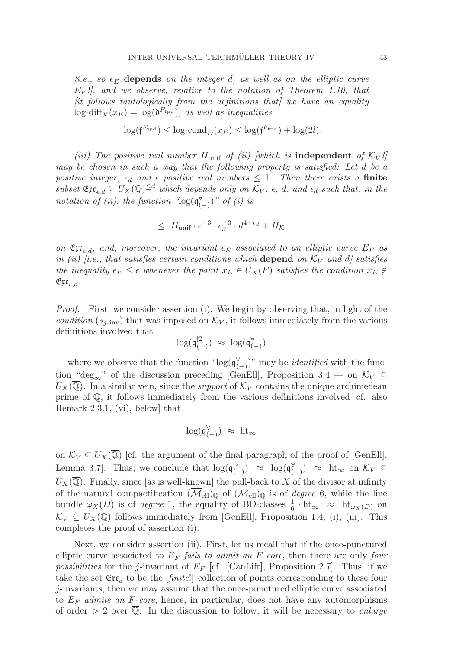$(i.e., so  $\epsilon_E$  depends on the integer d, as well as on the elliptic curve$  $E_F$ !, and we observe, relative to the notation of Theorem 1.10, that  $[it follows that] to be a set of functions that] we have an equality.$  $\log$ -diff<sub>X</sub> $(x_E) = \log(\mathfrak{d}^{F_{\text{tpd}}})$ , as well as inequalities

$$
\log(\mathfrak{f}^{F_{\mathrm{tpd}}}) \le \log\text{-cond}_D(x_E) \le \log(\mathfrak{f}^{F_{\mathrm{tpd}}}) + \log(2l).
$$

(iii) The positive real number  $H_{\text{unif}}$  of (ii) [which is **independent** of  $\mathcal{K}_V$ !] may be chosen in such a way that the following property is satisfied: Let d be a positive integer,  $\epsilon_d$  and  $\epsilon$  positive real numbers  $\leq 1$ . Then there exists a **finite**  $subset \mathfrak{Ex}_{\epsilon,d} \subseteq U_X(\overline{\mathbb{Q}})^{\leq d}$  which depends only on  $\overline{\mathcal{K}}_V$ ,  $\epsilon$ , d, and  $\epsilon_d$  such that, in the notation of (ii), the function " $log(\mathfrak{q}^{\forall}_{(-)})$ " of (i) is

$$
\leq H_{\text{unif}} \cdot \epsilon^{-3} \cdot \epsilon_d^{-3} \cdot d^{4+\epsilon_d} + H_K
$$

on  $\mathfrak{Ex}_{\epsilon,d}$ , and, moreover, the invariant  $\epsilon_E$  associated to an elliptic curve  $E_F$  as in (ii) [i.e., that satisfies certain conditions which **depend** on  $K_V$  and d] satisfies the inequality  $\epsilon_E \leq \epsilon$  whenever the point  $x_E \in U_X(F)$  satisfies the condition  $x_E \notin$  $\mathfrak{Exc}_{\epsilon,d}.$ 

Proof. First, we consider assertion (i). We begin by observing that, in light of the condition ( $*_i$ -inv) that was imposed on  $\mathcal{K}_V$ , it follows immediately from the various definitions involved that

$$
\log(\mathfrak{q}_{(-)}^{\dagger 2}) \,\,\approx\,\, \log(\mathfrak{q}_{(-)}^{\forall})
$$

— where we observe that the function "log( $\mathfrak{q}^{\forall}_{(-)}$ )" may be *identified* with the function " $deg_\infty$ " of the discussion preceding [GenEll], Proposition 3.4 — on  $\mathcal{K}_V \subseteq$  $U_X(\overline{\mathbb{Q}})$ . In a similar vein, since the *support* of  $\mathcal{K}_V$  contains the unique archimedean prime of Q, it follows immediately from the various definitions involved [cf. also Remark 2.3.1, (vi), below] that

$$
\log(\mathfrak{q}_{(-)}^{\forall}) \; \approx \; \text{ht}_{\infty}
$$

on  $\mathcal{K}_V \subseteq U_X(\overline{\mathbb{Q}})$  [cf. the argument of the final paragraph of the proof of [GenEll], Lemma 3.7. Thus, we conclude that  $\log(\mathfrak{q}_{(-)}^{\sharp2}) \approx \log(\mathfrak{q}_{(-)}^{\forall}) \approx \text{ht}_{\infty}$  on  $\mathcal{K}_V \subseteq$  $U_X(\overline{\mathbb{Q}})$ . Finally, since [as is well-known] the pull-back to X of the divisor at infinity of the natural compactification  $(\overline{\mathcal{M}}_{ell})_0$  of  $(\mathcal{M}_{ell})_0$  is of *degree* 6, while the line bundle  $\omega_X(D)$  is of *degree* 1, the equality of BD-classes  $\frac{1}{6} \cdot ht_{\infty} \approx ht_{\omega_X(D)}$  on  $\mathcal{K}_V \subseteq U_X(\overline{\mathbb{Q}})$  follows immediately from [GenEll], Proposition 1.4, (i), (iii). This completes the proof of assertion (i).

Next, we consider assertion (ii). First, let us recall that if the once-punctured elliptic curve associated to  $E_F$  fails to admit an F-core, then there are only four *possibilities* for the *j*-invariant of  $E_F$  [cf. [CanLift], Proposition 2.7]. Thus, if we take the set  $\mathfrak{Ex}_{d}$  to be the [*finite*!] collection of points corresponding to these four j-invariants, then we may assume that the once-punctured elliptic curve associated to  $E_F$  admits an F-core, hence, in particular, does not have any automorphisms of order  $> 2$  over  $\overline{\mathbb{Q}}$ . In the discussion to follow, it will be necessary to *enlarge*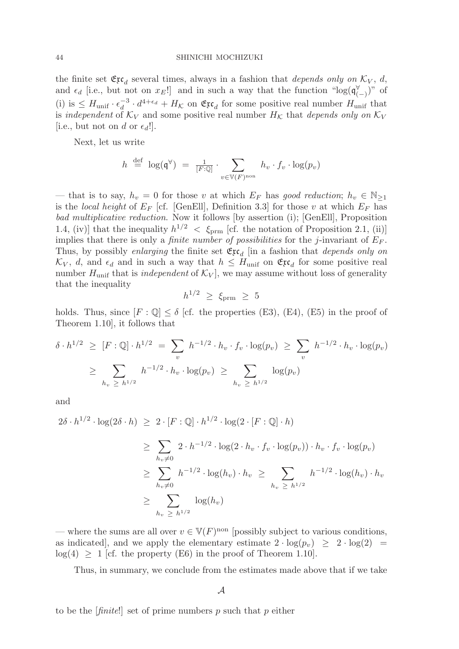the finite set  $\mathfrak{Ex}_d$  several times, always in a fashion that depends only on  $\mathcal{K}_V$ , d, and  $\epsilon_d$  [i.e., but not on  $x_E!$ ] and in such a way that the function " $\log(\mathfrak{q}_{(-)}^{\vee})$ " of (i) is  $\leq H_{\text{unif}} \cdot \epsilon_d^{-3} \cdot d^{4+\epsilon_d} + H_{\mathcal{K}}$  on  $\mathfrak{Ex}_d$  for some positive real number  $H_{\text{unif}}$  that is independent of  $K_V$  and some positive real number  $H_K$  that depends only on  $K_V$ [i.e., but not on d or  $\epsilon_d$ !].

Next, let us write

$$
h \stackrel{\text{def}}{=} \log(\mathfrak{q}^{\forall}) = \frac{1}{[F:\mathbb{Q}]} \cdot \sum_{v \in \mathbb{V}(F)^{\text{non}}} h_v \cdot f_v \cdot \log(p_v)
$$

— that is to say,  $h_v = 0$  for those v at which  $E_F$  has good reduction;  $h_v \in \mathbb{N}_{\geq 1}$ is the local height of  $E_F$  [cf. [GenEll], Definition 3.3] for those v at which  $E_F$  has bad multiplicative reduction. Now it follows [by assertion (i); [GenEll], Proposition 1.4, (iv)] that the inequality  $h^{1/2}$  <  $\xi_{\rm prim}$  [cf. the notation of Proposition 2.1, (ii)] implies that there is only a *finite number of possibilities* for the *j*-invariant of  $E_F$ . Thus, by possibly enlarging the finite set  $\mathfrak{Ex}_d$  [in a fashion that *depends only on*  $\mathcal{K}_V$ , d, and  $\epsilon_d$  and in such a way that  $h \leq H_{\text{unif}}$  on  $\mathfrak{Ex}_d$  for some positive real number  $H_{\text{unif}}$  that is *independent* of  $\mathcal{K}_V$ , we may assume without loss of generality that the inequality

$$
h^{1/2}~\ge~\xi_{\rm{prm}}~\ge~5
$$

holds. Thus, since  $[F: \mathbb{Q}] \le \delta$  [cf. the properties (E3), (E4), (E5) in the proof of Theorem 1.10], it follows that

$$
\delta \cdot h^{1/2} \geq [F : \mathbb{Q}] \cdot h^{1/2} = \sum_{v} h^{-1/2} \cdot h_v \cdot f_v \cdot \log(p_v) \geq \sum_{v} h^{-1/2} \cdot h_v \cdot \log(p_v)
$$
  

$$
\geq \sum_{h_v \geq h^{1/2}} h^{-1/2} \cdot h_v \cdot \log(p_v) \geq \sum_{h_v \geq h^{1/2}} \log(p_v)
$$

and

$$
2\delta \cdot h^{1/2} \cdot \log(2\delta \cdot h) \ge 2 \cdot [F : \mathbb{Q}] \cdot h^{1/2} \cdot \log(2 \cdot [F : \mathbb{Q}] \cdot h)
$$
  
\n
$$
\ge \sum_{h_v \ne 0} 2 \cdot h^{-1/2} \cdot \log(2 \cdot h_v \cdot f_v \cdot \log(p_v)) \cdot h_v \cdot f_v \cdot \log(p_v)
$$
  
\n
$$
\ge \sum_{h_v \ne 0} h^{-1/2} \cdot \log(h_v) \cdot h_v \ge \sum_{h_v \ge h^{1/2}} h^{-1/2} \cdot \log(h_v) \cdot h_v
$$
  
\n
$$
\ge \sum_{h_v \ge h^{1/2}} \log(h_v)
$$

— where the sums are all over  $v \in V(F)$ <sup>non</sup> [possibly subject to various conditions, as indicated, and we apply the elementary estimate  $2 \cdot \log(p_v) \geq 2 \cdot \log(2) =$  $log(4) \geq 1$  [cf. the property (E6) in the proof of Theorem 1.10].

Thus, in summary, we conclude from the estimates made above that if we take

to be the  $[\text{finite}!]$  set of prime numbers p such that p either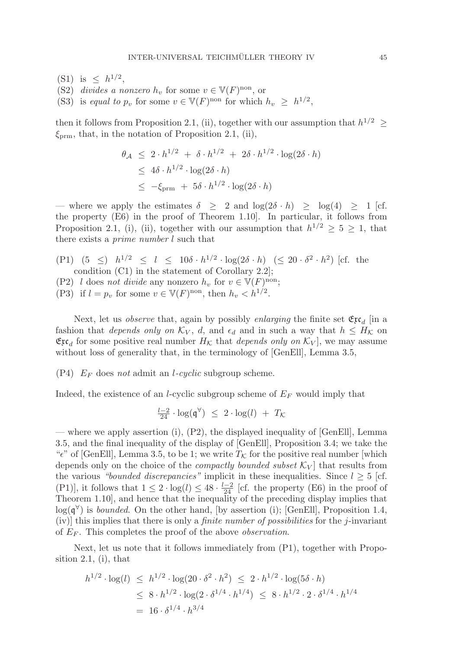- (S1) is  $\leq h^{1/2}$ ,
- (S2) divides a nonzero  $h_v$  for some  $v \in V(F)$ <sup>non</sup>, or
- (S3) is equal to  $p_v$  for some  $v \in V(F)$ <sup>non</sup> for which  $h_v \geq h^{1/2}$ ,

then it follows from Proposition 2.1, (ii), together with our assumption that  $h^{1/2} \geq$  $\xi_{\text{prm}}$ , that, in the notation of Proposition 2.1, (ii),

$$
\theta_{\mathcal{A}} \leq 2 \cdot h^{1/2} + \delta \cdot h^{1/2} + 2\delta \cdot h^{1/2} \cdot \log(2\delta \cdot h)
$$
  
\n
$$
\leq 4\delta \cdot h^{1/2} \cdot \log(2\delta \cdot h)
$$
  
\n
$$
\leq -\xi_{\text{prm}} + 5\delta \cdot h^{1/2} \cdot \log(2\delta \cdot h)
$$

— where we apply the estimates  $\delta \geq 2$  and  $\log(2\delta \cdot h) \geq \log(4) \geq 1$  [cf. the property (E6) in the proof of Theorem 1.10]. In particular, it follows from Proposition 2.1, (i), (ii), together with our assumption that  $h^{1/2} \geq 5 \geq 1$ , that there exists a prime number l such that

- (P1)  $(5 \le) h^{1/2} \le l \le 10\delta \cdot h^{1/2} \cdot \log(2\delta \cdot h) \le 20 \cdot \delta^2 \cdot h^2$  [cf. the condition (C1) in the statement of Corollary 2.2];
- (P2) l does not divide any nonzero  $h_v$  for  $v \in V(F)^\text{non}$ ;
- (P3) if  $l = p_v$  for some  $v \in V(F)$ <sup>non</sup>, then  $h_v < h^{1/2}$ .

Next, let us *observe* that, again by possibly *enlarging* the finite set  $\mathfrak{Ex}_{d}$  [in a fashion that *depends only on*  $\mathcal{K}_V$ ,  $d$ , and  $\epsilon_d$  and in such a way that  $h \leq H_K$  on  $\mathfrak{Ex}_{d}$  for some positive real number  $H_{\mathcal{K}}$  that *depends only on*  $\mathcal{K}_V$ , we may assume without loss of generality that, in the terminology of [GenEll], Lemma 3.5,

 $(P4)$   $E_F$  does not admit an *l-cyclic* subgroup scheme.

Indeed, the existence of an *l*-cyclic subgroup scheme of  $E_F$  would imply that

$$
\frac{l-2}{24} \cdot \log(\mathfrak{q}^{\forall}) \leq 2 \cdot \log(l) + T_{\mathcal{K}}
$$

— where we apply assertion (i), (P2), the displayed inequality of [GenEll], Lemma 3.5, and the final inequality of the display of [GenEll], Proposition 3.4; we take the " $\epsilon$ " of [GenEll], Lemma 3.5, to be 1; we write  $T_{\mathcal{K}}$  for the positive real number [which depends only on the choice of the *compactly bounded subset*  $\mathcal{K}_V$  that results from the various "bounded discrepancies" implicit in these inequalities. Since  $l \geq 5$  [cf. (P1)], it follows that  $1 \leq 2 \cdot \log(l) \leq 48 \cdot \frac{l-2}{24}$  [cf. the property (E6) in the proof of Theorem 1.10], and hence that the inequality of the preceding display implies that  $log(q^{\forall})$  is *bounded*. On the other hand, [by assertion (i); [GenEll], Proposition 1.4, (iv)] this implies that there is only a *finite number of possibilities* for the *j*-invariant of  $E_F$ . This completes the proof of the above *observation*.

Next, let us note that it follows immediately from (P1), together with Proposition 2.1, (i), that

$$
h^{1/2} \cdot \log(l) \leq h^{1/2} \cdot \log(20 \cdot \delta^2 \cdot h^2) \leq 2 \cdot h^{1/2} \cdot \log(5\delta \cdot h)
$$
  
\$\leq 8 \cdot h^{1/2} \cdot \log(2 \cdot \delta^{1/4} \cdot h^{1/4}) \leq 8 \cdot h^{1/2} \cdot 2 \cdot \delta^{1/4} \cdot h^{1/4}\$  
= 16 \cdot \delta^{1/4} \cdot h^{3/4}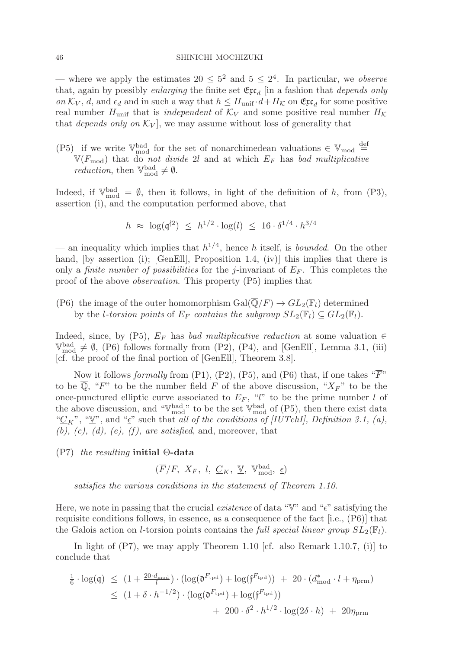— where we apply the estimates  $20 \leq 5^2$  and  $5 \leq 2^4$ . In particular, we *observe* that, again by possibly enlarging the finite set  $\mathfrak{Ex}_{d}$  [in a fashion that depends only on  $\mathcal{K}_V$ , d, and  $\epsilon_d$  and in such a way that  $h \leq H_{\text{unif}} \cdot d + H_{\mathcal{K}}$  on  $\mathfrak{Ex}_{d}$  for some positive real number  $H_{\text{unif}}$  that is *independent* of  $K_V$  and some positive real number  $H_K$ that *depends only on*  $\mathcal{K}_V$ , we may assume without loss of generality that

(P5) if we write  $\mathbb{V}_{\text{mod}}^{\text{bad}}$  for the set of nonarchimedean valuations  $\in \mathbb{V}_{\text{mod}}^{\text{def}}$  $V(F_{\text{mod}})$  that do not divide 2l and at which  $E_F$  has bad multiplicative *reduction*, then  $\mathbb{V}_{\text{mod}}^{\text{bad}} \neq \emptyset$ .

Indeed, if  $\mathbb{V}_{\text{mod}}^{\text{bad}} = \emptyset$ , then it follows, in light of the definition of h, from (P3), assertion (i), and the computation performed above, that

$$
h \;\approx\; \log(\mathfrak{q}^{\dagger 2}) \;\leq\; h^{1/2} \cdot \log(l) \;\leq\; 16 \cdot \delta^{1/4} \cdot h^{3/4}
$$

— an inequality which implies that  $h^{1/4}$ , hence h itself, is *bounded*. On the other hand, [by assertion (i); [GenEll], Proposition 1.4, (iv)] this implies that there is only a *finite number of possibilities* for the *j*-invariant of  $E_F$ . This completes the proof of the above observation. This property (P5) implies that

(P6) the image of the outer homomorphism  $Gal(\overline{\mathbb{Q}}/F) \to GL_2(\mathbb{F}_l)$  determined by the *l*-torsion points of  $E_F$  contains the subgroup  $SL_2(\mathbb{F}_l) \subseteq GL_2(\mathbb{F}_l)$ .

Indeed, since, by (P5),  $E_F$  has bad multiplicative reduction at some valuation  $\in$  $\mathbb{V}_{\text{mod}}^{\text{bad}} \neq \emptyset$ , (P6) follows formally from (P2), (P4), and [GenEll], Lemma 3.1, (iii) [cf. the proof of the final portion of [GenEll], Theorem 3.8].

Now it follows formally from (P1), (P2), (P5), and (P6) that, if one takes " $\overline{F}$ " to be  $\overline{\mathbb{Q}}$ , "F" to be the number field F of the above discussion, " $X_F$ " to be the once-punctured elliptic curve associated to  $E_F$ , "l" to be the prime number l of the above discussion, and " $\mathbb{V}_{\text{mod}}^{\text{bad}}$ " to be the set  $\mathbb{V}_{\text{mod}}^{\text{bad}}$  of (P5), then there exist data " $C_K$ ", " $\underline{V}$ ", and " $\underline{\epsilon}$ " such that all of the conditions of [IUTchI], Definition 3.1, (a),  $(b), (c), (d), (e), (f),$  are satisfied, and, moreover, that

### (P7) the resulting **initial** Θ**-data**

 $(\overline{F}/F, X_F, l, \underline{C}_K, \underline{V}, \mathbb{V}^{\text{bad}}_{\text{mod}}, \underline{\epsilon})$ 

satisfies the various conditions in the statement of Theorem 1.10.

Here, we note in passing that the crucial *existence* of data " $\underline{V}$ " and " $\underline{\epsilon}$ " satisfying the requisite conditions follows, in essence, as a consequence of the fact [i.e., (P6)] that the Galois action on *l*-torsion points contains the *full special linear group*  $SL_2(\mathbb{F}_l)$ .

In light of  $(P7)$ , we may apply Theorem 1.10 [cf. also Remark 1.10.7, (i)] to conclude that

$$
\frac{1}{6} \cdot \log(\mathfrak{q}) \leq (1 + \frac{20 \cdot d_{\text{mod}}}{l}) \cdot (\log(\mathfrak{d}^{F_{\text{tpd}}}) + \log(\mathfrak{f}^{F_{\text{tpd}}})) + 20 \cdot (d_{\text{mod}}^* \cdot l + \eta_{\text{prm}})
$$
\n
$$
\leq (1 + \delta \cdot h^{-1/2}) \cdot (\log(\mathfrak{d}^{F_{\text{tpd}}}) + \log(\mathfrak{f}^{F_{\text{tpd}}}))
$$
\n
$$
+ 200 \cdot \delta^2 \cdot h^{1/2} \cdot \log(2\delta \cdot h) + 20\eta_{\text{prm}}
$$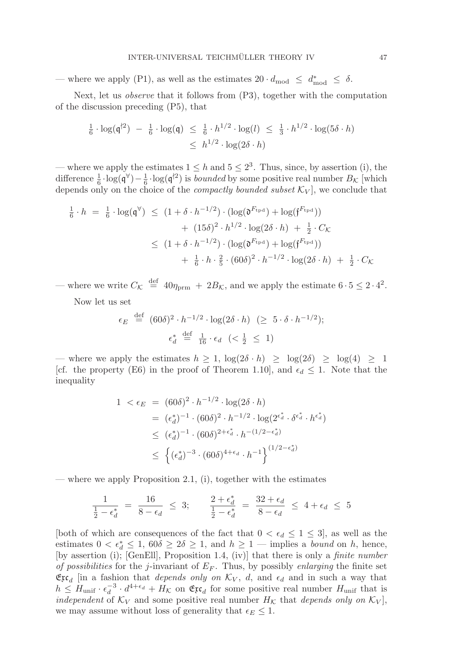— where we apply (P1), as well as the estimates  $20 \cdot d_{\text{mod}} \leq d^*_{\text{mod}} \leq \delta$ .

Next, let us observe that it follows from (P3), together with the computation of the discussion preceding (P5), that

$$
\frac{1}{6} \cdot \log(\mathfrak{q}^{\dagger 2}) - \frac{1}{6} \cdot \log(\mathfrak{q}) \leq \frac{1}{6} \cdot h^{1/2} \cdot \log(l) \leq \frac{1}{3} \cdot h^{1/2} \cdot \log(5\delta \cdot h)
$$
  

$$
\leq h^{1/2} \cdot \log(2\delta \cdot h)
$$

— where we apply the estimates  $1 \leq h$  and  $5 \leq 2^3$ . Thus, since, by assertion (i), the difference  $\frac{1}{6} \cdot \log(\mathfrak{q}^{\vee}) - \frac{1}{6} \cdot \log(\mathfrak{q}^{\dagger 2})$  is *bounded* by some positive real number  $B_{\mathcal{K}}$  [which depends only on the choice of the *compactly bounded subset*  $\mathcal{K}_V$ , we conclude that

$$
\frac{1}{6} \cdot h = \frac{1}{6} \cdot \log(\mathfrak{q}^{\forall}) \le (1 + \delta \cdot h^{-1/2}) \cdot (\log(\mathfrak{d}^{F_{\text{tpd}}}) + \log(\mathfrak{f}^{F_{\text{tpd}}})) \n+ (15\delta)^2 \cdot h^{1/2} \cdot \log(2\delta \cdot h) + \frac{1}{2} \cdot C_{\mathcal{K}} \n\le (1 + \delta \cdot h^{-1/2}) \cdot (\log(\mathfrak{d}^{F_{\text{tpd}}}) + \log(\mathfrak{f}^{F_{\text{tpd}}})) \n+ \frac{1}{6} \cdot h \cdot \frac{2}{5} \cdot (60\delta)^2 \cdot h^{-1/2} \cdot \log(2\delta \cdot h) + \frac{1}{2} \cdot C_{\mathcal{K}}
$$

— where we write  $C_{\mathcal{K}} \stackrel{\text{def}}{=} 40\eta_{\text{prm}} + 2B_{\mathcal{K}}$ , and we apply the estimate  $6 \cdot 5 \leq 2 \cdot 4^2$ .

Now let us set

$$
\epsilon_E \stackrel{\text{def}}{=} (60\delta)^2 \cdot h^{-1/2} \cdot \log(2\delta \cdot h) \ \ (\geq 5 \cdot \delta \cdot h^{-1/2});
$$
\n
$$
\epsilon_d^* \stackrel{\text{def}}{=} \frac{1}{16} \cdot \epsilon_d \ \ (< \frac{1}{2} \ \leq \ 1)
$$

— where we apply the estimates  $h \geq 1$ ,  $\log(2\delta \cdot h) \geq \log(2\delta) \geq \log(4) \geq 1$ [cf. the property (E6) in the proof of Theorem 1.10], and  $\epsilon_d \leq 1$ . Note that the inequality

$$
1 < \epsilon_E = (60\delta)^2 \cdot h^{-1/2} \cdot \log(2\delta \cdot h)
$$
  
\n
$$
= (\epsilon_d^*)^{-1} \cdot (60\delta)^2 \cdot h^{-1/2} \cdot \log(2^{\epsilon_d^*} \cdot \delta^{\epsilon_d^*} \cdot h^{\epsilon_d^*})
$$
  
\n
$$
\leq (\epsilon_d^*)^{-1} \cdot (60\delta)^{2 + \epsilon_d^*} \cdot h^{-(1/2 - \epsilon_d^*)}
$$
  
\n
$$
\leq \left\{ (\epsilon_d^*)^{-3} \cdot (60\delta)^{4 + \epsilon_d} \cdot h^{-1} \right\}^{(1/2 - \epsilon_d^*)}
$$

— where we apply Proposition 2.1, (i), together with the estimates

$$
\frac{1}{\frac{1}{2} - \epsilon_d^*} = \frac{16}{8 - \epsilon_d} \leq 3; \qquad \frac{2 + \epsilon_d^*}{\frac{1}{2} - \epsilon_d^*} = \frac{32 + \epsilon_d}{8 - \epsilon_d} \leq 4 + \epsilon_d \leq 5
$$

[both of which are consequences of the fact that  $0 < \epsilon_d \leq 1 \leq 3$ ], as well as the estimates  $0 < \epsilon_d^* \leq 1$ ,  $60\delta \geq 2\delta \geq 1$ , and  $h \geq 1$  — implies a *bound* on h, hence, [by assertion (i); [GenEll], Proposition 1.4, (iv)] that there is only a finite number of possibilities for the j-invariant of  $E_F$ . Thus, by possibly enlarging the finite set  $\mathfrak{Ex}_{d}$  [in a fashion that *depends only on*  $\mathcal{K}_V$ , *d*, and  $\epsilon_d$  and in such a way that  $h \leq H_{\text{unif}} \cdot \epsilon_d^{-3} \cdot d^{4+\epsilon_d} + H_K$  on  $\mathfrak{Ex}_d$  for some positive real number  $H_{\text{unif}}$  that is independent of  $K_V$  and some positive real number  $H_K$  that depends only on  $K_V$ , we may assume without loss of generality that  $\epsilon_E \leq 1$ .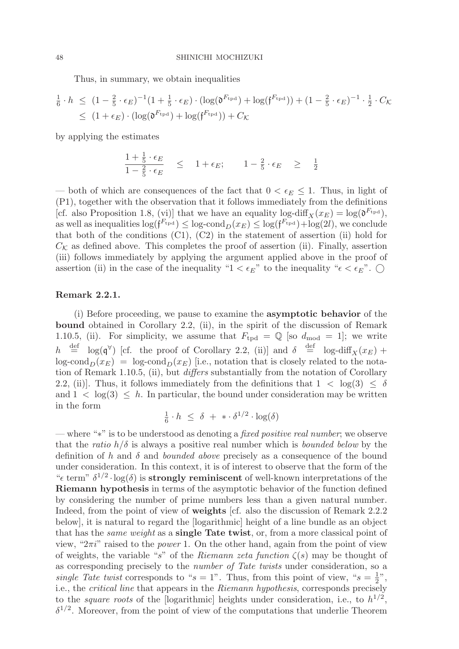Thus, in summary, we obtain inequalities

$$
\frac{1}{6} \cdot h \leq (1 - \frac{2}{5} \cdot \epsilon_E)^{-1} (1 + \frac{1}{5} \cdot \epsilon_E) \cdot (\log(\mathfrak{d}^{F_{\text{tpd}}}) + \log(\mathfrak{f}^{F_{\text{tpd}}})) + (1 - \frac{2}{5} \cdot \epsilon_E)^{-1} \cdot \frac{1}{2} \cdot C_{\mathcal{K}}
$$
\n
$$
\leq (1 + \epsilon_E) \cdot (\log(\mathfrak{d}^{F_{\text{tpd}}}) + \log(\mathfrak{f}^{F_{\text{tpd}}})) + C_{\mathcal{K}}
$$

by applying the estimates

$$
\frac{1 + \frac{1}{5} \cdot \epsilon_E}{1 - \frac{2}{5} \cdot \epsilon_E} \leq 1 + \epsilon_E; \qquad 1 - \frac{2}{5} \cdot \epsilon_E \geq \frac{1}{2}
$$

— both of which are consequences of the fact that  $0 < \epsilon_E \leq 1$ . Thus, in light of (P1), together with the observation that it follows immediately from the definitions [cf. also Proposition 1.8, (vi)] that we have an equality log-diff  $\chi(x_E) = \log(\mathfrak{d}^{F_{\text{tpd}}})$ , as well as inequalities  $\log(f^{F_{\text{trd}}}) \leq \log \text{cond}_D(x_E) \leq \log(f^{F_{\text{trd}}}) + \log(2l)$ , we conclude that both of the conditions  $(C1)$ ,  $(C2)$  in the statement of assertion (ii) hold for  $C_{\mathcal{K}}$  as defined above. This completes the proof of assertion (ii). Finally, assertion (iii) follows immediately by applying the argument applied above in the proof of assertion (ii) in the case of the inequality " $1 < \epsilon_E$ " to the inequality " $\epsilon < \epsilon_E$ ".

### **Remark 2.2.1.**

(i) Before proceeding, we pause to examine the **asymptotic behavior** of the **bound** obtained in Corollary 2.2, (ii), in the spirit of the discussion of Remark 1.10.5, (ii). For simplicity, we assume that  $F_{\text{tpd}} = \mathbb{Q}$  [so  $d_{\text{mod}} = 1$ ]; we write  $h \stackrel{\text{def}}{=} \log(\mathfrak{q}^{\forall})$  [cf. the proof of Corollary 2.2, (ii)] and  $\delta \stackrel{\text{def}}{=} \log-\text{diff}_X(x_E)$  +  $\log\text{-cond}_D(x_E) = \log\text{-cond}_D(x_E)$  [i.e., notation that is closely related to the notation of Remark 1.10.5, (ii), but differs substantially from the notation of Corollary 2.2, (ii)]. Thus, it follows immediately from the definitions that  $1 < \log(3) \le \delta$ and  $1 < \log(3) < h$ . In particular, the bound under consideration may be written in the form

$$
\tfrac{1}{6} \cdot h \ \leq \ \delta \ + \ * \cdot \delta^{1/2} \cdot \log(\delta)
$$

— where "∗" is to be understood as denoting a fixed positive real number; we observe that the ratio  $h/\delta$  is always a positive real number which is *bounded below* by the definition of h and  $\delta$  and bounded above precisely as a consequence of the bound under consideration. In this context, it is of interest to observe that the form of the " $\epsilon$  term"  $\delta^{1/2} \cdot \log(\delta)$  is **strongly reminiscent** of well-known interpretations of the **Riemann hypothesis** in terms of the asymptotic behavior of the function defined by considering the number of prime numbers less than a given natural number. Indeed, from the point of view of **weights** [cf. also the discussion of Remark 2.2.2 below], it is natural to regard the [logarithmic] height of a line bundle as an object that has the same weight as a **single Tate twist**, or, from a more classical point of view, " $2\pi i$ " raised to the *power* 1. On the other hand, again from the point of view of weights, the variable "s" of the Riemann zeta function  $\zeta(s)$  may be thought of as corresponding precisely to the number of Tate twists under consideration, so a single Tate twist corresponds to " $s = 1$ ". Thus, from this point of view, " $s = \frac{1}{2}$ ", i.e., the critical line that appears in the Riemann hypothesis, corresponds precisely to the *square roots* of the [logarithmic] heights under consideration, i.e., to  $h^{1/2}$ ,  $\delta^{1/2}$ . Moreover, from the point of view of the computations that underlie Theorem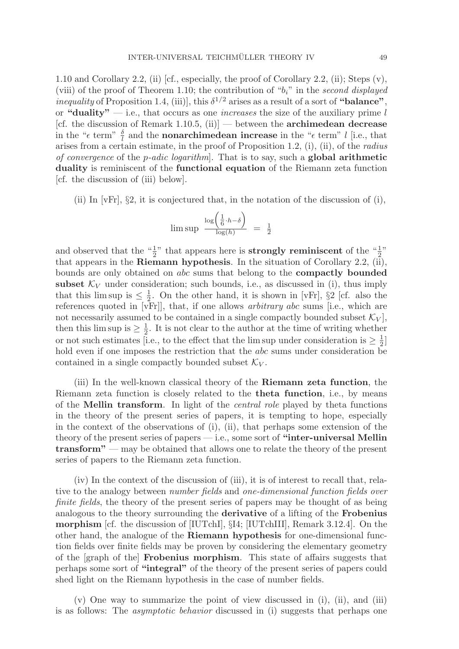1.10 and Corollary 2.2, (ii) [cf., especially, the proof of Corollary 2.2, (ii); Steps (v), (viii) of the proof of Theorem 1.10; the contribution of " $b_i$ " in the second displayed inequality of Proposition 1.4, (iii)], this  $\delta^{1/2}$  arises as a result of a sort of "balance", or "**duality**"  $-$  i.e., that occurs as one *increases* the size of the auxiliary prime l [cf. the discussion of Remark 1.10.5, (ii)] — between the **archimedean decrease** in the " $\epsilon$  term"  $\frac{\delta}{l}$  and the **nonarchimedean increase** in the " $\epsilon$  term" l [i.e., that arises from a certain estimate, in the proof of Proposition 1.2, (i), (ii), of the radius of convergence of the p-adic logarithm]. That is to say, such a **global arithmetic duality** is reminiscent of the **functional equation** of the Riemann zeta function [cf. the discussion of (iii) below].

(ii) In  $[\nabla \mathbf{F} \cdot \mathbf{r}]$ ,  $\S$ , it is conjectured that, in the notation of the discussion of (i),

$$
\limsup \frac{\log\left(\frac{1}{6} \cdot h - \delta\right)}{\log(h)} = \frac{1}{2}
$$

and observed that the " $\frac{1}{2}$ " that appears here is **strongly reminiscent** of the " $\frac{1}{2}$ " that appears in the **Riemann hypothesis**. In the situation of Corollary 2.2, (ii), bounds are only obtained on abc sums that belong to the **compactly bounded subset**  $K_V$  under consideration; such bounds, i.e., as discussed in (i), thus imply that this lim sup is  $\leq \frac{1}{2}$ . On the other hand, it is shown in [vFr], §2 [cf. also the references quoted in [vFr]], that, if one allows arbitrary abc sums [i.e., which are not necessarily assumed to be contained in a single compactly bounded subset  $\mathcal{K}_V$ , then this lim sup is  $\geq \frac{1}{2}$ . It is not clear to the author at the time of writing whether or not such estimates [i.e., to the effect that the lim sup under consideration is  $\geq \frac{1}{2}$ ] hold even if one imposes the restriction that the *abc* sums under consideration be contained in a single compactly bounded subset  $\mathcal{K}_V$ .

(iii) In the well-known classical theory of the **Riemann zeta function**, the Riemann zeta function is closely related to the **theta function**, i.e., by means of the **Mellin transform**. In light of the central role played by theta functions in the theory of the present series of papers, it is tempting to hope, especially in the context of the observations of (i), (ii), that perhaps some extension of the theory of the present series of papers — i.e., some sort of **"inter-universal Mellin transform"** — may be obtained that allows one to relate the theory of the present series of papers to the Riemann zeta function.

(iv) In the context of the discussion of (iii), it is of interest to recall that, relative to the analogy between number fields and one-dimensional function fields over finite fields, the theory of the present series of papers may be thought of as being analogous to the theory surrounding the **derivative** of a lifting of the **Frobenius morphism** [cf. the discussion of [IUTchI], §I4; [IUTchIII], Remark 3.12.4]. On the other hand, the analogue of the **Riemann hypothesis** for one-dimensional function fields over finite fields may be proven by considering the elementary geometry of the [graph of the] **Frobenius morphism**. This state of affairs suggests that perhaps some sort of **"integral"** of the theory of the present series of papers could shed light on the Riemann hypothesis in the case of number fields.

 $(v)$  One way to summarize the point of view discussed in (i), (ii), and (iii) is as follows: The asymptotic behavior discussed in (i) suggests that perhaps one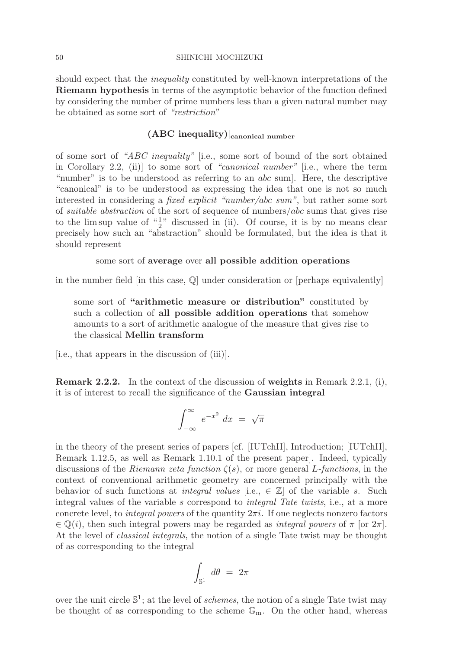should expect that the *inequality* constituted by well-known interpretations of the **Riemann hypothesis** in terms of the asymptotic behavior of the function defined by considering the number of prime numbers less than a given natural number may be obtained as some sort of "restriction"

# **(ABC inequality)**|**canonical number**

of some sort of "ABC inequality" [i.e., some sort of bound of the sort obtained in Corollary 2.2, (ii)] to some sort of "canonical number" [i.e., where the term "number" is to be understood as referring to an *abc* sum. Here, the descriptive "canonical" is to be understood as expressing the idea that one is not so much interested in considering a fixed explicit "number/abc sum", but rather some sort of suitable abstraction of the sort of sequence of numbers/abc sums that gives rise to the lim sup value of  $\frac{1}{2}$ " discussed in (ii). Of course, it is by no means clear precisely how such an "abstraction" should be formulated, but the idea is that it should represent

# some sort of **average** over **all possible addition operations**

in the number field [in this case, Q] under consideration or [perhaps equivalently]

some sort of **"arithmetic measure or distribution"** constituted by such a collection of **all possible addition operations** that somehow amounts to a sort of arithmetic analogue of the measure that gives rise to the classical **Mellin transform**

[i.e., that appears in the discussion of (iii)].

**Remark 2.2.2.** In the context of the discussion of **weights** in Remark 2.2.1, (i), it is of interest to recall the significance of the **Gaussian integral**

$$
\int_{-\infty}^{\infty} e^{-x^2} dx = \sqrt{\pi}
$$

in the theory of the present series of papers [cf. [IUTchII], Introduction; [IUTchII], Remark 1.12.5, as well as Remark 1.10.1 of the present paper]. Indeed, typically discussions of the Riemann zeta function  $\zeta(s)$ , or more general L-functions, in the context of conventional arithmetic geometry are concerned principally with the behavior of such functions at *integral values* [i.e.,  $\in \mathbb{Z}$ ] of the variable s. Such integral values of the variable s correspond to integral Tate twists, i.e., at a more concrete level, to *integral powers* of the quantity  $2\pi i$ . If one neglects nonzero factors  $\in \mathbb{Q}(i)$ , then such integral powers may be regarded as *integral powers* of  $\pi$  [or  $2\pi$ ]. At the level of classical integrals, the notion of a single Tate twist may be thought of as corresponding to the integral

$$
\int_{\mathbb{S}^1} \, d\theta \ = \ 2\pi
$$

over the unit circle  $\mathbb{S}^1$ ; at the level of *schemes*, the notion of a single Tate twist may be thought of as corresponding to the scheme  $\mathbb{G}_{m}$ . On the other hand, whereas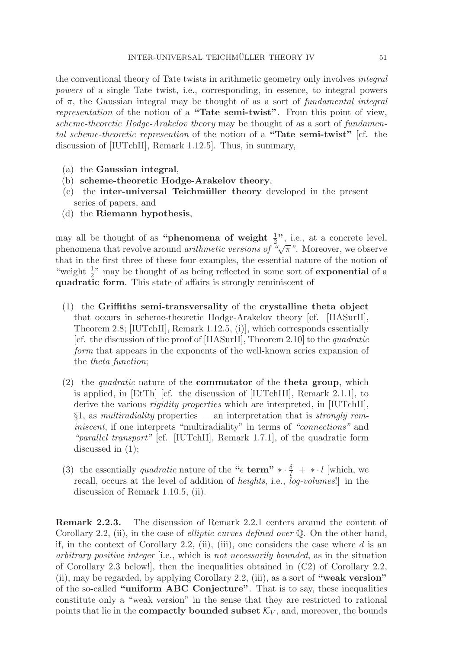the conventional theory of Tate twists in arithmetic geometry only involves integral powers of a single Tate twist, i.e., corresponding, in essence, to integral powers of  $\pi$ , the Gaussian integral may be thought of as a sort of fundamental integral representation of the notion of a **"Tate semi-twist"**. From this point of view, scheme-theoretic Hodge-Arakelov theory may be thought of as a sort of fundamental scheme-theoretic represention of the notion of a **"Tate semi-twist"** [cf. the discussion of [IUTchII], Remark 1.12.5]. Thus, in summary,

- (a) the **Gaussian integral**,
- (b) **scheme-theoretic Hodge-Arakelov theory**,
- (c) the **inter-universal Teichm¨uller theory** developed in the present series of papers, and
- (d) the **Riemann hypothesis**,

may all be thought of as "**phenomena of weight**  $\frac{1}{2}$ ", i.e., at a concrete level, phenomena that revolve around *arithmetic versions of* " $\sqrt{\pi}$ ". Moreover, we observe that in the first three of these four examples, the essential nature of the notion of "weight  $\frac{1}{2}$ " may be thought of as being reflected in some sort of **exponential** of a **quadratic form**. This state of affairs is strongly reminiscent of

- (1) the **Griffiths semi-transversality** of the **crystalline theta object** that occurs in scheme-theoretic Hodge-Arakelov theory [cf. [HASurII], Theorem 2.8; [IUTchII], Remark 1.12.5, (i)], which corresponds essentially [cf. the discussion of the proof of [HASurII], Theorem 2.10] to the quadratic form that appears in the exponents of the well-known series expansion of the theta function;
- (2) the quadratic nature of the **commutator** of the **theta group**, which is applied, in [EtTh] [cf. the discussion of [IUTchIII], Remark 2.1.1], to derive the various *rigidity properties* which are interpreted, in [IUTchII],  $§1$ , as *multiradiality* properties — an interpretation that is *strongly rem*iniscent, if one interprets "multiradiality" in terms of "connections" and "*parallel transport*" [cf. [IUTchII], Remark 1.7.1], of the quadratic form discussed in (1);
- (3) the essentially *quadratic* nature of the " $\epsilon$  **term"**  $\ast \cdot \frac{\delta}{l} + \ast \cdot l$  [which, we recall, occurs at the level of addition of heights, i.e., log-volumes!] in the discussion of Remark 1.10.5, (ii).

**Remark 2.2.3.** The discussion of Remark 2.2.1 centers around the content of Corollary 2.2, (ii), in the case of *elliptic curves defined over*  $\mathbb{Q}$ . On the other hand, if, in the context of Corollary 2.2, (ii), (iii), one considers the case where  $d$  is an arbitrary positive integer [i.e., which is not necessarily bounded, as in the situation of Corollary 2.3 below!], then the inequalities obtained in (C2) of Corollary 2.2, (ii), may be regarded, by applying Corollary 2.2, (iii), as a sort of **"weak version"** of the so-called **"uniform ABC Conjecture"**. That is to say, these inequalities constitute only a "weak version" in the sense that they are restricted to rational points that lie in the **compactly bounded subset**  $\mathcal{K}_V$ , and, moreover, the bounds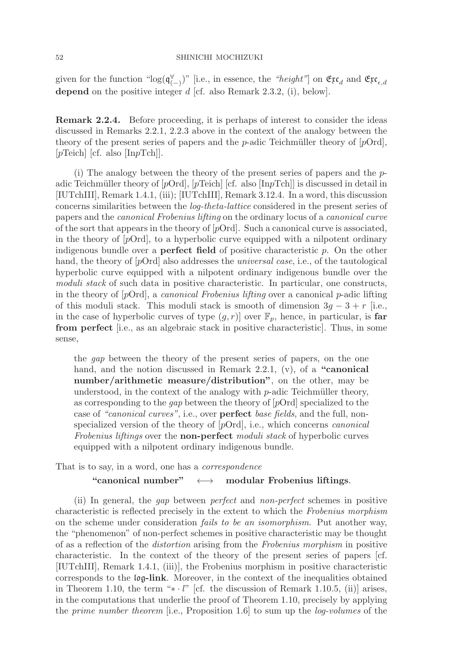given for the function "log( $\mathfrak{q}^{\forall}_{(-)}$ )" [i.e., in essence, the "height"] on  $\mathfrak{Exc}_{d}$  and  $\mathfrak{Exc}_{\epsilon,d}$ depend on the positive integer d [cf. also Remark 2.3.2, (i), below].

**Remark 2.2.4.** Before proceeding, it is perhaps of interest to consider the ideas discussed in Remarks 2.2.1, 2.2.3 above in the context of the analogy between the theory of the present series of papers and the p-adic Teichmüller theory of  $[pOrd]$ ,  $|p\text{Teich}|$   $|cf.$  also  $|\text{InpTch}|$ .

(i) The analogy between the theory of the present series of papers and the  $p$ adic Teichmüller theory of  $[pOrd]$ ,  $[pTeich]$  [cf. also [InpTch]] is discussed in detail in [IUTchIII], Remark 1.4.1, (iii); [IUTchIII], Remark 3.12.4. In a word, this discussion concerns similarities between the log-theta-lattice considered in the present series of papers and the canonical Frobenius lifting on the ordinary locus of a canonical curve of the sort that appears in the theory of  $[pOrd]$ . Such a canonical curve is associated, in the theory of  $[pOrd]$ , to a hyperbolic curve equipped with a nilpotent ordinary indigenous bundle over a **perfect field** of positive characteristic p. On the other hand, the theory of  $[pQrd]$  also addresses the *universal case*, i.e., of the tautological hyperbolic curve equipped with a nilpotent ordinary indigenous bundle over the moduli stack of such data in positive characteristic. In particular, one constructs, in the theory of  $[pOrd]$ , a *canonical Frobenius lifting* over a canonical p-adic lifting of this moduli stack. This moduli stack is smooth of dimension  $3q - 3 + r$  [i.e., in the case of hyperbolic curves of type  $(g, r)$  over  $\mathbb{F}_p$ , hence, in particular, is **far from perfect** [i.e., as an algebraic stack in positive characteristic]. Thus, in some sense,

the gap between the theory of the present series of papers, on the one hand, and the notion discussed in Remark 2.2.1, (v), of a **"canonical number/arithmetic measure/distribution"**, on the other, may be understood, in the context of the analogy with  $p$ -adic Teichmüller theory, as corresponding to the gap between the theory of [pOrd] specialized to the case of "canonical curves", i.e., over **perfect** base fields, and the full, nonspecialized version of the theory of [pOrd], i.e., which concerns canonical Frobenius liftings over the **non-perfect** moduli stack of hyperbolic curves equipped with a nilpotent ordinary indigenous bundle.

That is to say, in a word, one has a correspondence

**"canonical number"** ←→ **modular Frobenius liftings**.

(ii) In general, the gap between perfect and non-perfect schemes in positive characteristic is reflected precisely in the extent to which the Frobenius morphism on the scheme under consideration fails to be an isomorphism. Put another way, the "phenomenon" of non-perfect schemes in positive characteristic may be thought of as a reflection of the distortion arising from the Frobenius morphism in positive characteristic. In the context of the theory of the present series of papers [cf. [IUTchIII], Remark 1.4.1, (iii)], the Frobenius morphism in positive characteristic corresponds to the log**-link**. Moreover, in the context of the inequalities obtained in Theorem 1.10, the term " $* \cdot l$ " [cf. the discussion of Remark 1.10.5, (ii)] arises, in the computations that underlie the proof of Theorem 1.10, precisely by applying the prime number theorem [i.e., Proposition 1.6] to sum up the log-volumes of the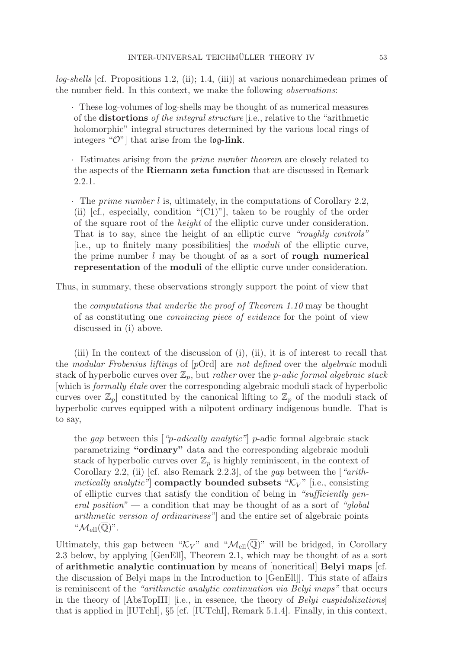$log-shellis$  [cf. Propositions 1.2, (ii); 1.4, (iii)] at various nonarchimedean primes of the number field. In this context, we make the following observations:

· These log-volumes of log-shells may be thought of as numerical measures of the **distortions** of the integral structure [i.e., relative to the "arithmetic holomorphic" integral structures determined by the various local rings of integers "O"] that arise from the log**-link**.

· Estimates arising from the prime number theorem are closely related to the aspects of the **Riemann zeta function** that are discussed in Remark 2.2.1.

· The prime number l is, ultimately, in the computations of Corollary 2.2, (ii) [cf., especially, condition " $(C1)$ "], taken to be roughly of the order of the square root of the height of the elliptic curve under consideration. That is to say, since the height of an elliptic curve "roughly controls" [i.e., up to finitely many possibilities] the moduli of the elliptic curve, the prime number l may be thought of as a sort of **rough numerical representation** of the **moduli** of the elliptic curve under consideration.

Thus, in summary, these observations strongly support the point of view that

the computations that underlie the proof of Theorem 1.10 may be thought of as constituting one convincing piece of evidence for the point of view discussed in (i) above.

(iii) In the context of the discussion of (i), (ii), it is of interest to recall that the modular Frobenius liftings of [pOrd] are not defined over the algebraic moduli stack of hyperbolic curves over  $\mathbb{Z}_p$ , but *rather* over the *p*-adic formal algebraic stack [which is *formally étale* over the corresponding algebraic moduli stack of hyperbolic curves over  $\mathbb{Z}_p$  constituted by the canonical lifting to  $\mathbb{Z}_p$  of the moduli stack of hyperbolic curves equipped with a nilpotent ordinary indigenous bundle. That is to say,

the *gap* between this ["*p-adically analytic*"] *p*-adic formal algebraic stack parametrizing **"ordinary"** data and the corresponding algebraic moduli stack of hyperbolic curves over  $\mathbb{Z}_p$  is highly reminiscent, in the context of Corollary 2.2, (ii) [cf. also Remark 2.2.3], of the gap between the  $\int$  "arith*metically analytic*" **compactly bounded subsets** " $\mathcal{K}_V$ " [i.e., consisting of elliptic curves that satisfy the condition of being in "sufficiently general position" — a condition that may be thought of as a sort of "global" arithmetic version of ordinariness"] and the entire set of algebraic points " $\mathcal{M}_{\text{ell}}(\mathbb{Q})$ ".

Ultimately, this gap between " $\mathcal{K}_V$ " and " $\mathcal{M}_{ell}(\overline{\mathbb{Q}})$ " will be bridged, in Corollary 2.3 below, by applying [GenEll], Theorem 2.1, which may be thought of as a sort of **arithmetic analytic continuation** by means of [noncritical] **Belyi maps** [cf. the discussion of Belyi maps in the Introduction to [GenEll]]. This state of affairs is reminiscent of the "arithmetic analytic continuation via Belyi maps" that occurs in the theory of  $[AbsTopIII]$  [i.e., in essence, the theory of *Belyi cuspidalizations*] that is applied in [IUTchI], §5 [cf. [IUTchI], Remark 5.1.4]. Finally, in this context,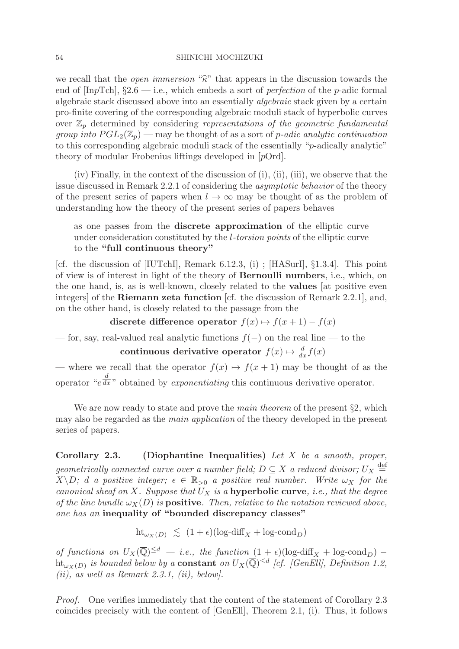we recall that the *open immersion* " $\hat{\kappa}$ " that appears in the discussion towards the end of  $\text{[InpTch]}, \S2.6 \text{—i.e., which embeds a sort of *perfection* of the *p*-adic formal$ algebraic stack discussed above into an essentially algebraic stack given by a certain pro-finite covering of the corresponding algebraic moduli stack of hyperbolic curves over  $\mathbb{Z}_p$  determined by considering representations of the geometric fundamental group into  $PGL_2(\mathbb{Z}_p)$  — may be thought of as a sort of p-adic analytic continuation to this corresponding algebraic moduli stack of the essentially "p-adically analytic" theory of modular Frobenius liftings developed in [pOrd].

 $(iv)$  Finally, in the context of the discussion of  $(i)$ ,  $(ii)$ ,  $(iii)$ , we observe that the issue discussed in Remark 2.2.1 of considering the asymptotic behavior of the theory of the present series of papers when  $l \to \infty$  may be thought of as the problem of understanding how the theory of the present series of papers behaves

as one passes from the **discrete approximation** of the elliptic curve under consideration constituted by the l-torsion points of the elliptic curve to the **"full continuous theory"**

[cf. the discussion of [IUTchI], Remark 6.12.3, (i) ; [HASurI], §1.3.4]. This point of view is of interest in light of the theory of **Bernoulli numbers**, i.e., which, on the one hand, is, as is well-known, closely related to the **values** [at positive even integers] of the **Riemann zeta function** [cf. the discussion of Remark 2.2.1], and, on the other hand, is closely related to the passage from the

discrete difference operator  $f(x) \mapsto f(x+1) - f(x)$ 

— for, say, real-valued real analytic functions  $f(-)$  on the real line — to the **continuous derivative operator**  $f(x) \mapsto \frac{d}{dx} f(x)$ 

— where we recall that the operator  $f(x) \mapsto f(x+1)$  may be thought of as the operator "e d  $\overline{dx}$ " obtained by exponentiating this continuous derivative operator.

We are now ready to state and prove the *main theorem* of the present  $\S2$ , which may also be regarded as the main application of the theory developed in the present series of papers.

**Corollary 2.3. (Diophantine Inequalities)** Let X be a smooth, proper, geometrically connected curve over a number field;  $D \subseteq X$  a reduced divisor;  $U_X \stackrel{\text{def}}{=}$  $X\backslash D$ ; d a positive integer;  $\epsilon \in \mathbb{R}_{>0}$  a positive real number. Write  $\omega_X$  for the canonical sheaf on X. Suppose that  $U_X$  is a **hyperbolic curve**, *i.e.*, that the degree of the line bundle  $\omega_X(D)$  is **positive**. Then, relative to the notation reviewed above, one has an **inequality of "bounded discrepancy classes"**

$$
\text{ht}_{\omega_X(D)} \le (1+\epsilon)(\log \text{-diff}_X + \log \text{-cond}_D)
$$

of functions on  $U_X(\overline{\mathbb{Q}})^{\leq d}$  — i.e., the function  $(1+\epsilon)(\log-diff_X + \log\text{-cond}_D)$  – ht<sub>ωx(D)</sub> is bounded below by a **constant** on  $U_X(\overline{Q})^{\leq d}$  [cf. [GenEll], Definition 1.2,  $(ii)$ , as well as Remark 2.3.1,  $(ii)$ , below].

Proof. One verifies immediately that the content of the statement of Corollary 2.3 coincides precisely with the content of [GenEll], Theorem 2.1, (i). Thus, it follows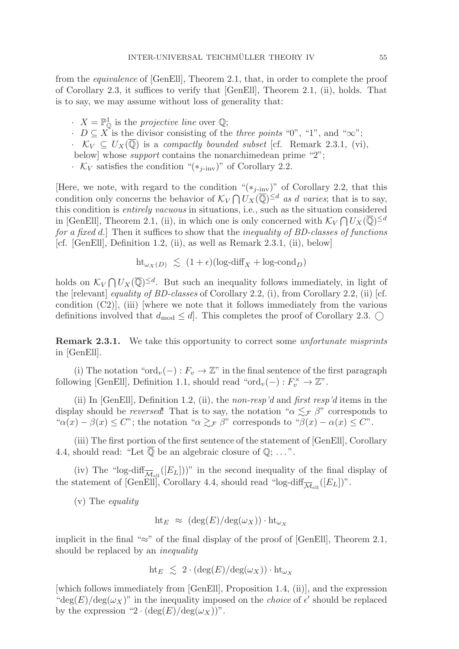from the equivalence of [GenEll], Theorem 2.1, that, in order to complete the proof of Corollary 2.3, it suffices to verify that [GenEll], Theorem 2.1, (ii), holds. That is to say, we may assume without loss of generality that:

 $\cdot$   $X = \mathbb{P}^1_{\mathbb{Q}}$  is the projective line over  $\mathbb{Q}$ ;

 $\cdot$   $D \subseteq X$  is the divisor consisting of the *three points* "0", "1", and " $\infty$ ";

 $\cdot$   $\mathcal{K}_V \subseteq U_X(\overline{\mathbb{Q}})$  is a compactly bounded subset [cf. Remark 2.3.1, (vi),

below] whose support contains the nonarchimedean prime "2";

 $\cdot$  K<sub>V</sub> satisfies the condition "(\*<sub>j-inv</sub>)" of Corollary 2.2.

[Here, we note, with regard to the condition " $(*_{j\text{-inv}})$ " of Corollary 2.2, that this condition only concerns the behavior of  $\mathcal{K}_V \bigcap U_X(\overline{\mathbb{Q}})^{\le d}$  as d varies; that is to say, this condition is entirely vacuous in situations, i.e., such as the situation considered in [GenEll], Theorem 2.1, (ii), in which one is only concerned with  $\mathcal{K}_V \bigcap U_X(\overline{\mathbb{Q}})^{\leq d}$ for a fixed d.] Then it suffices to show that the *inequality of BD-classes of functions* [cf. [GenEll], Definition 1.2, (ii), as well as Remark 2.3.1, (ii), below]

$$
\text{ht}_{\omega_X(D)} \le (1+\epsilon)(\log \text{-diff}_X + \log \text{-cond}_D)
$$

holds on  $\mathcal{K}_V \bigcap U_X(\overline{\mathbb{Q}})^{\leq d}$ . But such an inequality follows immediately, in light of the [relevant] equality of BD-classes of Corollary 2.2, (i), from Corollary 2.2, (ii) [cf. condition (C2)], (iii) [where we note that it follows immediately from the various definitions involved that  $d_{mod} \leq d$ . This completes the proof of Corollary 2.3.

**Remark 2.3.1.** We take this opportunity to correct some *unfortunate misprints* in [GenEll].

(i) The notation " $\text{ord}_v(-): F_v \to \mathbb{Z}^n$  in the final sentence of the first paragraph following [GenEll], Definition 1.1, should read " $\text{ord}_v(-) : F_v^{\times} \to \mathbb{Z}$ ".

(ii) In [GenEll], Definition 1.2, (ii), the non-resp'd and first resp'd items in the display should be *reversed*! That is to say, the notation " $\alpha \lesssim_{\mathcal{F}} \beta$ " corresponds to " $\alpha(x) - \beta(x) \leq C$ "; the notation " $\alpha \gtrsim_{\mathcal{F}} \beta$ " corresponds to " $\beta(x) - \alpha(x) \leq C$ ".

(iii) The first portion of the first sentence of the statement of [GenEll], Corollary 4.4, should read: "Let  $\overline{\mathbb{Q}}$  be an algebraic closure of  $\mathbb{Q}$ ; ...".

(iv) The "log-diff<sub> $\overline{\mathcal{M}}_{\text{ell}}([E_L]))$ " in the second inequality of the final display of</sub> the statement of [GenEll], Corollary 4.4, should read "log-diff<sub> $\overline{\mathcal{M}}_{\text{ell}}([E_L])$ ".</sub>

(v) The equality

$$
\text{ht}_E \approx (\deg(E)/\deg(\omega_X)) \cdot \text{ht}_{\omega_X}
$$

implicit in the final "≈" of the final display of the proof of [GenEll], Theorem 2.1, should be replaced by an *inequality* 

$$
\text{ht}_E \leq 2 \cdot (\deg(E)/\deg(\omega_X)) \cdot \text{ht}_{\omega_X}
$$

[which follows immediately from [GenEll], Proposition 1.4, (ii)], and the expression "deg(E)/deg( $\omega_X$ )" in the inequality imposed on the *choice* of  $\epsilon'$  should be replaced by the expression "2  $\cdot$  (deg(E)/deg( $\omega_X$ )".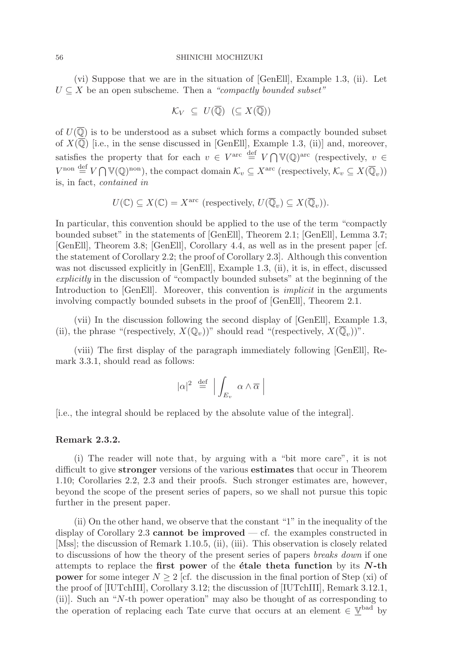(vi) Suppose that we are in the situation of [GenEll], Example 1.3, (ii). Let  $U \subseteq X$  be an open subscheme. Then a "compactly bounded subset"

$$
\mathcal{K}_V \subseteq U(\overline{\mathbb{Q}}) \ (\subseteq X(\overline{\mathbb{Q}}))
$$

of  $U(\overline{\mathbb{Q}})$  is to be understood as a subset which forms a compactly bounded subset of  $X(\overline{\mathbb{Q}})$  [i.e., in the sense discussed in [GenEll], Example 1.3, (ii)] and, moreover, satisfies the property that for each  $v \in V^{\text{arc}} \stackrel{\text{def}}{=} V \cap V(\mathbb{Q})^{\text{arc}}$  (respectively,  $v \in$  $V^{\text{non}} \stackrel{\text{def}}{=} V \bigcap \mathbb{V}(\mathbb{Q})^{\text{non}}$ , the compact domain  $\mathcal{K}_v \subseteq X^{\text{arc}}$  (respectively,  $\mathcal{K}_v \subseteq X(\overline{\mathbb{Q}}_v)$ ) is, in fact, contained in

$$
U(\mathbb{C}) \subseteq X(\mathbb{C}) = X^{\text{arc}} \text{ (respectively, } U(\overline{\mathbb{Q}}_v) \subseteq X(\overline{\mathbb{Q}}_v).
$$

In particular, this convention should be applied to the use of the term "compactly bounded subset" in the statements of [GenEll], Theorem 2.1; [GenEll], Lemma 3.7; [GenEll], Theorem 3.8; [GenEll], Corollary 4.4, as well as in the present paper [cf. the statement of Corollary 2.2; the proof of Corollary 2.3]. Although this convention was not discussed explicitly in [GenEll], Example 1.3, (ii), it is, in effect, discussed explicitly in the discussion of "compactly bounded subsets" at the beginning of the Introduction to [GenEll]. Moreover, this convention is *implicit* in the arguments involving compactly bounded subsets in the proof of [GenEll], Theorem 2.1.

(vii) In the discussion following the second display of [GenEll], Example 1.3, (ii), the phrase "(respectively,  $X(\mathbb{Q}_v)$ )" should read "(respectively,  $X(\overline{\mathbb{Q}}_v)$ )".

(viii) The first display of the paragraph immediately following [GenEll], Remark 3.3.1, should read as follows:

$$
|\alpha|^2 \stackrel{\text{def}}{=} \left| \int_{E_v} \alpha \wedge \overline{\alpha} \right|
$$

[i.e., the integral should be replaced by the absolute value of the integral].

### **Remark 2.3.2.**

(i) The reader will note that, by arguing with a "bit more care", it is not difficult to give **stronger** versions of the various **estimates** that occur in Theorem 1.10; Corollaries 2.2, 2.3 and their proofs. Such stronger estimates are, however, beyond the scope of the present series of papers, so we shall not pursue this topic further in the present paper.

(ii) On the other hand, we observe that the constant "1" in the inequality of the display of Corollary 2.3 **cannot be improved** — cf. the examples constructed in [Mss]; the discussion of Remark 1.10.5, (ii), (iii). This observation is closely related to discussions of how the theory of the present series of papers breaks down if one attempts to replace the **first power** of the **´etale theta function** by its *N***-th power** for some integer  $N \geq 2$  [cf. the discussion in the final portion of Step (xi) of the proof of [IUTchIII], Corollary 3.12; the discussion of [IUTchIII], Remark 3.12.1, (ii)]. Such an "N-th power operation" may also be thought of as corresponding to the operation of replacing each Tate curve that occurs at an element  $\in \underline{\mathbb{V}}^{\text{bad}}$  by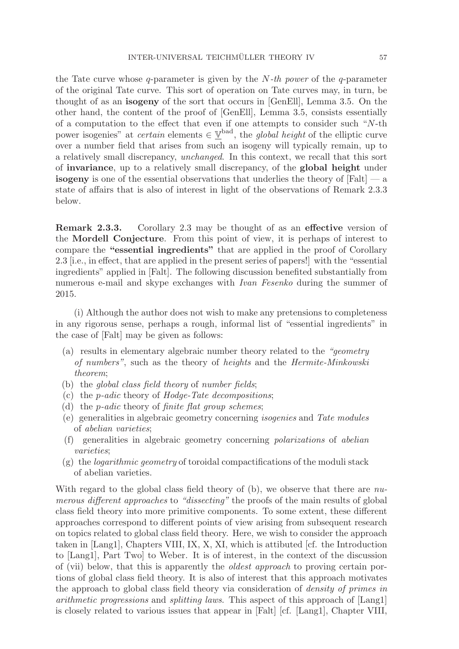the Tate curve whose q-parameter is given by the  $N-th$  power of the q-parameter of the original Tate curve. This sort of operation on Tate curves may, in turn, be thought of as an **isogeny** of the sort that occurs in [GenEll], Lemma 3.5. On the other hand, the content of the proof of [GenEll], Lemma 3.5, consists essentially of a computation to the effect that even if one attempts to consider such "N-th power isogenies" at *certain* elements  $\in \mathbb{Y}^{\text{bad}}$ , the *global height* of the elliptic curve over a number field that arises from such an isogeny will typically remain, up to a relatively small discrepancy, unchanged. In this context, we recall that this sort of **invariance**, up to a relatively small discrepancy, of the **global height** under **isogeny** is one of the essential observations that underlies the theory of  $[Falt]$  — a state of affairs that is also of interest in light of the observations of Remark 2.3.3 below.

**Remark 2.3.3.** Corollary 2.3 may be thought of as an **effective** version of the **Mordell Conjecture**. From this point of view, it is perhaps of interest to compare the **"essential ingredients"** that are applied in the proof of Corollary 2.3 [i.e., in effect, that are applied in the present series of papers!] with the "essential ingredients" applied in [Falt]. The following discussion benefited substantially from numerous e-mail and skype exchanges with Ivan Fesenko during the summer of 2015.

(i) Although the author does not wish to make any pretensions to completeness in any rigorous sense, perhaps a rough, informal list of "essential ingredients" in the case of [Falt] may be given as follows:

- (a) results in elementary algebraic number theory related to the "geometry of numbers", such as the theory of heights and the Hermite-Minkowski theorem;
- (b) the global class field theory of number fields;
- (c) the p-adic theory of Hodge-Tate decompositions;
- (d) the *p*-adic theory of *finite flat group schemes*;
- (e) generalities in algebraic geometry concerning isogenies and Tate modules of abelian varieties;
- (f) generalities in algebraic geometry concerning polarizations of abelian varieties;
- $(g)$  the *logarithmic geometry* of toroidal compactifications of the moduli stack of abelian varieties.

With regard to the global class field theory of  $(b)$ , we observe that there are numerous different approaches to "dissecting" the proofs of the main results of global class field theory into more primitive components. To some extent, these different approaches correspond to different points of view arising from subsequent research on topics related to global class field theory. Here, we wish to consider the approach taken in [Lang1], Chapters VIII, IX, X, XI, which is attibuted [cf. the Introduction to [Lang1], Part Two] to Weber. It is of interest, in the context of the discussion of (vii) below, that this is apparently the oldest approach to proving certain portions of global class field theory. It is also of interest that this approach motivates the approach to global class field theory via consideration of density of primes in arithmetic progressions and splitting laws. This aspect of this approach of [Lang1] is closely related to various issues that appear in [Falt] [cf. [Lang1], Chapter VIII,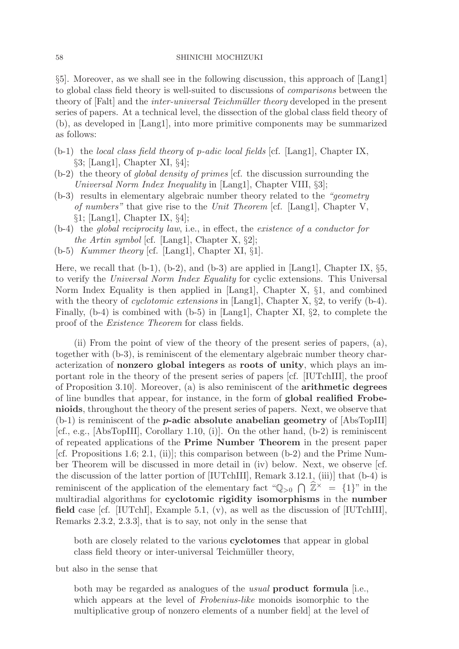§5]. Moreover, as we shall see in the following discussion, this approach of [Lang1] to global class field theory is well-suited to discussions of comparisons between the theory of [Falt] and the *inter-universal Teichmüller theory* developed in the present series of papers. At a technical level, the dissection of the global class field theory of (b), as developed in [Lang1], into more primitive components may be summarized as follows:

- (b-1) the local class field theory of p-adic local fields [cf. [Lang1], Chapter IX, §3; [Lang1], Chapter XI, §4];
- $(b-2)$  the theory of *global density of primes* [cf. the discussion surrounding the Universal Norm Index Inequality in [Lang1], Chapter VIII, §3];
- (b-3) results in elementary algebraic number theory related to the "geometry of numbers" that give rise to the Unit Theorem [cf. [Lang1], Chapter V, §1; [Lang1], Chapter IX, §4];
- (b-4) the global reciprocity law, i.e., in effect, the existence of a conductor for the Artin symbol [cf. [Lang1], Chapter X,  $\S2$ ];
- (b-5) Kummer theory [cf. [Lang1], Chapter XI, §1].

Here, we recall that  $(b-1)$ ,  $(b-2)$ , and  $(b-3)$  are applied in [Lang1], Chapter IX,  $\S5$ , to verify the Universal Norm Index Equality for cyclic extensions. This Universal Norm Index Equality is then applied in [Lang1], Chapter X, §1, and combined with the theory of *cyclotomic extensions* in [Lang1], Chapter X, §2, to verify (b-4). Finally, (b-4) is combined with (b-5) in [Lang1], Chapter XI, §2, to complete the proof of the Existence Theorem for class fields.

(ii) From the point of view of the theory of the present series of papers, (a), together with (b-3), is reminiscent of the elementary algebraic number theory characterization of **nonzero global integers** as **roots of unity**, which plays an important role in the theory of the present series of papers [cf. [IUTchIII], the proof of Proposition 3.10]. Moreover, (a) is also reminiscent of the **arithmetic degrees** of line bundles that appear, for instance, in the form of **global realified Frobenioids**, throughout the theory of the present series of papers. Next, we observe that (b-1) is reminiscent of the *p***-adic absolute anabelian geometry** of [AbsTopIII] [cf., e.g.,  $[AbsTopIII]$ , Corollary 1.10, (i)]. On the other hand,  $(b-2)$  is reminiscent of repeated applications of the **Prime Number Theorem** in the present paper [cf. Propositions 1.6; 2.1, (ii)]; this comparison between  $(b-2)$  and the Prime Number Theorem will be discussed in more detail in (iv) below. Next, we observe [cf. the discussion of the latter portion of [IUTchIII], Remark 3.12.1, (iii)] that (b-4) is reminiscent of the application of the elementary fact " $\mathbb{Q}_{>0} \cap \mathbb{Z}^{\times} = \{1\}$ " in the multiradial algorithms for **cyclotomic rigidity isomorphisms** in the **number field** case [cf. [IUTchI], Example 5.1, (v), as well as the discussion of [IUTchIII], Remarks 2.3.2, 2.3.3], that is to say, not only in the sense that

both are closely related to the various **cyclotomes** that appear in global class field theory or inter-universal Teichmüller theory,

but also in the sense that

both may be regarded as analogues of the usual **product formula** [i.e., which appears at the level of Frobenius-like monoids isomorphic to the multiplicative group of nonzero elements of a number field] at the level of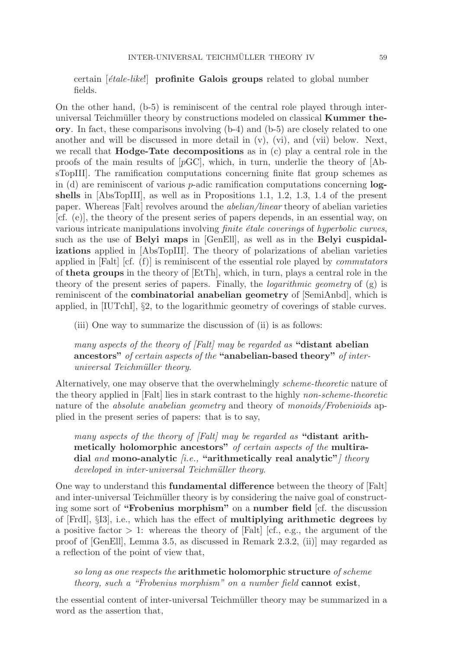certain *[étale-like!*] **profinite Galois groups** related to global number fields.

On the other hand, (b-5) is reminiscent of the central role played through interuniversal Teichmüller theory by constructions modeled on classical **Kummer theory**. In fact, these comparisons involving (b-4) and (b-5) are closely related to one another and will be discussed in more detail in  $(v)$ ,  $(vi)$ , and  $(vii)$  below. Next, we recall that **Hodge-Tate decompositions** as in (c) play a central role in the proofs of the main results of  $[pGC]$ , which, in turn, underlie the theory of  $[Ab$ sTopIII]. The ramification computations concerning finite flat group schemes as in (d) are reminiscent of various p-adic ramification computations concerning **logshells** in [AbsTopIII], as well as in Propositions 1.1, 1.2, 1.3, 1.4 of the present paper. Whereas [Falt] revolves around the abelian/linear theory of abelian varieties [cf. (e)], the theory of the present series of papers depends, in an essential way, on various intricate manipulations involving *finite étale coverings* of *hyperbolic curves*, such as the use of **Belyi maps** in [GenEll], as well as in the **Belyi cuspidalizations** applied in [AbsTopIII]. The theory of polarizations of abelian varieties applied in  $[Flat]$  [cf. (f)] is reminiscent of the essential role played by *commutators* of **theta groups** in the theory of [EtTh], which, in turn, plays a central role in the theory of the present series of papers. Finally, the *logarithmic geometry* of  $(g)$  is reminiscent of the **combinatorial anabelian geometry** of [SemiAnbd], which is applied, in [IUTchI], §2, to the logarithmic geometry of coverings of stable curves.

(iii) One way to summarize the discussion of (ii) is as follows:

many aspects of the theory of [Falt] may be regarded as **"distant abelian ancestors"** of certain aspects of the **"anabelian-based theory"** of interuniversal Teichmüller theory.

Alternatively, one may observe that the overwhelmingly scheme-theoretic nature of the theory applied in [Falt] lies in stark contrast to the highly non-scheme-theoretic nature of the *absolute anabelian geometry* and theory of *monoids/Frobenioids* applied in the present series of papers: that is to say,

many aspects of the theory of [Falt] may be regarded as **"distant arithmetically holomorphic ancestors"** of certain aspects of the **multiradial** and **mono-analytic** [i.e., **"arithmetically real analytic"**] theory developed in inter-universal Teichmüller theory.

One way to understand this **fundamental difference** between the theory of [Falt] and inter-universal Teichmüller theory is by considering the naive goal of constructing some sort of **"Frobenius morphism"** on a **number field** [cf. the discussion of [FrdI], §I3], i.e., which has the effect of **multiplying arithmetic degrees** by a positive factor  $> 1$ : whereas the theory of [Falt] [cf., e.g., the argument of the proof of [GenEll], Lemma 3.5, as discussed in Remark 2.3.2, (ii)] may regarded as a reflection of the point of view that,

so long as one respects the **arithmetic holomorphic structure** of scheme theory, such a "Frobenius morphism" on a number field **cannot exist**,

the essential content of inter-universal Teichmüller theory may be summarized in a word as the assertion that,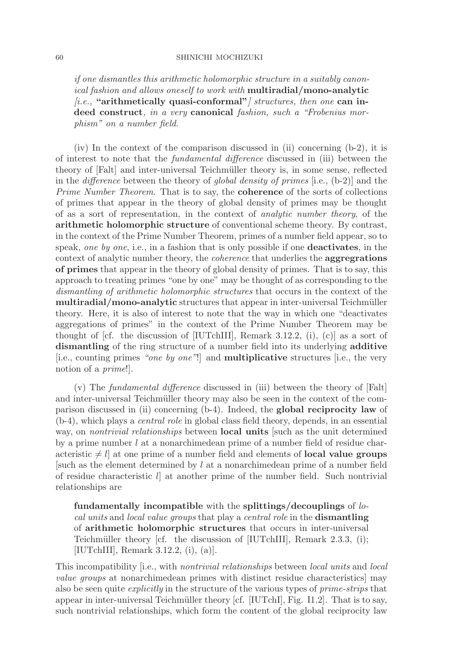if one dismantles this arithmetic holomorphic structure in a suitably canonical fashion and allows oneself to work with **multiradial/mono-analytic** *fi.e.*, "arithmetically quasi-conformal" structures, then one can in**deed construct**, in a very **canonical** fashion, such a "Frobenius morphism" on a number field.

(iv) In the context of the comparison discussed in (ii) concerning (b-2), it is of interest to note that the fundamental difference discussed in (iii) between the theory of [Falt] and inter-universal Teichmüller theory is, in some sense, reflected in the difference between the theory of global density of primes [i.e., (b-2)] and the Prime Number Theorem. That is to say, the **coherence** of the sorts of collections of primes that appear in the theory of global density of primes may be thought of as a sort of representation, in the context of analytic number theory, of the **arithmetic holomorphic structure** of conventional scheme theory. By contrast, in the context of the Prime Number Theorem, primes of a number field appear, so to speak, one by one, i.e., in a fashion that is only possible if one **deactivates**, in the context of analytic number theory, the coherence that underlies the **aggregrations of primes** that appear in the theory of global density of primes. That is to say, this approach to treating primes "one by one" may be thought of as corresponding to the dismantling of arithmetic holomorphic structures that occurs in the context of the **multiradial/mono-analytic** structures that appear in inter-universal Teichmüller theory. Here, it is also of interest to note that the way in which one "deactivates aggregations of primes" in the context of the Prime Number Theorem may be thought of [cf. the discussion of [IUTchIII], Remark 3.12.2, (i), (c)] as a sort of **dismantling** of the ring structure of a number field into its underlying **additive** [i.e., counting primes "one by one"!] and **multiplicative** structures [i.e., the very notion of a prime!].

(v) The fundamental difference discussed in (iii) between the theory of [Falt] and inter-universal Teichmüller theory may also be seen in the context of the comparison discussed in (ii) concerning (b-4). Indeed, the **global reciprocity law** of (b-4), which plays a central role in global class field theory, depends, in an essential way, on nontrivial relationships between **local units** [such as the unit determined by a prime number l at a nonarchimedean prime of a number field of residue characteristic  $\neq l$  at one prime of a number field and elements of **local value groups** [such as the element determined by l at a nonarchimedean prime of a number field of residue characteristic l] at another prime of the number field. Such nontrivial relationships are

**fundamentally incompatible** with the **splittings/decouplings** of local units and local value groups that play a central role in the **dismantling** of **arithmetic holomorphic structures** that occurs in inter-universal Teichmüller theory [cf. the discussion of  $[IUTchIII]$ , Remark 2.3.3, (i); [IUTchIII], Remark 3.12.2, (i), (a)].

This incompatibility [i.e., with nontrivial relationships between local units and local value groups at nonarchimedean primes with distinct residue characteristics] may also be seen quite explicitly in the structure of the various types of prime-strips that appear in inter-universal Teichmüller theory  $\left[\text{cf.} \right]$  [IUTchI], Fig. I1.2]. That is to say, such nontrivial relationships, which form the content of the global reciprocity law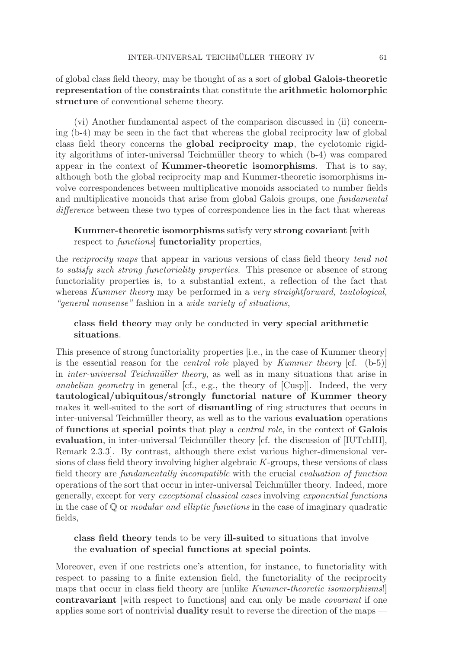of global class field theory, may be thought of as a sort of **global Galois-theoretic representation** of the **constraints** that constitute the **arithmetic holomorphic structure** of conventional scheme theory.

(vi) Another fundamental aspect of the comparison discussed in (ii) concerning (b-4) may be seen in the fact that whereas the global reciprocity law of global class field theory concerns the **global reciprocity map**, the cyclotomic rigidity algorithms of inter-universal Teichm¨uller theory to which (b-4) was compared appear in the context of **Kummer-theoretic isomorphisms**. That is to say, although both the global reciprocity map and Kummer-theoretic isomorphisms involve correspondences between multiplicative monoids associated to number fields and multiplicative monoids that arise from global Galois groups, one fundamental difference between these two types of correspondence lies in the fact that whereas

**Kummer-theoretic isomorphisms** satisfy very **strong covariant** [with respect to functions] **functoriality** properties,

the reciprocity maps that appear in various versions of class field theory tend not to satisfy such strong functoriality properties. This presence or absence of strong functoriality properties is, to a substantial extent, a reflection of the fact that whereas Kummer theory may be performed in a very straightforward, tautological, "general nonsense" fashion in a wide variety of situations,

**class field theory** may only be conducted in **very special arithmetic situations**.

This presence of strong functoriality properties [i.e., in the case of Kummer theory] is the essential reason for the *central role* played by *Kummer theory* [cf.  $(b-5)$ ] in *inter-universal Teichmüller theory*, as well as in many situations that arise in anabelian geometry in general [cf., e.g., the theory of [Cusp]]. Indeed, the very **tautological/ubiquitous/strongly functorial nature of Kummer theory** makes it well-suited to the sort of **dismantling** of ring structures that occurs in inter-universal Teichmüller theory, as well as to the various **evaluation** operations of **functions** at **special points** that play a central role, in the context of **Galois evaluation**, in inter-universal Teichmüller theory [cf. the discussion of [IUTchIII], Remark 2.3.3]. By contrast, although there exist various higher-dimensional versions of class field theory involving higher algebraic K-groups, these versions of class field theory are fundamentally incompatible with the crucial evaluation of function operations of the sort that occur in inter-universal Teichm¨uller theory. Indeed, more generally, except for very exceptional classical cases involving exponential functions in the case of  $\mathbb Q$  or *modular and elliptic functions* in the case of imaginary quadratic fields,

**class field theory** tends to be very **ill-suited** to situations that involve the **evaluation of special functions at special points**.

Moreover, even if one restricts one's attention, for instance, to functoriality with respect to passing to a finite extension field, the functoriality of the reciprocity maps that occur in class field theory are [unlike Kummer-theoretic isomorphisms!] **contravariant** [with respect to functions] and can only be made covariant if one applies some sort of nontrivial **duality** result to reverse the direction of the maps —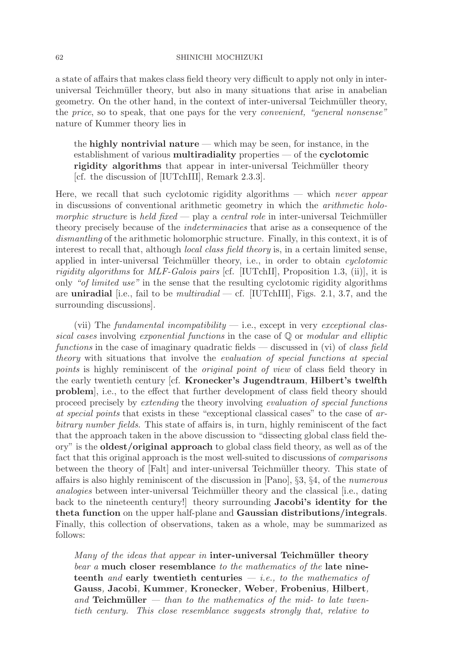a state of affairs that makes class field theory very difficult to apply not only in interuniversal Teichmüller theory, but also in many situations that arise in anabelian geometry. On the other hand, in the context of inter-universal Teichmüller theory, the price, so to speak, that one pays for the very convenient, "general nonsense" nature of Kummer theory lies in

the **highly nontrivial nature** — which may be seen, for instance, in the establishment of various **multiradiality** properties — of the **cyclotomic rigidity algorithms** that appear in inter-universal Teichmüller theory [cf. the discussion of [IUTchIII], Remark 2.3.3].

Here, we recall that such cyclotomic rigidity algorithms — which never appear in discussions of conventional arithmetic geometry in which the arithmetic holomorphic structure is held fixed — play a central role in inter-universal Teichmüller theory precisely because of the indeterminacies that arise as a consequence of the dismantling of the arithmetic holomorphic structure. Finally, in this context, it is of interest to recall that, although *local class field theory* is, in a certain limited sense, applied in inter-universal Teichmüller theory, i.e., in order to obtain *cyclotomic rigidity algorithms* for *MLF-Galois pairs* [cf. [IUTchII], Proposition 1.3, (ii)], it is only "of limited use" in the sense that the resulting cyclotomic rigidity algorithms are **uniradial** [i.e., fail to be *multiradial* — cf. [IUTchIII], Figs. 2.1, 3.7, and the surrounding discussions].

(vii) The fundamental incompatibility  $-$  i.e., except in very exceptional classical cases involving exponential functions in the case of  $\mathbb Q$  or modular and elliptic functions in the case of imaginary quadratic fields — discussed in (vi) of class field theory with situations that involve the evaluation of special functions at special points is highly reminiscent of the original point of view of class field theory in the early twentieth century [cf. **Kronecker's Jugendtraum**, **Hilbert's twelfth problem**], i.e., to the effect that further development of class field theory should proceed precisely by extending the theory involving evaluation of special functions at special points that exists in these "exceptional classical cases" to the case of arbitrary number fields. This state of affairs is, in turn, highly reminiscent of the fact that the approach taken in the above discussion to "dissecting global class field theory" is the **oldest/original approach** to global class field theory, as well as of the fact that this original approach is the most well-suited to discussions of comparisons between the theory of [Falt] and inter-universal Teichm¨uller theory. This state of affairs is also highly reminiscent of the discussion in [Pano], §3, §4, of the numerous analogies between inter-universal Teichmüller theory and the classical [i.e., dating back to the nineteenth century!] theory surrounding **Jacobi's identity for the theta function** on the upper half-plane and **Gaussian distributions/integrals**. Finally, this collection of observations, taken as a whole, may be summarized as follows:

Many of the ideas that appear in **inter-universal Teichmüller theory** bear a **much closer resemblance** to the mathematics of the **late nineteenth** and **early twentieth centuries** — i.e., to the mathematics of **Gauss**, **Jacobi**, **Kummer**, **Kronecker**, **Weber**, **Frobenius**, **Hilbert**, and **Teichmüller**  $-$  than to the mathematics of the mid- to late twentieth century. This close resemblance suggests strongly that, relative to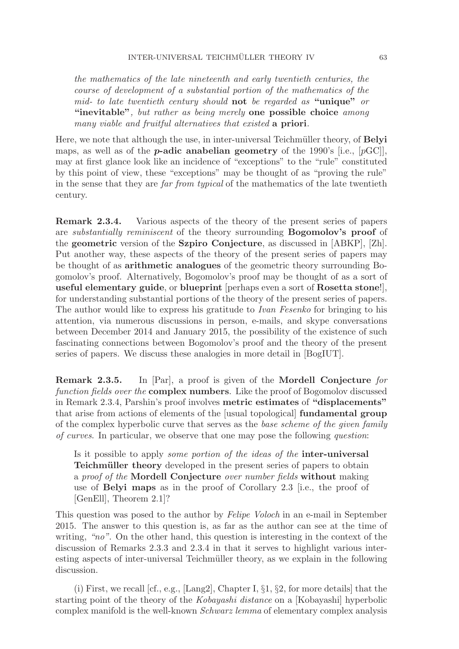the mathematics of the late nineteenth and early twentieth centuries, the course of development of a substantial portion of the mathematics of the mid- to late twentieth century should **not** be regarded as **"unique"** or **"inevitable"**, but rather as being merely **one possible choice** among many viable and fruitful alternatives that existed **a priori**.

Here, we note that although the use, in inter-universal Teichmüller theory, of **Belyi** maps, as well as of the *p***-adic anabelian geometry** of the 1990's [i.e., [pGC]], may at first glance look like an incidence of "exceptions" to the "rule" constituted by this point of view, these "exceptions" may be thought of as "proving the rule" in the sense that they are far from typical of the mathematics of the late twentieth century.

**Remark 2.3.4.** Various aspects of the theory of the present series of papers are substantially reminiscent of the theory surrounding **Bogomolov's proof** of the **geometric** version of the **Szpiro Conjecture**, as discussed in [ABKP], [Zh]. Put another way, these aspects of the theory of the present series of papers may be thought of as **arithmetic analogues** of the geometric theory surrounding Bogomolov's proof. Alternatively, Bogomolov's proof may be thought of as a sort of **useful elementary guide**, or **blueprint** [perhaps even a sort of **Rosetta stone**!], for understanding substantial portions of the theory of the present series of papers. The author would like to express his gratitude to Ivan Fesenko for bringing to his attention, via numerous discussions in person, e-mails, and skype conversations between December 2014 and January 2015, the possibility of the existence of such fascinating connections between Bogomolov's proof and the theory of the present series of papers. We discuss these analogies in more detail in [BogIUT].

**Remark 2.3.5.** In [Par], a proof is given of the **Mordell Conjecture** for function fields over the **complex numbers**. Like the proof of Bogomolov discussed in Remark 2.3.4, Parshin's proof involves **metric estimates** of **"displacements"** that arise from actions of elements of the [usual topological] **fundamental group** of the complex hyperbolic curve that serves as the base scheme of the given family of curves. In particular, we observe that one may pose the following question:

Is it possible to apply some portion of the ideas of the **inter-universal Teichmüller theory** developed in the present series of papers to obtain a proof of the **Mordell Conjecture** over number fields **without** making use of **Belyi maps** as in the proof of Corollary 2.3 [i.e., the proof of [GenEll], Theorem 2.1]?

This question was posed to the author by Felipe Voloch in an e-mail in September 2015. The answer to this question is, as far as the author can see at the time of writing, "no". On the other hand, this question is interesting in the context of the discussion of Remarks 2.3.3 and 2.3.4 in that it serves to highlight various interesting aspects of inter-universal Teichmüller theory, as we explain in the following discussion.

(i) First, we recall [cf., e.g., [Lang2], Chapter I, §1, §2, for more details] that the starting point of the theory of the Kobayashi distance on a [Kobayashi] hyperbolic complex manifold is the well-known Schwarz lemma of elementary complex analysis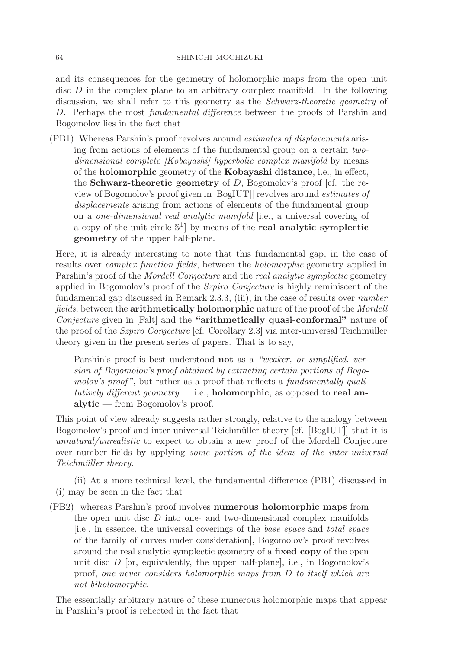and its consequences for the geometry of holomorphic maps from the open unit disc D in the complex plane to an arbitrary complex manifold. In the following discussion, we shall refer to this geometry as the Schwarz-theoretic geometry of D. Perhaps the most *fundamental difference* between the proofs of Parshin and Bogomolov lies in the fact that

(PB1) Whereas Parshin's proof revolves around estimates of displacements arising from actions of elements of the fundamental group on a certain twodimensional complete [Kobayashi] hyperbolic complex manifold by means of the **holomorphic** geometry of the **Kobayashi distance**, i.e., in effect, the **Schwarz-theoretic geometry** of D, Bogomolov's proof [cf. the review of Bogomolov's proof given in [BogIUT]] revolves around estimates of displacements arising from actions of elements of the fundamental group on a one-dimensional real analytic manifold [i.e., a universal covering of a copy of the unit circle  $\mathbb{S}^1$  by means of the **real analytic symplectic geometry** of the upper half-plane.

Here, it is already interesting to note that this fundamental gap, in the case of results over complex function fields, between the holomorphic geometry applied in Parshin's proof of the *Mordell Conjecture* and the *real analytic symplectic* geometry applied in Bogomolov's proof of the Szpiro Conjecture is highly reminiscent of the fundamental gap discussed in Remark 2.3.3, (iii), in the case of results over number fields, between the **arithmetically holomorphic** nature of the proof of the Mordell Conjecture given in [Falt] and the **"arithmetically quasi-conformal"** nature of the proof of the  $Szpi\sigma$  Conjecture [cf. Corollary 2.3] via inter-universal Teichmüller theory given in the present series of papers. That is to say,

Parshin's proof is best understood **not** as a "weaker, or simplified, version of Bogomolov's proof obtained by extracting certain portions of Bogomolov's proof", but rather as a proof that reflects a fundamentally qualitatively different geometry — i.e., **holomorphic**, as opposed to **real analytic** — from Bogomolov's proof.

This point of view already suggests rather strongly, relative to the analogy between Bogomolov's proof and inter-universal Teichmüller theory [cf. [BogIUT]] that it is unnatural/unrealistic to expect to obtain a new proof of the Mordell Conjecture over number fields by applying some portion of the ideas of the inter-universal Teichmüller theory.

(ii) At a more technical level, the fundamental difference (PB1) discussed in (i) may be seen in the fact that

(PB2) whereas Parshin's proof involves **numerous holomorphic maps** from the open unit disc  $D$  into one- and two-dimensional complex manifolds [i.e., in essence, the universal coverings of the base space and total space of the family of curves under consideration], Bogomolov's proof revolves around the real analytic symplectic geometry of a **fixed copy** of the open unit disc  $D$  [or, equivalently, the upper half-plane], i.e., in Bogomolov's proof, one never considers holomorphic maps from D to itself which are not biholomorphic.

The essentially arbitrary nature of these numerous holomorphic maps that appear in Parshin's proof is reflected in the fact that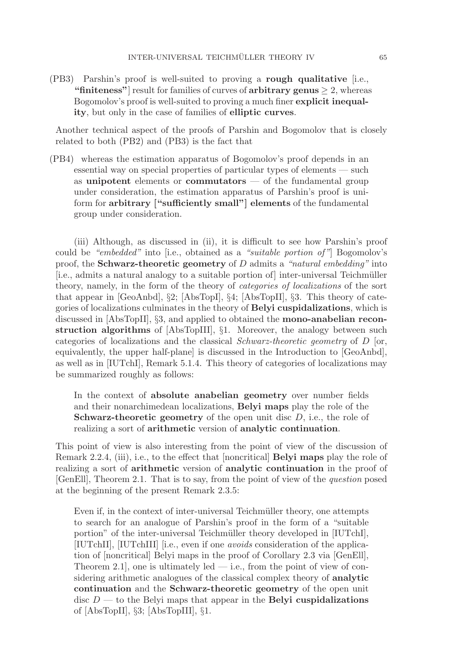(PB3) Parshin's proof is well-suited to proving a **rough qualitative** [i.e., "finiteness"<sup>]</sup> result for families of curves of  $\text{arbitrary genus} \geq 2$ , whereas Bogomolov's proof is well-suited to proving a much finer **explicit inequality**, but only in the case of families of **elliptic curves**.

Another technical aspect of the proofs of Parshin and Bogomolov that is closely related to both (PB2) and (PB3) is the fact that

(PB4) whereas the estimation apparatus of Bogomolov's proof depends in an essential way on special properties of particular types of elements — such as **unipotent** elements or **commutators** — of the fundamental group under consideration, the estimation apparatus of Parshin's proof is uniform for **arbitrary ["sufficiently small"] elements** of the fundamental group under consideration.

(iii) Although, as discussed in (ii), it is difficult to see how Parshin's proof could be "embedded" into [i.e., obtained as a "suitable portion of"] Bogomolov's proof, the **Schwarz-theoretic geometry** of D admits a "natural embedding" into [i.e., admits a natural analogy to a suitable portion of] inter-universal Teichmüller theory, namely, in the form of the theory of categories of localizations of the sort that appear in [GeoAnbd], §2; [AbsTopI], §4; [AbsTopII], §3. This theory of categories of localizations culminates in the theory of **Belyi cuspidalizations**, which is discussed in [AbsTopII], §3, and applied to obtained the **mono-anabelian reconstruction algorithms** of [AbsTopIII], §1. Moreover, the analogy between such categories of localizations and the classical *Schwarz-theoretic geometry* of  $D$  [or, equivalently, the upper half-plane] is discussed in the Introduction to [GeoAnbd], as well as in [IUTchI], Remark 5.1.4. This theory of categories of localizations may be summarized roughly as follows:

In the context of **absolute anabelian geometry** over number fields and their nonarchimedean localizations, **Belyi maps** play the role of the **Schwarz-theoretic geometry** of the open unit disc D, i.e., the role of realizing a sort of **arithmetic** version of **analytic continuation**.

This point of view is also interesting from the point of view of the discussion of Remark 2.2.4, (iii), i.e., to the effect that [noncritical] **Belyi maps** play the role of realizing a sort of **arithmetic** version of **analytic continuation** in the proof of [GenEll], Theorem 2.1. That is to say, from the point of view of the question posed at the beginning of the present Remark 2.3.5:

Even if, in the context of inter-universal Teichmüller theory, one attempts to search for an analogue of Parshin's proof in the form of a "suitable portion" of the inter-universal Teichmüller theory developed in [IUTchI], [IUTchII], [IUTchIII] [i.e., even if one avoids consideration of the application of [noncritical] Belyi maps in the proof of Corollary 2.3 via [GenEll], Theorem 2.1, one is ultimately led — i.e., from the point of view of considering arithmetic analogues of the classical complex theory of **analytic continuation** and the **Schwarz-theoretic geometry** of the open unit disc D — to the Belyi maps that appear in the **Belyi cuspidalizations** of [AbsTopII], §3; [AbsTopIII], §1.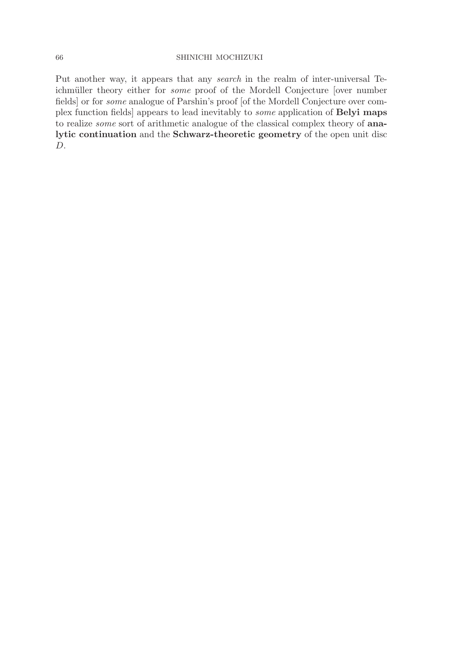Put another way, it appears that any search in the realm of inter-universal Teichmüller theory either for *some* proof of the Mordell Conjecture [over number fields] or for some analogue of Parshin's proof [of the Mordell Conjecture over complex function fields] appears to lead inevitably to some application of **Belyi maps** to realize some sort of arithmetic analogue of the classical complex theory of **analytic continuation** and the **Schwarz-theoretic geometry** of the open unit disc D.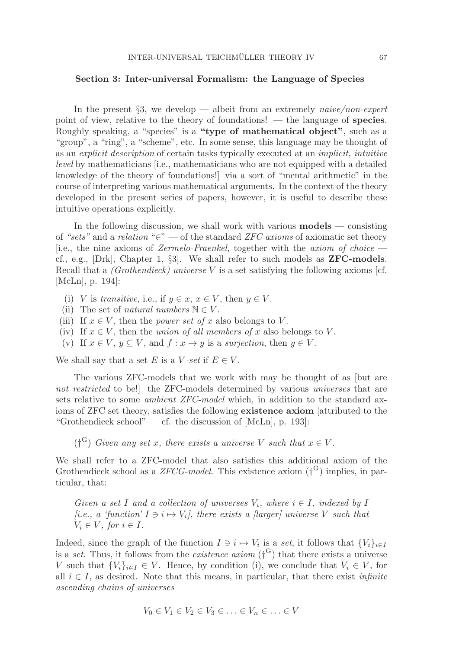### **Section 3: Inter-universal Formalism: the Language of Species**

In the present  $\S3$ , we develop — albeit from an extremely *naive/non-expert* point of view, relative to the theory of foundations! — the language of **species**. Roughly speaking, a "species" is a **"type of mathematical object"**, such as a "group", a "ring", a "scheme", etc. In some sense, this language may be thought of as an explicit description of certain tasks typically executed at an implicit, intuitive level by mathematicians [i.e., mathematicians who are not equipped with a detailed knowledge of the theory of foundations!] via a sort of "mental arithmetic" in the course of interpreting various mathematical arguments. In the context of the theory developed in the present series of papers, however, it is useful to describe these intuitive operations explicitly.

In the following discussion, we shall work with various **models** — consisting of "sets" and a relation " $\in$ " — of the standard ZFC axioms of axiomatic set theory [i.e., the nine axioms of Zermelo-Fraenkel, together with the axiom of choice cf., e.g., [Drk], Chapter 1, §3]. We shall refer to such models as **ZFC-models**. Recall that a (Grothendieck) universe V is a set satisfying the following axioms [cf. [McLn], p. 194]:

- (i) V is transitive, i.e., if  $y \in x, x \in V$ , then  $y \in V$ .
- (ii) The set of *natural numbers*  $\mathbb{N} \in V$ .
- (iii) If  $x \in V$ , then the *power set of* x also belongs to V.
- (iv) If  $x \in V$ , then the union of all members of x also belongs to V.
- (v) If  $x \in V$ ,  $y \subset V$ , and  $f: x \to y$  is a surjection, then  $y \in V$ .

We shall say that a set E is a V-set if  $E \in V$ .

The various ZFC-models that we work with may be thought of as [but are not restricted to be! the ZFC-models determined by various universes that are sets relative to some ambient ZFC-model which, in addition to the standard axioms of ZFC set theory, satisfies the following **existence axiom** [attributed to the "Grothendieck school" — cf. the discussion of  $[McLn]$ , p. 193]:

( $\mathfrak{f}^{\mathbf{G}}$ ) Given any set x, there exists a universe V such that  $x \in V$ .

We shall refer to a ZFC-model that also satisfies this additional axiom of the Grothendieck school as a  $ZFCG-model$ . This existence axiom  $({\dagger}^{G})$  implies, in particular, that:

Given a set I and a collection of universes  $V_i$ , where  $i \in I$ , indexed by I [i.e., a 'function'  $I \ni i \mapsto V_i$ ], there exists a [larger] universe V such that  $V_i \in V$ , for  $i \in I$ .

Indeed, since the graph of the function  $I \ni i \mapsto V_i$  is a set, it follows that  $\{V_i\}_{i\in I}$ is a set. Thus, it follows from the *existence axiom*  $(f^G)$  that there exists a universe V such that  ${V_i}_{i\in I} \in V$ . Hence, by condition (i), we conclude that  $V_i \in V$ , for all  $i \in I$ , as desired. Note that this means, in particular, that there exist *infinite* ascending chains of universes

$$
V_0 \in V_1 \in V_2 \in V_3 \in \ldots \in V_n \in \ldots \in V
$$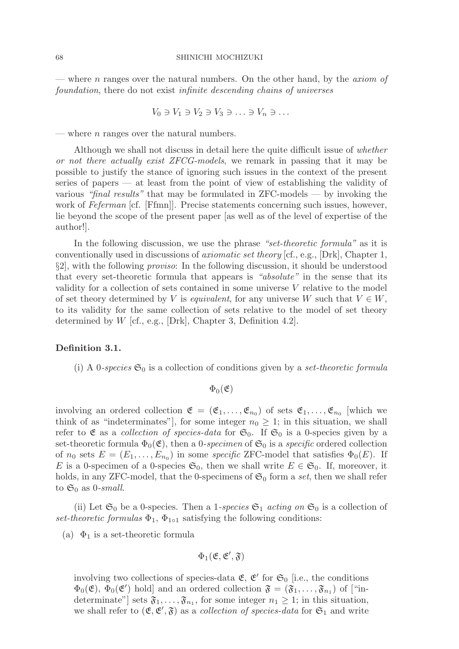— where n ranges over the natural numbers. On the other hand, by the *axiom of* foundation, there do not exist infinite descending chains of universes

$$
V_0 \ni V_1 \ni V_2 \ni V_3 \ni \ldots \ni V_n \ni \ldots
$$

— where *n* ranges over the natural numbers.

Although we shall not discuss in detail here the quite difficult issue of whether or not there actually exist ZFCG-models, we remark in passing that it may be possible to justify the stance of ignoring such issues in the context of the present series of papers — at least from the point of view of establishing the validity of various "final results" that may be formulated in  $ZFC$ -models — by invoking the work of Feferman [cf. [Ffmn]]. Precise statements concerning such issues, however, lie beyond the scope of the present paper [as well as of the level of expertise of the author!].

In the following discussion, we use the phrase "set-theoretic formula" as it is conventionally used in discussions of axiomatic set theory [cf., e.g., [Drk], Chapter 1, §2], with the following proviso: In the following discussion, it should be understood that every set-theoretic formula that appears is "absolute" in the sense that its validity for a collection of sets contained in some universe  $V$  relative to the model of set theory determined by V is *equivalent*, for any universe W such that  $V \in W$ , to its validity for the same collection of sets relative to the model of set theory determined by  $W$  [cf., e.g., [Drk], Chapter 3, Definition 4.2].

#### **Definition 3.1.**

(i) A 0-species  $\mathfrak{S}_0$  is a collection of conditions given by a set-theoretic formula

 $\Phi_0(\mathfrak{E})$ 

involving an ordered collection  $\mathfrak{E} = (\mathfrak{E}_1, \ldots, \mathfrak{E}_{n_0})$  of sets  $\mathfrak{E}_1, \ldots, \mathfrak{E}_{n_0}$  [which we think of as "indeterminates"], for some integer  $n_0 \geq 1$ ; in this situation, we shall refer to  $\mathfrak E$  as a *collection of species-data* for  $\mathfrak{S}_0$ . If  $\mathfrak{S}_0$  is a 0-species given by a set-theoretic formula  $\Phi_0(\mathfrak{E})$ , then a 0-specimen of  $\mathfrak{S}_0$  is a specific ordered collection of  $n_0$  sets  $E = (E_1, \ldots, E_{n_0})$  in some specific ZFC-model that satisfies  $\Phi_0(E)$ . If E is a 0-specimen of a 0-species  $\mathfrak{S}_0$ , then we shall write  $E \in \mathfrak{S}_0$ . If, moreover, it holds, in any ZFC-model, that the 0-specimens of  $\mathfrak{S}_0$  form a set, then we shall refer to  $\mathfrak{S}_0$  as 0-small.

(ii) Let  $\mathfrak{S}_0$  be a 0-species. Then a 1-species  $\mathfrak{S}_1$  acting on  $\mathfrak{S}_0$  is a collection of set-theoretic formulas  $\Phi_1$ ,  $\Phi_{1\circ 1}$  satisfying the following conditions:

(a)  $\Phi_1$  is a set-theoretic formula

$$
\Phi_1(\mathfrak{E},\mathfrak{E}',\mathfrak{F})
$$

involving two collections of species-data  $\mathfrak{E}, \mathfrak{E}'$  for  $\mathfrak{S}_0$  [i.e., the conditions  $\Phi_0(\mathfrak{E}), \Phi_0(\mathfrak{E}')$  hold] and an ordered collection  $\mathfrak{F} = (\mathfrak{F}_1,\ldots,\mathfrak{F}_{n_1})$  of ["indeterminate"] sets  $\mathfrak{F}_1,\ldots,\mathfrak{F}_{n_1}$ , for some integer  $n_1 \geq 1$ ; in this situation, we shall refer to  $(\mathfrak{E}, \mathfrak{E}', \mathfrak{F})$  as a *collection of species-data* for  $\mathfrak{S}_1$  and write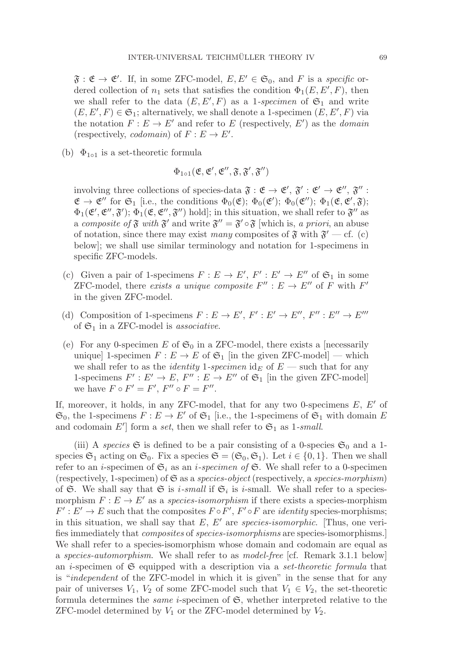$\mathfrak{F} : \mathfrak{E} \to \mathfrak{E}'$ . If, in some ZFC-model,  $E, E' \in \mathfrak{S}_0$ , and F is a specific ordered collection of  $n_1$  sets that satisfies the condition  $\Phi_1(E, E', F)$ , then we shall refer to the data  $(E, E', F)$  as a 1-specimen of  $\mathfrak{S}_1$  and write  $(E, E', F) \in \mathfrak{S}_1$ ; alternatively, we shall denote a 1-specimen  $(E, E', F)$  via the notation  $F: E \to E'$  and refer to E (respectively, E') as the *domain* (respectively, *codomain*) of  $F : E \to E'$ .

(b)  $\Phi_{1\circ 1}$  is a set-theoretic formula

$$
\Phi_{1\circ 1}(\mathfrak{E}, \mathfrak{E}', \mathfrak{E}'', \mathfrak{F}, \mathfrak{F}', \mathfrak{F}'')
$$

involving three collections of species-data  $\mathfrak{F} : \mathfrak{E} \to \mathfrak{E}', \mathfrak{F}' : \mathfrak{E}' \to \mathfrak{E}'', \mathfrak{F}'' :$  $\mathfrak{E} \to \mathfrak{E}''$  for  $\mathfrak{S}_1$  [i.e., the conditions  $\Phi_0(\mathfrak{E}); \ \Phi_0(\mathfrak{E}'); \ \Phi_0(\mathfrak{E}''); \ \Phi_1(\mathfrak{E}, \mathfrak{E}'; \mathfrak{F});$  $\Phi_1(\mathfrak{E}', \mathfrak{E}''; \mathfrak{F}'); \Phi_1(\mathfrak{E}, \mathfrak{E}'', \mathfrak{F}'')$  hold]; in this situation, we shall refer to  $\mathfrak{F}''$  as a composite of  $\mathfrak F$  with  $\mathfrak F'$  and write  $\mathfrak F'' = \mathfrak F' \circ \mathfrak F$  [which is, a priori, an abuse of notation, since there may exist many composites of  $\mathfrak{F}$  with  $\mathfrak{F}'$  — cf. (c) below]; we shall use similar terminology and notation for 1-specimens in specific ZFC-models.

- (c) Given a pair of 1-specimens  $F: E \to E', F' : E' \to E''$  of  $\mathfrak{S}_1$  in some ZFC-model, there exists a unique composite  $F'' : E \to E''$  of F with  $F'$ in the given ZFC-model.
- (d) Composition of 1-specimens  $F: E \to E', F': E' \to E'', F'': E'' \to E'''$ of  $\mathfrak{S}_1$  in a ZFC-model is *associative*.
- (e) For any 0-specimen E of  $\mathfrak{S}_0$  in a ZFC-model, there exists a [necessarily unique] 1-specimen  $F: E \to E$  of  $\mathfrak{S}_1$  [in the given ZFC-model] — which we shall refer to as the *identity* 1-specimen  $\mathrm{id}_E$  of  $E$  — such that for any 1-specimens  $F' : E' \to E$ ,  $F'' : E \to E''$  of  $\mathfrak{S}_1$  [in the given ZFC-model] we have  $F \circ F' = F'$ ,  $F'' \circ F = F''$ .

If, moreover, it holds, in any ZFC-model, that for any two 0-specimens  $E, E'$  of  $\mathfrak{S}_0$ , the 1-specimens  $F: E \to E'$  of  $\mathfrak{S}_1$  [i.e., the 1-specimens of  $\mathfrak{S}_1$  with domain E and codomain E'] form a set, then we shall refer to  $\mathfrak{S}_1$  as 1-small.

(iii) A species  $\mathfrak S$  is defined to be a pair consisting of a 0-species  $\mathfrak S_0$  and a 1species  $\mathfrak{S}_1$  acting on  $\mathfrak{S}_0$ . Fix a species  $\mathfrak{S} = (\mathfrak{S}_0, \mathfrak{S}_1)$ . Let  $i \in \{0, 1\}$ . Then we shall refer to an *i*-specimen of  $\mathfrak{S}_i$  as an *i-specimen of*  $\mathfrak{S}$ . We shall refer to a 0-specimen (respectively, 1-specimen) of  $\mathfrak S$  as a species-object (respectively, a species-morphism) of G. We shall say that G is *i*-small if  $G_i$  is *i*-small. We shall refer to a speciesmorphism  $F : E \to E'$  as a *species-isomorphism* if there exists a species-morphism  $F' : E' \to E$  such that the composites  $F \circ F'$ ,  $F' \circ F$  are *identity* species-morphisms; in this situation, we shall say that  $E, E'$  are species-isomorphic. [Thus, one verifies immediately that composites of species-isomorphisms are species-isomorphisms.] We shall refer to a species-isomorphism whose domain and codomain are equal as a species-automorphism. We shall refer to as model-free [cf. Remark 3.1.1 below] an *i*-specimen of  $\mathfrak S$  equipped with a description via a *set-theoretic formula* that is "independent of the ZFC-model in which it is given" in the sense that for any pair of universes  $V_1$ ,  $V_2$  of some ZFC-model such that  $V_1 \in V_2$ , the set-theoretic formula determines the *same i*-specimen of  $\mathfrak{S}$ , whether interpreted relative to the ZFC-model determined by  $V_1$  or the ZFC-model determined by  $V_2$ .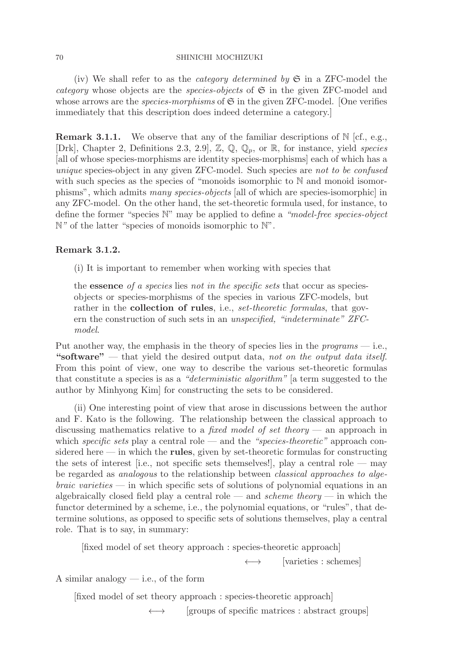(iv) We shall refer to as the *category determined by*  $\mathfrak{S}$  in a ZFC-model the *category* whose objects are the *species-objects* of  $\mathfrak{S}$  in the given ZFC-model and whose arrows are the *species-morphisms* of  $\mathfrak S$  in the given ZFC-model. [One verifies immediately that this description does indeed determine a category.]

**Remark 3.1.1.** We observe that any of the familiar descriptions of  $\mathbb{N}$  [cf., e.g., [Drk], Chapter 2, Definitions 2.3, 2.9],  $\mathbb{Z}, \mathbb{Q}, \mathbb{Q}_p$ , or  $\mathbb{R}$ , for instance, yield species [all of whose species-morphisms are identity species-morphisms] each of which has a unique species-object in any given ZFC-model. Such species are not to be confused with such species as the species of "monoids isomorphic to N and monoid isomorphisms", which admits many species-objects [all of which are species-isomorphic] in any ZFC-model. On the other hand, the set-theoretic formula used, for instance, to define the former "species N" may be applied to define a "model-free species-object N" of the latter "species of monoids isomorphic to N".

# **Remark 3.1.2.**

(i) It is important to remember when working with species that

the **essence** of a species lies not in the specific sets that occur as speciesobjects or species-morphisms of the species in various ZFC-models, but rather in the **collection of rules**, i.e., *set-theoretic formulas*, that govern the construction of such sets in an unspecified, "indeterminate" ZFCmodel.

Put another way, the emphasis in the theory of species lies in the programs — i.e., **"software"** — that yield the desired output data, not on the output data itself. From this point of view, one way to describe the various set-theoretic formulas that constitute a species is as a "deterministic algorithm" [a term suggested to the author by Minhyong Kim] for constructing the sets to be considered.

(ii) One interesting point of view that arose in discussions between the author and F. Kato is the following. The relationship between the classical approach to discussing mathematics relative to a fixed model of set theory — an approach in which specific sets play a central role — and the "species-theoretic" approach considered here — in which the **rules**, given by set-theoretic formulas for constructing the sets of interest [i.e., not specific sets themselves!], play a central role — may be regarded as analogous to the relationship between classical approaches to alge $braic \,\,varieties$  — in which specific sets of solutions of polynomial equations in an algebraically closed field play a central role — and *scheme theory* — in which the functor determined by a scheme, i.e., the polynomial equations, or "rules", that determine solutions, as opposed to specific sets of solutions themselves, play a central role. That is to say, in summary:

[fixed model of set theory approach : species-theoretic approach]

 $\rightarrow$  [varieties : schemes]

A similar analogy  $-$  i.e., of the form

[fixed model of set theory approach : species-theoretic approach]

 $\longleftrightarrow$  [groups of specific matrices : abstract groups]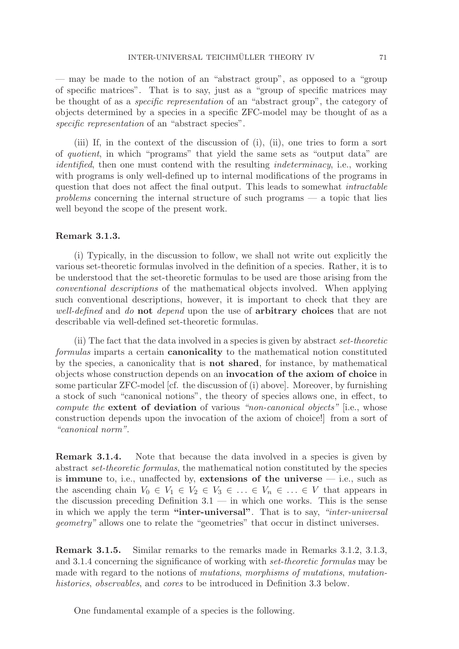— may be made to the notion of an "abstract group", as opposed to a "group of specific matrices". That is to say, just as a "group of specific matrices may be thought of as a specific representation of an "abstract group", the category of objects determined by a species in a specific ZFC-model may be thought of as a specific representation of an "abstract species".

(iii) If, in the context of the discussion of (i), (ii), one tries to form a sort of quotient, in which "programs" that yield the same sets as "output data" are identified, then one must contend with the resulting *indeterminacy*, i.e., working with programs is only well-defined up to internal modifications of the programs in question that does not affect the final output. This leads to somewhat intractable problems concerning the internal structure of such programs — a topic that lies well beyond the scope of the present work.

### **Remark 3.1.3.**

(i) Typically, in the discussion to follow, we shall not write out explicitly the various set-theoretic formulas involved in the definition of a species. Rather, it is to be understood that the set-theoretic formulas to be used are those arising from the conventional descriptions of the mathematical objects involved. When applying such conventional descriptions, however, it is important to check that they are well-defined and do **not** depend upon the use of **arbitrary choices** that are not describable via well-defined set-theoretic formulas.

(ii) The fact that the data involved in a species is given by abstract set-theoretic formulas imparts a certain **canonicality** to the mathematical notion constituted by the species, a canonicality that is **not shared**, for instance, by mathematical objects whose construction depends on an **invocation of the axiom of choice** in some particular ZFC-model [cf. the discussion of (i) above]. Moreover, by furnishing a stock of such "canonical notions", the theory of species allows one, in effect, to compute the **extent of deviation** of various "non-canonical objects" [i.e., whose construction depends upon the invocation of the axiom of choice!] from a sort of "canonical norm".

**Remark 3.1.4.** Note that because the data involved in a species is given by abstract set-theoretic formulas, the mathematical notion constituted by the species is **immune** to, i.e., unaffected by, **extensions of the universe** — i.e., such as the ascending chain  $V_0 \in V_1 \in V_2 \in V_3 \in \ldots \in V_n \in \ldots \in V$  that appears in the discussion preceding Definition  $3.1$  — in which one works. This is the sense in which we apply the term **"inter-universal"**. That is to say, "inter-universal geometry" allows one to relate the "geometries" that occur in distinct universes.

**Remark 3.1.5.** Similar remarks to the remarks made in Remarks 3.1.2, 3.1.3, and 3.1.4 concerning the significance of working with set-theoretic formulas may be made with regard to the notions of mutations, morphisms of mutations, mutationhistories, observables, and cores to be introduced in Definition 3.3 below.

One fundamental example of a species is the following.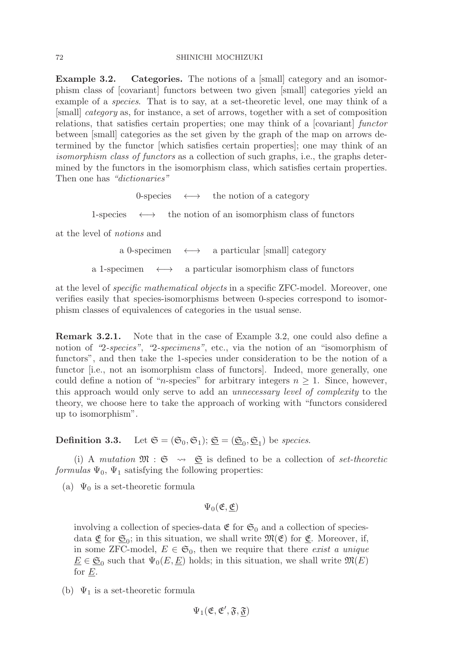**Example 3.2.** Categories. The notions of a [small] category and an isomorphism class of [covariant] functors between two given [small] categories yield an example of a species. That is to say, at a set-theoretic level, one may think of a [small] category as, for instance, a set of arrows, together with a set of composition relations, that satisfies certain properties; one may think of a [covariant] functor between [small] categories as the set given by the graph of the map on arrows determined by the functor [which satisfies certain properties]; one may think of an isomorphism class of functors as a collection of such graphs, i.e., the graphs determined by the functors in the isomorphism class, which satisfies certain properties. Then one has "dictionaries"

0-species  $\longleftrightarrow$  the notion of a category

1-species  $\longleftrightarrow$  the notion of an isomorphism class of functors

at the level of notions and

a 0-specimen  $\longleftrightarrow$  a particular [small] category

a 1-specimen  $\longleftrightarrow$  a particular isomorphism class of functors

at the level of specific mathematical objects in a specific ZFC-model. Moreover, one verifies easily that species-isomorphisms between 0-species correspond to isomorphism classes of equivalences of categories in the usual sense.

**Remark 3.2.1.** Note that in the case of Example 3.2, one could also define a notion of "2-species", "2-specimens", etc., via the notion of an "isomorphism of functors", and then take the 1-species under consideration to be the notion of a functor [i.e., not an isomorphism class of functors]. Indeed, more generally, one could define a notion of "*n*-species" for arbitrary integers  $n \geq 1$ . Since, however, this approach would only serve to add an unnecessary level of complexity to the theory, we choose here to take the approach of working with "functors considered up to isomorphism".

**Definition 3.3.** Let  $\mathfrak{S} = (\mathfrak{S}_0, \mathfrak{S}_1); \mathfrak{S} = (\mathfrak{S}_0, \mathfrak{S}_1)$  be species.

(i) A mutation  $\mathfrak{M}$  :  $\mathfrak{S} \rightarrow \mathfrak{S}$  is defined to be a collection of set-theoretic formulas  $\Psi_0$ ,  $\Psi_1$  satisfying the following properties:

(a)  $\Psi_0$  is a set-theoretic formula

 $\Psi_0(\mathfrak{E}, \mathfrak{E})$ 

involving a collection of species-data  $\mathfrak{E}$  for  $\mathfrak{S}_0$  and a collection of speciesdata  $\underline{\mathfrak{E}}$  for  $\underline{\mathfrak{S}}_0$ ; in this situation, we shall write  $\mathfrak{M}(\mathfrak{E})$  for  $\underline{\mathfrak{E}}$ . Moreover, if, in some ZFC-model,  $E \in \mathfrak{S}_0$ , then we require that there exist a unique  $\underline{E} \in \underline{\mathfrak{S}}_0$  such that  $\Psi_0(E, \underline{E})$  holds; in this situation, we shall write  $\mathfrak{M}(E)$ for  $\underline{E}$ .

(b)  $\Psi_1$  is a set-theoretic formula

 $\Psi_1(\mathfrak{E}, \mathfrak{E}', \mathfrak{F}, \underline{\mathfrak{F}})$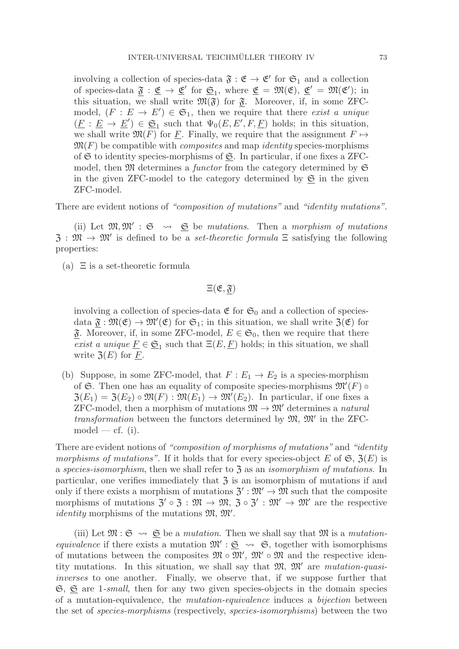involving a collection of species-data  $\mathfrak{F} : \mathfrak{E} \to \mathfrak{E}'$  for  $\mathfrak{S}_1$  and a collection of species-data  $\underline{\mathfrak{F}} : \underline{\mathfrak{E}} \to \underline{\mathfrak{E}}'$  for  $\underline{\mathfrak{S}}_1$ , where  $\underline{\mathfrak{E}} = \mathfrak{M}(\mathfrak{E}), \underline{\mathfrak{E}}' = \mathfrak{M}(\mathfrak{E}');$  in this situation, we shall write  $\mathfrak{M}(\mathfrak{F})$  for  $\mathfrak{F}$ . Moreover, if, in some ZFCmodel,  $(F : E \to E') \in \mathfrak{S}_1$ , then we require that there exist a unique  $(E: E \to E') \in \mathfrak{S}_1$  such that  $\Psi_0(E, E', F, E)$  holds; in this situation, we shall write  $\mathfrak{M}(F)$  for E. Finally, we require that the assignment  $F \mapsto$  $\mathfrak{M}(F)$  be compatible with *composites* and map *identity* species-morphisms of  $\mathfrak S$  to identity species-morphisms of  $\mathfrak S$ . In particular, if one fixes a ZFCmodel, then  $\mathfrak M$  determines a *functor* from the category determined by  $\mathfrak S$ in the given ZFC-model to the category determined by  $\mathfrak{S}$  in the given ZFC-model.

There are evident notions of "composition of mutations" and "identity mutations".

(ii) Let  $\mathfrak{M},\mathfrak{M}'$ :  $\mathfrak{S} \rightsquigarrow \mathfrak{S}$  be mutations. Then a morphism of mutations  $\mathfrak{Z}: \mathfrak{M} \to \mathfrak{M}'$  is defined to be a *set-theoretic formula*  $\Xi$  satisfying the following properties:

(a)  $\Xi$  is a set-theoretic formula

 $\Xi(\mathfrak{E}, \mathfrak{F})$ 

involving a collection of species-data  $\mathfrak{E}$  for  $\mathfrak{S}_0$  and a collection of speciesdata  $\underline{\mathfrak{F}} : \mathfrak{M}(\mathfrak{E}) \to \mathfrak{M}'(\mathfrak{E})$  for  $\mathfrak{S}_1$ ; in this situation, we shall write  $\mathfrak{Z}(\mathfrak{E})$  for  $\mathfrak{F}.$  Moreover, if, in some ZFC-model,  $E \in \mathfrak{S}_0$ , then we require that there exist a unique  $\underline{F} \in \underline{\mathfrak{S}}_1$  such that  $\Xi(E, \underline{F})$  holds; in this situation, we shall write  $\mathfrak{Z}(E)$  for  $\underline{F}$ .

(b) Suppose, in some ZFC-model, that  $F: E_1 \to E_2$  is a species-morphism of  $\mathfrak{S}$ . Then one has an equality of composite species-morphisms  $\mathfrak{M}'(F)$  $\mathfrak{Z}(E_1) = \mathfrak{Z}(E_2) \circ \mathfrak{M}(F) : \mathfrak{M}(E_1) \to \mathfrak{M}'(E_2)$ . In particular, if one fixes a ZFC-model, then a morphism of mutations  $\mathfrak{M} \to \mathfrak{M}'$  determines a natural transformation between the functors determined by  $\mathfrak{M}, \mathfrak{M}'$  in the ZFC $model - cf.$  (i).

There are evident notions of "composition of morphisms of mutations" and "identity" morphisms of mutations". If it holds that for every species-object E of  $\mathfrak{S}, \mathfrak{Z}(E)$  is a species-isomorphism, then we shall refer to  $\mathfrak{Z}$  as an *isomorphism of mutations*. In particular, one verifies immediately that  $\mathfrak{Z}$  is an isomorphism of mutations if and only if there exists a morphism of mutations  $\mathfrak{Z}' : \mathfrak{M}' \to \mathfrak{M}$  such that the composite morphisms of mutations  $\mathfrak{Z} \circ \mathfrak{Z} : \mathfrak{M} \to \mathfrak{M}, \mathfrak{Z} \circ \mathfrak{Z}': \mathfrak{M}' \to \mathfrak{M}'$  are the respective *identity* morphisms of the mutations  $\mathfrak{M}, \mathfrak{M}'$ .

(iii) Let  $\mathfrak{M} : \mathfrak{S} \rightsquigarrow \mathfrak{S}$  be a *mutation*. Then we shall say that  $\mathfrak{M}$  is a *mutation*equivalence if there exists a mutation  $\mathfrak{M}' : \mathfrak{S} \rightsquigarrow \mathfrak{S}$ , together with isomorphisms of mutations between the composites  $\mathfrak{M} \circ \mathfrak{M}'$ ,  $\mathfrak{M}' \circ \mathfrak{M}$  and the respective identity mutations. In this situation, we shall say that  $\mathfrak{M}, \mathfrak{M}'$  are mutation-quasiinverses to one another. Finally, we observe that, if we suppose further that  $\mathfrak{S}, \mathfrak{S}$  are 1-small, then for any two given species-objects in the domain species of a mutation-equivalence, the mutation-equivalence induces a bijection between the set of species-morphisms (respectively, species-isomorphisms) between the two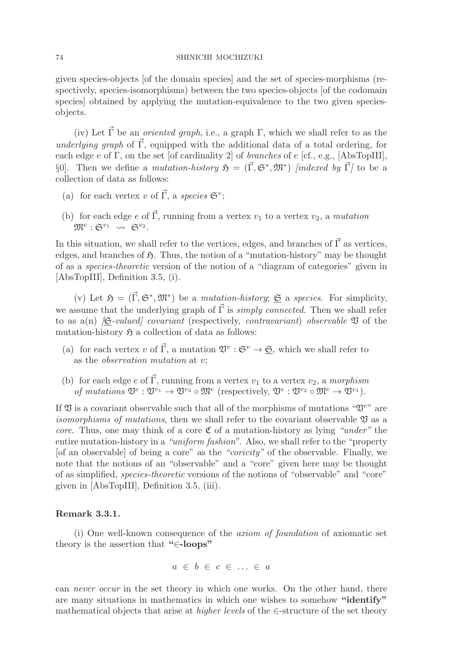given species-objects [of the domain species] and the set of species-morphisms (respectively, species-isomorphisms) between the two species-objects [of the codomain species] obtained by applying the mutation-equivalence to the two given speciesobjects.

(iv) Let  $\vec{\Gamma}$  be an *oriented graph*, i.e., a graph  $\Gamma$ , which we shall refer to as the underlying graph of  $\vec{\Gamma}$ , equipped with the additional data of a total ordering, for each edge  $e$  of  $\Gamma$ , on the set [of cardinality 2] of *branches* of  $e$  [cf., e.g., [AbsTopIII], §0]. Then we define a *mutation-history*  $\mathfrak{H} = (\vec{\Gamma}, \mathfrak{S}^*, \mathfrak{M}^*)$  *[indexed by*  $\vec{\Gamma}$ *]* to be a collection of data as follows:

- (a) for each vertex v of  $\vec{\Gamma}$ , a species  $\mathfrak{S}^v$ ;
- (b) for each edge e of  $\vec{\Gamma}$ , running from a vertex  $v_1$  to a vertex  $v_2$ , a mutation  $\mathfrak{M}^e: \mathfrak{S}^{v_1} \rightsquigarrow \mathfrak{S}^{v_2}$ .

In this situation, we shall refer to the vertices, edges, and branches of  $\vec{\Gamma}$  as vertices, edges, and branches of  $\mathfrak{H}$ . Thus, the notion of a "mutation-history" may be thought of as a species-theoretic version of the notion of a "diagram of categories" given in [AbsTopIII], Definition 3.5, (i).

(v) Let  $\mathfrak{H} = (\vec{\Gamma}, \mathfrak{S}^*, \mathfrak{M}^*)$  be a *mutation-history*; <u> $\mathfrak{S}$ </u> a *species*. For simplicity, we assume that the underlying graph of  $\vec{\Gamma}$  is *simply connected*. Then we shall refer to as a(n)  $\beta$ -valued covariant (respectively, contravariant) observable  $\mathfrak V$  of the mutation-history  $\mathfrak{H}$  a collection of data as follows:

- (a) for each vertex v of  $\vec{\Gamma}$ , a mutation  $\mathfrak{V}^v : \mathfrak{S}^v \to \underline{\mathfrak{S}}$ , which we shall refer to as the observation mutation at v;
- (b) for each edge e of  $\vec{\Gamma}$ , running from a vertex  $v_1$  to a vertex  $v_2$ , a morphism of mutations  $\mathfrak{V}^e: \mathfrak{V}^{v_1} \to \mathfrak{V}^{v_2} \circ \mathfrak{M}^e$  (respectively,  $\mathfrak{V}^e: \mathfrak{V}^{v_2} \circ \mathfrak{M}^e \to \mathfrak{V}^{v_1}$ ).

If  $\mathfrak V$  is a covariant observable such that all of the morphisms of mutations " $\mathfrak V^{ev}$ " are *isomorphisms of mutations*, then we shall refer to the covariant observable  $\mathfrak V$  as a *core.* Thus, one may think of a core  $\mathfrak C$  of a mutation-history as lying "under" the entire mutation-history in a "uniform fashion". Also, we shall refer to the "property [of an observable] of being a core" as the "coricity" of the observable. Finally, we note that the notions of an "observable" and a "core" given here may be thought of as simplified, species-theoretic versions of the notions of "observable" and "core" given in [AbsTopIII], Definition 3.5, (iii).

# **Remark 3.3.1.**

(i) One well-known consequence of the axiom of foundation of axiomatic set theory is the assertion that **"**∈**-loops"**

$$
a \in b \in c \in \dots \in a
$$

can never occur in the set theory in which one works. On the other hand, there are many situations in mathematics in which one wishes to somehow **"identify"** mathematical objects that arise at *higher levels* of the  $\in$ -structure of the set theory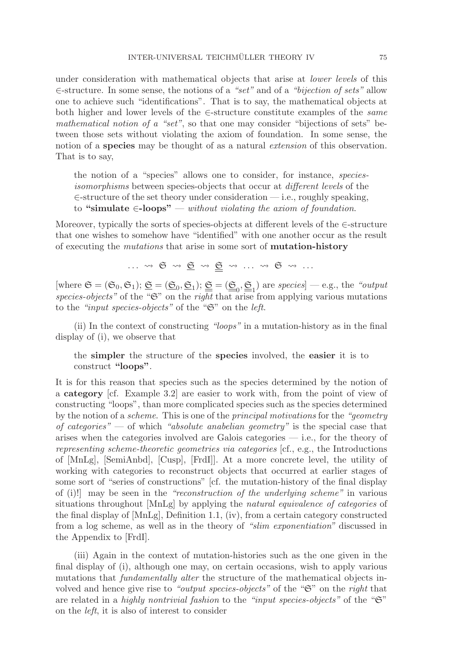under consideration with mathematical objects that arise at *lower levels* of this ∈-structure. In some sense, the notions of a "set" and of a "bijection of sets" allow one to achieve such "identifications". That is to say, the mathematical objects at both higher and lower levels of the ∈-structure constitute examples of the same mathematical notion of a "set", so that one may consider "bijections of sets" between those sets without violating the axiom of foundation. In some sense, the notion of a **species** may be thought of as a natural extension of this observation. That is to say,

the notion of a "species" allows one to consider, for instance, speciesisomorphisms between species-objects that occur at different levels of the ∈-structure of the set theory under consideration — i.e., roughly speaking, to **"simulate** ∈**-loops"** — without violating the axiom of foundation.

Moreover, typically the sorts of species-objects at different levels of the ∈-structure that one wishes to somehow have "identified" with one another occur as the result of executing the mutations that arise in some sort of **mutation-history**

 $\ldots \rightsquigarrow \mathfrak{S} \rightsquigarrow \underline{\mathfrak{S}} \rightsquigarrow \underline{\mathfrak{S}} \rightsquigarrow \ldots \rightsquigarrow \mathfrak{S} \rightsquigarrow \ldots$ 

[where  $\mathfrak{S} = (\mathfrak{S}_0, \mathfrak{S}_1); \underline{\mathfrak{S}} = (\underline{\mathfrak{S}}_0, \underline{\mathfrak{S}}_1); \underline{\underline{\mathfrak{S}}} = (\underline{\underline{\mathfrak{S}}}_0, \underline{\underline{\mathfrak{S}}}_1)$  are species] — e.g., the "output species-objects" of the " $\mathfrak{S}$ " on the right that arise from applying various mutations to the "input species-objects" of the "S" on the left.

(ii) In the context of constructing "loops" in a mutation-history as in the final display of (i), we observe that

the **simpler** the structure of the **species** involved, the **easier** it is to construct **"loops"**.

It is for this reason that species such as the species determined by the notion of a **category** [cf. Example 3.2] are easier to work with, from the point of view of constructing "loops", than more complicated species such as the species determined by the notion of a scheme. This is one of the principal motivations for the "geometry of categories" — of which "absolute anabelian geometry" is the special case that arises when the categories involved are Galois categories — i.e., for the theory of representing scheme-theoretic geometries via categories [cf., e.g., the Introductions of [MnLg], [SemiAnbd], [Cusp], [FrdI]]. At a more concrete level, the utility of working with categories to reconstruct objects that occurred at earlier stages of some sort of "series of constructions" [cf. the mutation-history of the final display of (i)!] may be seen in the "reconstruction of the underlying scheme" in various situations throughout [MnLg] by applying the natural equivalence of categories of the final display of [MnLg], Definition 1.1, (iv), from a certain category constructed from a log scheme, as well as in the theory of "slim exponentiation" discussed in the Appendix to [FrdI].

(iii) Again in the context of mutation-histories such as the one given in the final display of (i), although one may, on certain occasions, wish to apply various mutations that fundamentally alter the structure of the mathematical objects involved and hence give rise to "*output species-objects*" of the " $\mathfrak{S}$ " on the *right* that are related in a highly nontrivial fashion to the "input species-objects" of the " $\mathfrak{S}$ " on the left, it is also of interest to consider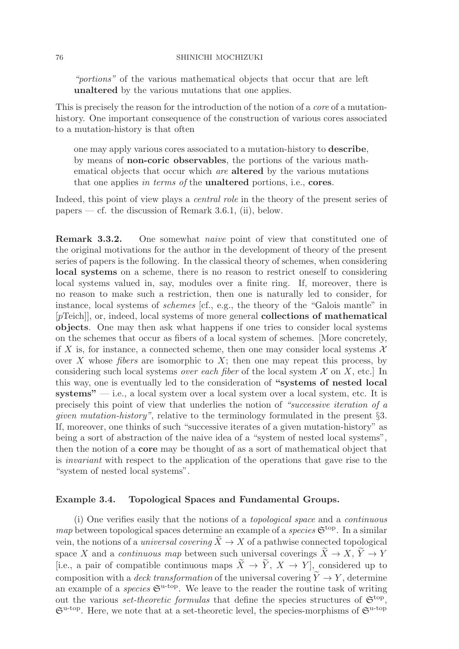"portions" of the various mathematical objects that occur that are left **unaltered** by the various mutations that one applies.

This is precisely the reason for the introduction of the notion of a core of a mutationhistory. One important consequence of the construction of various cores associated to a mutation-history is that often

one may apply various cores associated to a mutation-history to **describe**, by means of **non-coric observables**, the portions of the various mathematical objects that occur which are **altered** by the various mutations that one applies in terms of the **unaltered** portions, i.e., **cores**.

Indeed, this point of view plays a central role in the theory of the present series of papers — cf. the discussion of Remark 3.6.1, (ii), below.

**Remark 3.3.2.** One somewhat *naive* point of view that constituted one of the original motivations for the author in the development of theory of the present series of papers is the following. In the classical theory of schemes, when considering **local systems** on a scheme, there is no reason to restrict oneself to considering local systems valued in, say, modules over a finite ring. If, moreover, there is no reason to make such a restriction, then one is naturally led to consider, for instance, local systems of schemes [cf., e.g., the theory of the "Galois mantle" in [pTeich]], or, indeed, local systems of more general **collections of mathematical objects**. One may then ask what happens if one tries to consider local systems on the schemes that occur as fibers of a local system of schemes. [More concretely, if X is, for instance, a connected scheme, then one may consider local systems  $\mathcal X$ over X whose *fibers* are isomorphic to  $X$ ; then one may repeat this process, by considering such local systems *over each fiber* of the local system  $\mathcal X$  on  $X$ , etc. In this way, one is eventually led to the consideration of **"systems of nested local systems"** — i.e., a local system over a local system over a local system, etc. It is precisely this point of view that underlies the notion of "successive iteration of a given mutation-history", relative to the terminology formulated in the present §3. If, moreover, one thinks of such "successive iterates of a given mutation-history" as being a sort of abstraction of the naive idea of a "system of nested local systems", then the notion of a **core** may be thought of as a sort of mathematical object that is invariant with respect to the application of the operations that gave rise to the "system of nested local systems".

## **Example 3.4. Topological Spaces and Fundamental Groups.**

(i) One verifies easily that the notions of a topological space and a continuous map between topological spaces determine an example of a species  $\mathfrak{S}^{\text{top}}$ . In a similar vein, the notions of a *universal covering*  $\tilde{X} \to X$  of a pathwise connected topological space X and a *continuous map* between such universal coverings  $\widetilde{X} \to X$ ,  $\widetilde{Y} \to Y$ [i.e., a pair of compatible continuous maps  $\widetilde{X} \to \widetilde{Y}$ ,  $X \to Y$ ], considered up to composition with a *deck transformation* of the universal covering  $\tilde{Y} \to Y$ , determine an example of a *species*  $\mathfrak{S}^{\mathrm{u-top}}$ . We leave to the reader the routine task of writing out the various *set-theoretic formulas* that define the species structures of  $\mathfrak{S}^{\text{top}}$ ,  $\mathfrak{S}^{\mathrm{u-top}}$ . Here, we note that at a set-theoretic level, the species-morphisms of  $\mathfrak{S}^{\mathrm{u-top}}$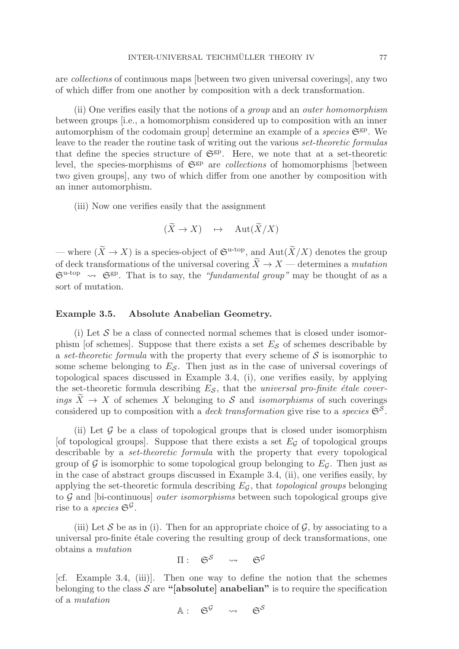are collections of continuous maps [between two given universal coverings], any two of which differ from one another by composition with a deck transformation.

(ii) One verifies easily that the notions of a group and an outer homomorphism between groups [i.e., a homomorphism considered up to composition with an inner automorphism of the codomain group] determine an example of a *species*  $\mathfrak{S}^{gp}$ . We leave to the reader the routine task of writing out the various set-theoretic formulas that define the species structure of  $\mathfrak{S}^{gp}$ . Here, we note that at a set-theoretic level, the species-morphisms of  $\mathfrak{S}^{gp}$  are *collections* of homomorphisms [between two given groups], any two of which differ from one another by composition with an inner automorphism.

(iii) Now one verifies easily that the assignment

$$
(\widetilde{X} \to X) \quad \mapsto \quad \text{Aut}(\widetilde{X}/X)
$$

— where  $(\widetilde{X} \to X)$  is a species-object of  $\mathfrak{S}^{\mathrm{u-top}}$ , and  $\mathrm{Aut}(\widetilde{X}/X)$  denotes the group of deck transformations of the universal covering  $\tilde{X} \to X$  — determines a mutation  $\mathfrak{S}^{\mathrm{u-top}} \rightsquigarrow \mathfrak{S}^{\mathrm{gp}}$ . That is to say, the "fundamental group" may be thought of as a sort of mutation.

## **Example 3.5. Absolute Anabelian Geometry.**

(i) Let  $S$  be a class of connected normal schemes that is closed under isomorphism [of schemes]. Suppose that there exists a set  $E<sub>S</sub>$  of schemes describable by a set-theoretic formula with the property that every scheme of  $S$  is isomorphic to some scheme belonging to  $E<sub>S</sub>$ . Then just as in the case of universal coverings of topological spaces discussed in Example 3.4, (i), one verifies easily, by applying the set-theoretic formula describing  $E_{\mathcal{S}}$ , that the *universal pro-finite étale cover*ings  $X \to X$  of schemes X belonging to S and *isomorphisms* of such coverings considered up to composition with a *deck transformation* give rise to a *species*  $\mathfrak{S}^{\mathcal{S}}$ .

(ii) Let  $\mathcal G$  be a class of topological groups that is closed under isomorphism [of topological groups]. Suppose that there exists a set  $E<sub>G</sub>$  of topological groups describable by a set-theoretic formula with the property that every topological group of G is isomorphic to some topological group belonging to  $E_G$ . Then just as in the case of abstract groups discussed in Example 3.4, (ii), one verifies easily, by applying the set-theoretic formula describing  $E_G$ , that topological groups belonging to  $G$  and [bi-continuous] *outer isomorphisms* between such topological groups give rise to a *species*  $\mathfrak{S}^{\mathcal{G}}$ .

(iii) Let S be as in (i). Then for an appropriate choice of G, by associating to a universal pro-finite étale covering the resulting group of deck transformations, one obtains a mutation

$$
\Pi: \quad \mathfrak{S}^{\mathcal{S}} \quad \rightsquigarrow \quad \mathfrak{S}^{\mathcal{G}}
$$

[cf. Example 3.4, (iii)]. Then one way to define the notion that the schemes belonging to the class  $S$  are "[absolute] anabelian" is to require the specification of a mutation

 $A: G^{\mathcal{G}} \rightarrow G^{\mathcal{S}}$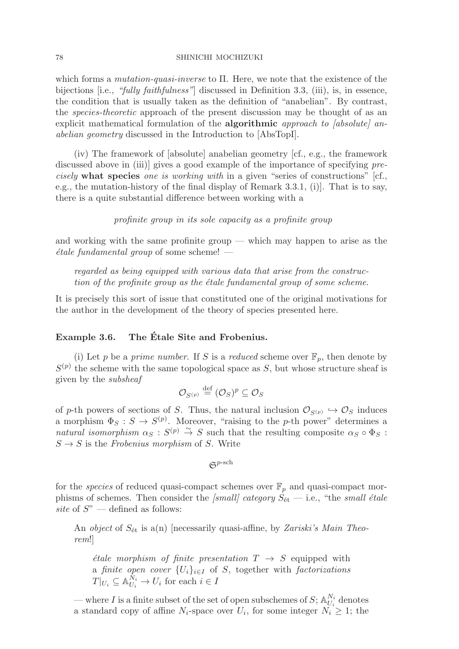which forms a mutation-quasi-inverse to Π. Here, we note that the existence of the bijections [i.e., "fully faithfulness"] discussed in Definition 3.3, (iii), is, in essence, the condition that is usually taken as the definition of "anabelian". By contrast, the species-theoretic approach of the present discussion may be thought of as an explicit mathematical formulation of the **algorithmic** approach to [absolute] anabelian geometry discussed in the Introduction to [AbsTopI].

(iv) The framework of [absolute] anabelian geometry [cf., e.g., the framework discussed above in (iii)] gives a good example of the importance of specifying precisely **what species** one is working with in a given "series of constructions" [cf., e.g., the mutation-history of the final display of Remark 3.3.1, (i)]. That is to say, there is a quite substantial difference between working with a

profinite group in its sole capacity as a profinite group

and working with the same profinite group — which may happen to arise as the  $\acute{e}tale\ function$  fundamental group of some scheme!  $-$ 

regarded as being equipped with various data that arise from the construction of the profinite group as the *étale fundamental group of some scheme*.

It is precisely this sort of issue that constituted one of the original motivations for the author in the development of the theory of species presented here.

# **Example 3.6. The Etale Site and Frobenius. ´**

(i) Let p be a prime number. If S is a reduced scheme over  $\mathbb{F}_p$ , then denote by  $S^{(p)}$  the scheme with the same topological space as S, but whose structure sheaf is given by the subsheaf

$$
\mathcal{O}_{S^{(p)}} \stackrel{\text{def}}{=} (\mathcal{O}_S)^p \subseteq \mathcal{O}_S
$$

of p-th powers of sections of S. Thus, the natural inclusion  $\mathcal{O}_{S(p)} \hookrightarrow \mathcal{O}_S$  induces a morphism  $\Phi_S : S \to S^{(p)}$ . Moreover, "raising to the p-th power" determines a natural isomorphism  $\alpha_S : S^{(p)} \stackrel{\sim}{\to} S$  such that the resulting composite  $\alpha_S \circ \Phi_S :$  $S \rightarrow S$  is the Frobenius morphism of S. Write

 $\mathfrak{S}^{p\text{-sch}}$ 

for the *species* of reduced quasi-compact schemes over  $\mathbb{F}_p$  and quasi-compact morphisms of schemes. Then consider the [small] category  $S_{\text{\'et}}$  — i.e., "the small étale site of  $S$ <sup>"</sup> — defined as follows:

An *object* of  $S_{\text{\'et}}$  is a(n) [necessarily quasi-affine, by Zariski's Main Theorem!]

*étale morphism of finite presentation*  $T \rightarrow S$  equipped with a finite open cover  $\{U_i\}_{i\in I}$  of S, together with factorizations  $T|_{U_i} \subseteq \mathbb{A}_{U_i}^{\tilde{N}_i} \to U_i$  for each  $i \in I$ 

— where I is a finite subset of the set of open subschemes of  $S$ ;  $\mathbb{A}_{U_i}^{N_i}$  denotes a standard copy of affine  $N_i$ -space over  $U_i$ , for some integer  $N_i \geq 1$ ; the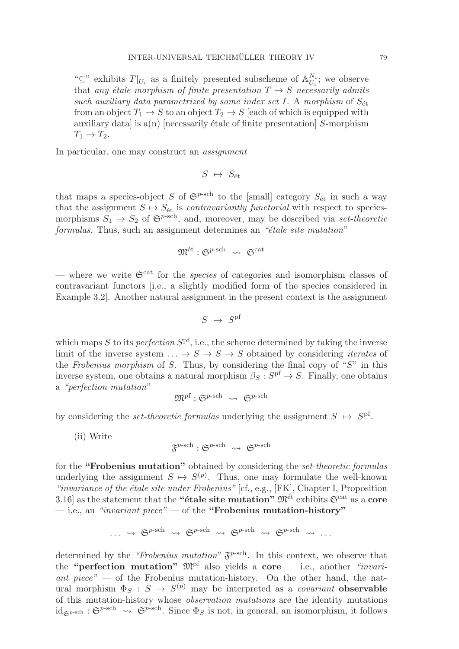" $\subseteq$ " exhibits  $T|_{U_i}$  as a finitely presented subscheme of  $\mathbb{A}_{U_i}^{N_i}$ ; we observe that any étale morphism of finite presentation  $T \rightarrow S$  necessarily admits such auxiliary data parametrized by some index set I. A morphism of  $S_{\text{\'et}}$ from an object  $T_1 \rightarrow S$  to an object  $T_2 \rightarrow S$  [each of which is equipped with auxiliary data] is  $a(n)$  [necessarily étale of finite presentation] S-morphism  $T_1 \rightarrow T_2$ .

In particular, one may construct an *assignment* 

$$
S \ \mapsto \ S_{\text{\'et}}
$$

that maps a species-object S of  $\mathfrak{S}^{p\text{-sch}}$  to the [small] category  $S_{\text{\'et}}$  in such a way that the assignment  $S \mapsto S_{\text{\'et}}$  is *contravariantly functorial* with respect to speciesmorphisms  $S_1 \rightarrow S_2$  of  $\mathfrak{S}^{p-sch}$ , and, moreover, may be described via set-theoretic formulas. Thus, such an assignment determines an "étale site mutation"

$$
\mathfrak{M}^{\mathrm{\acute{e}t}}:\mathfrak{S}^{p\text{-sch}}\ \rightsquigarrow\ \mathfrak{S}^{\mathrm{cat}}
$$

— where we write  $\mathfrak{S}^{\text{cat}}$  for the *species* of categories and isomorphism classes of contravariant functors [i.e., a slightly modified form of the species considered in Example 3.2]. Another natural assignment in the present context is the assignment

$$
S \ \mapsto \ S^{\rm pf}
$$

which maps S to its *perfection*  $S<sup>pf</sup>$ , i.e., the scheme determined by taking the inverse limit of the inverse system  $\ldots \rightarrow S \rightarrow S \rightarrow S$  obtained by considering *iterates* of the Frobenius morphism of S. Thus, by considering the final copy of " $S$ " in this inverse system, one obtains a natural morphism  $\beta_S : S^{\text{pf}} \to S$ . Finally, one obtains a "perfection mutation"

$$
\mathfrak{M}^{\mathrm{pf}}: \mathfrak{S}^{p\text{-sch}} \ \rightsquigarrow \ \mathfrak{S}^{p\text{-sch}}
$$

by considering the *set-theoretic formulas* underlying the assignment  $S \mapsto S^{\text{pf}}$ .

(ii) Write

$$
\mathfrak{F}^{p\text{-sch}} : \mathfrak{S}^{p\text{-sch}} \rightsquigarrow \mathfrak{S}^{p\text{-sch}}
$$

for the **"Frobenius mutation"** obtained by considering the set-theoretic formulas underlying the assignment  $S \mapsto S^{(p)}$ . Thus, one may formulate the well-known "invariance of the étale site under Frobenius"  $[cf., e.g., [FK], Chapter I, Proposition$ 3.16] as the statement that the **"étale site mutation"**  $\mathfrak{M}^{\text{\'et}}$  exhibits  $\mathfrak{S}^{\text{cat}}$  as a **core** — i.e., an "invariant piece" — of the **"Frobenius mutation-history"**

$$
\cdots \rightsquigarrow \mathfrak{S}^{p\text{-sch}} \rightsquigarrow \mathfrak{S}^{p\text{-sch}} \rightsquigarrow \mathfrak{S}^{p\text{-sch}} \rightsquigarrow \mathfrak{S}^{p\text{-sch}} \rightsquigarrow \cdots
$$

determined by the "Frobenius mutation"  $\mathfrak{F}^{p-\text{sch}}$ . In this context, we observe that the **"perfection mutation"** Mpf also yields a **core** — i.e., another "invariant piece" — of the Frobenius mutation-history. On the other hand, the natural morphism  $\Phi_S : S \to S^{(p)}$  may be interpreted as a *covariant* **observable** of this mutation-history whose observation mutations are the identity mutations  $id_{\mathfrak{S}^{p\text{-sch}}}$ :  $\mathfrak{S}^{p\text{-sch}}$   $\rightsquigarrow$   $\mathfrak{S}^{p\text{-sch}}$ . Since  $\Phi_S$  is not, in general, an isomorphism, it follows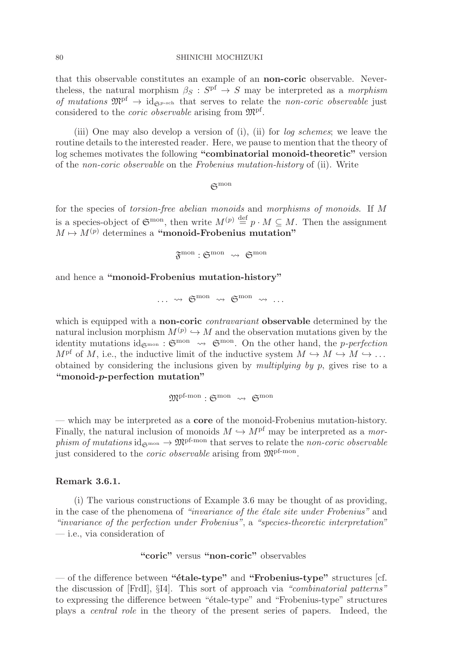that this observable constitutes an example of an **non-coric** observable. Nevertheless, the natural morphism  $\beta_S : S^{\text{pf}} \to S$  may be interpreted as a morphism of mutations  $\mathfrak{M}^{\text{pf}} \to \mathrm{id}_{\mathfrak{S}^{p-\text{sch}}}$  that serves to relate the non-coric observable just considered to the coric observable arising from Mpf.

(iii) One may also develop a version of (i), (ii) for log schemes; we leave the routine details to the interested reader. Here, we pause to mention that the theory of log schemes motivates the following **"combinatorial monoid-theoretic"** version of the non-coric observable on the Frobenius mutation-history of (ii). Write

 $\mathfrak{S}^{\text{mon}}$ 

for the species of torsion-free abelian monoids and morphisms of monoids. If M is a species-object of  $\mathfrak{S}^{\text{mon}}$ , then write  $M^{(p)} \stackrel{\text{def}}{=} p \cdot M \subseteq M$ . Then the assignment  $M \mapsto M^{(p)}$  determines a "monoid-Frobenius mutation"

$$
\mathfrak{F}^{\mathrm{mon}}: \mathfrak{S}^{\mathrm{mon}}\ \rightsquigarrow\ \mathfrak{S}^{\mathrm{mon}}
$$

and hence a **"monoid-Frobenius mutation-history"**

$$
\cdots \ \rightsquigarrow \ \mathfrak{S}^{\mathrm{mon}} \ \rightsquigarrow \ \mathfrak{S}^{\mathrm{mon}} \ \rightsquigarrow \ \ldots
$$

which is equipped with a **non-coric** contravariant **observable** determined by the natural inclusion morphism  $M^{(p)} \hookrightarrow M$  and the observation mutations given by the identity mutations id $_{\mathfrak{S}^{\text{mon}}}$  :  $\mathfrak{S}^{\text{mon}}$   $\rightsquigarrow$   $\mathfrak{S}^{\text{mon}}$ . On the other hand, the *p-perfection*  $M^{\text{pf}}$  of M, i.e., the inductive limit of the inductive system  $M \hookrightarrow M \hookrightarrow M \hookrightarrow \ldots$ obtained by considering the inclusions given by *multiplying by p*, gives rise to a **"monoid-***p***-perfection mutation"**

 $\mathfrak{M}^{\rm pf\text{-}mon}$  :  $\mathfrak{S}^{\rm mon}$   $\leadsto$   $\mathfrak{S}^{\rm mon}$ 

— which may be interpreted as a **core** of the monoid-Frobenius mutation-history. Finally, the natural inclusion of monoids  $M \hookrightarrow M<sup>pf</sup>$  may be interpreted as a morphism of mutations  $id_{\mathfrak{S}^{\text{mon}}} \to \mathfrak{M}^{\text{pf-mon}}$  that serves to relate the non-coric observable just considered to the *coric observable* arising from  $\mathfrak{M}^{\text{pf-mon}}$ .

## **Remark 3.6.1.**

(i) The various constructions of Example 3.6 may be thought of as providing, in the case of the phenomena of "invariance of the étale site under Frobenius" and "invariance of the perfection under Frobenius", a "species-theoretic interpretation" — i.e., via consideration of

# **"coric"** versus **"non-coric"** observables

— of the difference between **"´etale-type"** and **"Frobenius-type"** structures [cf. the discussion of [FrdI], §I4]. This sort of approach via "combinatorial patterns" to expressing the difference between " $étele-type"$  and "Frobenius-type" structures plays a central role in the theory of the present series of papers. Indeed, the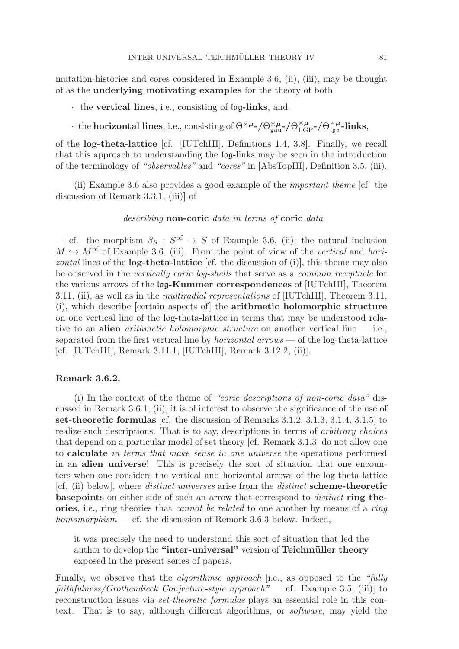mutation-histories and cores considered in Example 3.6, (ii), (iii), may be thought of as the **underlying motivating examples** for the theory of both

- · the **vertical lines**, i.e., consisting of log**-links**, and
- $\cdot$  the **horizontal lines**, i.e., consisting of  $\Theta^{\times \mu}$ -/ $\Theta_{\text{gau}}^{\times \mu}$ -/ $\Theta_{\text{LGP}}^{\times \mu}$ -/ $\Theta_{\text{Lgp}}^{\times \mu}$ -links,

of the **log-theta-lattice** [cf. [IUTchIII], Definitions 1.4, 3.8]. Finally, we recall that this approach to understanding the log-links may be seen in the introduction of the terminology of "observables" and "cores" in [AbsTopIII], Definition 3.5, (iii).

(ii) Example 3.6 also provides a good example of the important theme [cf. the discussion of Remark 3.3.1, (iii)] of

## describing **non-coric** data in terms of **coric** data

— cf. the morphism  $\beta_S : S^{\text{pf}} \to S$  of Example 3.6, (ii); the natural inclusion  $M \hookrightarrow M<sup>pf</sup>$  of Example 3.6, (iii). From the point of view of the vertical and horizontal lines of the **log-theta-lattice** [cf. the discussion of (i)], this theme may also be observed in the vertically coric log-shells that serve as a common receptacle for the various arrows of the log**-Kummer correspondences** of [IUTchIII], Theorem 3.11, (ii), as well as in the multiradial representations of [IUTchIII], Theorem 3.11, (i), which describe [certain aspects of] the **arithmetic holomorphic structure** on one vertical line of the log-theta-lattice in terms that may be understood relative to an **alien** *arithmetic holomorphic structure* on another vertical line  $-$  i.e., separated from the first vertical line by *horizontal arrows* — of the log-theta-lattice [cf. [IUTchIII], Remark 3.11.1; [IUTchIII], Remark 3.12.2, (ii)].

## **Remark 3.6.2.**

(i) In the context of the theme of "coric descriptions of non-coric data" discussed in Remark 3.6.1, (ii), it is of interest to observe the significance of the use of **set-theoretic formulas** [cf. the discussion of Remarks 3.1.2, 3.1.3, 3.1.4, 3.1.5] to realize such descriptions. That is to say, descriptions in terms of *arbitrary choices* that depend on a particular model of set theory [cf. Remark 3.1.3] do not allow one to **calculate** in terms that make sense in one universe the operations performed in an **alien universe**! This is precisely the sort of situation that one encounters when one considers the vertical and horizontal arrows of the log-theta-lattice [cf. (ii) below], where distinct universes arise from the distinct **scheme-theoretic basepoints** on either side of such an arrow that correspond to distinct **ring theories**, i.e., ring theories that cannot be related to one another by means of a ring homomorphism — cf. the discussion of Remark 3.6.3 below. Indeed,

it was precisely the need to understand this sort of situation that led the author to develop the "inter-universal" version of **Teichmüller theory** exposed in the present series of papers.

Finally, we observe that the *algorithmic approach* [i.e., as opposed to the "fully"  $faithfulness/Grothendieck Conjecture-style approach"$  - cf. Example 3.5, (iii)] to reconstruction issues via set-theoretic formulas plays an essential role in this context. That is to say, although different algorithms, or software, may yield the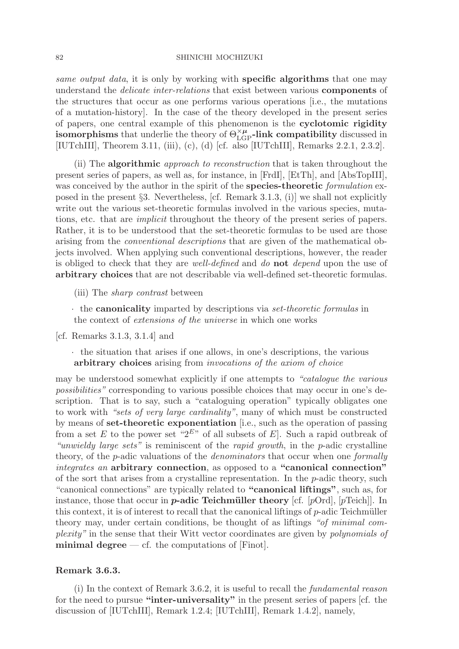same output data, it is only by working with **specific algorithms** that one may understand the delicate inter-relations that exist between various **components** of the structures that occur as one performs various operations [i.e., the mutations of a mutation-history]. In the case of the theory developed in the present series of papers, one central example of this phenomenon is the **cyclotomic rigidity isomorphisms** that underlie the theory of  $\Theta_{\text{LGP}}^{\times \mu}$ -link compatibility discussed in [IUTchIII], Theorem 3.11, (iii), (c), (d) [cf. also [IUTchIII], Remarks 2.2.1, 2.3.2].

(ii) The **algorithmic** approach to reconstruction that is taken throughout the present series of papers, as well as, for instance, in [FrdI], [EtTh], and [AbsTopIII], was conceived by the author in the spirit of the **species-theoretic** formulation exposed in the present §3. Nevertheless, [cf. Remark 3.1.3, (i)] we shall not explicitly write out the various set-theoretic formulas involved in the various species, mutations, etc. that are implicit throughout the theory of the present series of papers. Rather, it is to be understood that the set-theoretic formulas to be used are those arising from the conventional descriptions that are given of the mathematical objects involved. When applying such conventional descriptions, however, the reader is obliged to check that they are well-defined and do **not** depend upon the use of **arbitrary choices** that are not describable via well-defined set-theoretic formulas.

(iii) The sharp contrast between

· the **canonicality** imparted by descriptions via set-theoretic formulas in the context of extensions of the universe in which one works

[cf. Remarks 3.1.3, 3.1.4] and

· the situation that arises if one allows, in one's descriptions, the various **arbitrary choices** arising from invocations of the axiom of choice

may be understood somewhat explicitly if one attempts to "catalogue the various possibilities" corresponding to various possible choices that may occur in one's description. That is to say, such a "cataloguing operation" typically obligates one to work with "sets of very large cardinality", many of which must be constructed by means of **set-theoretic exponentiation** [i.e., such as the operation of passing from a set E to the power set " $2^{E}$ " of all subsets of E. Such a rapid outbreak of "unwieldy large sets" is reminiscent of the rapid growth, in the p-adic crystalline theory, of the *p*-adic valuations of the *denominators* that occur when one *formally* integrates an **arbitrary connection**, as opposed to a **"canonical connection"** of the sort that arises from a crystalline representation. In the  $p$ -adic theory, such "canonical connections" are typically related to **"canonical liftings"**, such as, for instance, those that occur in *p***-adic Teichmüller theory** [cf.  $[pOrd]$ ,  $[pTeich]$ ]. In this context, it is of interest to recall that the canonical liftings of  $p$ -adic Teichmüller theory may, under certain conditions, be thought of as liftings "of minimal complexity" in the sense that their Witt vector coordinates are given by polynomials of **minimal degree** — cf. the computations of [Finot].

## **Remark 3.6.3.**

(i) In the context of Remark 3.6.2, it is useful to recall the fundamental reason for the need to pursue **"inter-universality"** in the present series of papers [cf. the discussion of [IUTchIII], Remark 1.2.4; [IUTchIII], Remark 1.4.2], namely,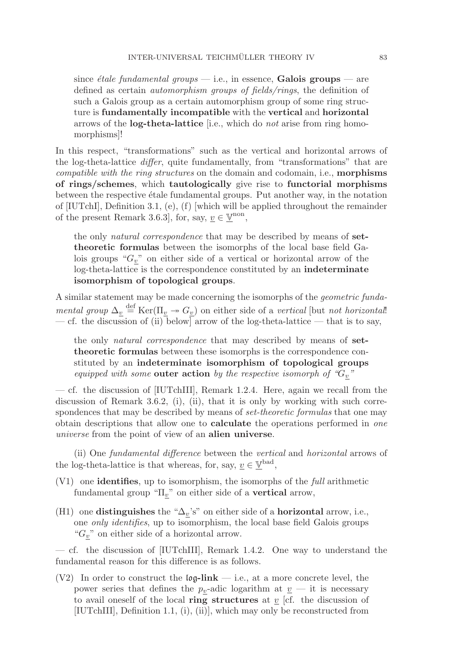since *étale fundamental groups* — i.e., in essence, **Galois groups** — are defined as certain automorphism groups of fields/rings, the definition of such a Galois group as a certain automorphism group of some ring structure is **fundamentally incompatible** with the **vertical** and **horizontal** arrows of the **log-theta-lattice** [i.e., which do not arise from ring homomorphisms]!

In this respect, "transformations" such as the vertical and horizontal arrows of the log-theta-lattice differ, quite fundamentally, from "transformations" that are compatible with the ring structures on the domain and codomain, i.e., **morphisms of rings/schemes**, which **tautologically** give rise to **functorial morphisms** between the respective étale fundamental groups. Put another way, in the notation of [IUTchI], Definition 3.1, (e), (f) [which will be applied throughout the remainder of the present Remark 3.6.3], for, say,  $\underline{v} \in \underline{\mathbb{V}}^{\text{non}}$ ,

the only natural correspondence that may be described by means of **settheoretic formulas** between the isomorphs of the local base field Galois groups " $G_v$ " on either side of a vertical or horizontal arrow of the log-theta-lattice is the correspondence constituted by an **indeterminate isomorphism of topological groups**.

A similar statement may be made concerning the isomorphs of the geometric fundamental group  $\Delta_v \stackrel{\text{def}}{=} \text{Ker}(\Pi_v \to G_v)$  on either side of a vertical [but not horizontal] — cf. the discussion of (ii) below] arrow of the log-theta-lattice — that is to say,

the only natural correspondence that may described by means of **settheoretic formulas** between these isomorphs is the correspondence constituted by an **indeterminate isomorphism of topological groups** equipped with some **outer action** by the respective isomorph of " $G_v$ "

— cf. the discussion of [IUTchIII], Remark 1.2.4. Here, again we recall from the discussion of Remark 3.6.2, (i), (ii), that it is only by working with such correspondences that may be described by means of *set-theoretic formulas* that one may obtain descriptions that allow one to **calculate** the operations performed in one universe from the point of view of an **alien universe**.

(ii) One fundamental difference between the vertical and horizontal arrows of the log-theta-lattice is that whereas, for, say,  $\underline{v} \in \underline{\mathbb{V}}^{\text{bad}}$ ,

- (V1) one **identifies**, up to isomorphism, the isomorphs of the full arithmetic fundamental group " $\Pi_v$ " on either side of a **vertical** arrow,
- (H1) one **distinguishes** the " $\Delta_v$ 's" on either side of a **horizontal** arrow, i.e., one only identifies, up to isomorphism, the local base field Galois groups " $G_{\underline{v}}$ " on either side of a horizontal arrow.

— cf. the discussion of [IUTchIII], Remark 1.4.2. One way to understand the fundamental reason for this difference is as follows.

(V2) In order to construct the log**-link** — i.e., at a more concrete level, the power series that defines the  $p_v$ -adic logarithm at  $\underline{v}$  — it is necessary to avail oneself of the local **ring structures** at  $\underline{v}$  [cf. the discussion of [IUTchIII], Definition 1.1, (i), (ii)], which may only be reconstructed from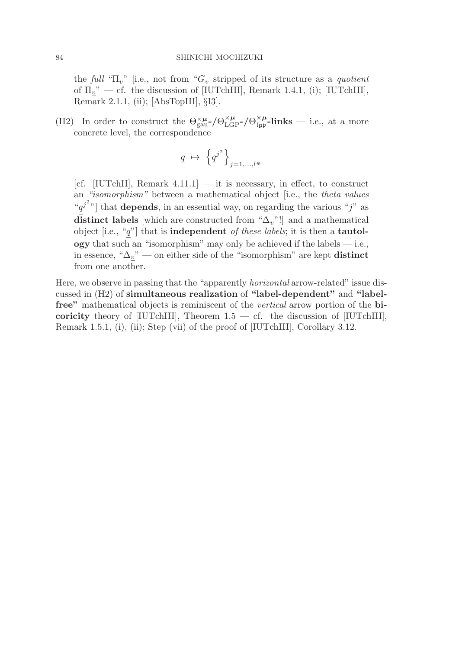the full " $\Pi_{\underline{v}}$ " [i.e., not from " $G_{\underline{v}}$  stripped of its structure as a *quotient* of  $\Pi_v$ " — cf. the discussion of  $[\overline{I}UTchIII]$ , Remark 1.4.1, (i);  $[IUTchIII]$ , Remark 2.1.1, (ii); [AbsTopIII], §I3].

(H2) In order to construct the  $\Theta_{\text{gau}}^{\times \mu}$ - $/\Theta_{\text{LGP}}^{\times \mu}$ - $/\Theta_{\text{Lgp}}^{\times \mu}$ -links — i.e., at a more concrete level, the correspondence

$$
\underline{q} \ \mapsto \ \left\{ \underline{q}^{j^2} \right\}_{j=1,\ldots,l^*}
$$

[cf. [IUTchII], Remark  $4.11.1$ ]  $-$  it is necessary, in effect, to construct an "isomorphism" between a mathematical object [i.e., the theta values " $q^{j^2}$ " that **depends**, in an essential way, on regarding the various "j" as **distinct labels** [which are constructed from " $\Delta_{\underline{v}}$ "!] and a mathematical object [i.e., "q"] that is **independent** of these labels; it is then a **tautology** that such an "isomorphism" may only be achieved if the labels — i.e., in essence, " $\Delta_{\underline{v}}$ " — on either side of the "isomorphism" are kept **distinct** from one another.

Here, we observe in passing that the "apparently horizontal arrow-related" issue discussed in (H2) of **simultaneous realization** of **"label-dependent"** and **"labelfree"** mathematical objects is reminiscent of the vertical arrow portion of the **bicoricity** theory of [IUTchIII], Theorem  $1.5 - c$ . the discussion of [IUTchIII], Remark 1.5.1, (i), (ii); Step (vii) of the proof of [IUTchIII], Corollary 3.12.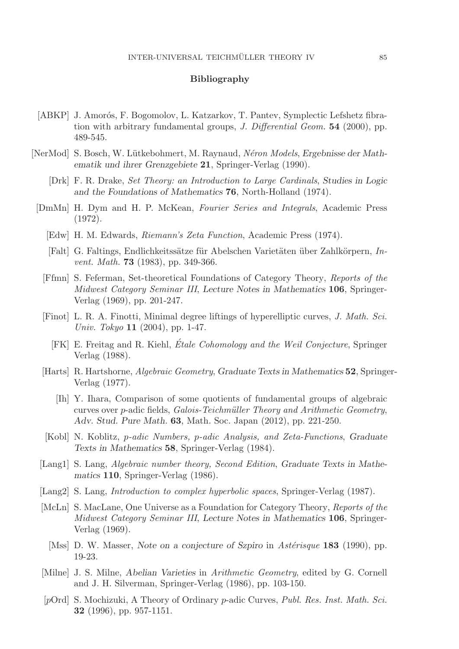## **Bibliography**

- [ABKP] J. Amorós, F. Bogomolov, L. Katzarkov, T. Pantev, Symplectic Lefshetz fibration with arbitrary fundamental groups, J. Differential Geom. **54** (2000), pp. 489-545.
- [NerMod] S. Bosch, W. L¨utkebohmert, M. Raynaud, N´eron Models, *Ergebnisse der Mathematik und ihrer Grenzgebiete* **21**, Springer-Verlag (1990).
	- [Drk] F. R. Drake, Set Theory: an Introduction to Large Cardinals, *Studies in Logic and the Foundations of Mathematics* **76**, North-Holland (1974).
	- [DmMn] H. Dym and H. P. McKean, Fourier Series and Integrals, Academic Press (1972).
		- [Edw] H. M. Edwards, Riemann's Zeta Function, Academic Press (1974).
		- [Falt] G. Faltings, Endlichkeitssätze für Abelschen Varietäten über Zahlkörpern, Invent. Math. **73** (1983), pp. 349-366.
		- [Ffmn] S. Feferman, Set-theoretical Foundations of Category Theory, Reports of the Midwest Category Seminar III, *Lecture Notes in Mathematics* **106**, Springer-Verlag (1969), pp. 201-247.
		- [Finot] L. R. A. Finotti, Minimal degree liftings of hyperelliptic curves, J. Math. Sci. Univ. Tokyo **11** (2004), pp. 1-47.
			- [FK] E. Freitag and R. Kiehl, Étale Cohomology and the Weil Conjecture, Springer Verlag (1988).
		- [Harts] R. Hartshorne, Algebraic Geometry, *Graduate Texts in Mathematics* **52**, Springer-Verlag (1977).
			- [Ih] Y. Ihara, Comparison of some quotients of fundamental groups of algebraic curves over p-adic fields, Galois-Teichmüller Theory and Arithmetic Geometry, *Adv. Stud. Pure Math.* **63**, Math. Soc. Japan (2012), pp. 221-250.
		- [Kobl] N. Koblitz, p-adic Numbers, p-adic Analysis, and Zeta-Functions, *Graduate Texts in Mathematics* **58**, Springer-Verlag (1984).
	- [Lang1] S. Lang, Algebraic number theory, Second Edition, *Graduate Texts in Mathematics* **110**, Springer-Verlag (1986).
	- [Lang2] S. Lang, Introduction to complex hyperbolic spaces, Springer-Verlag (1987).
	- [McLn] S. MacLane, One Universe as a Foundation for Category Theory, Reports of the Midwest Category Seminar III, *Lecture Notes in Mathematics* **106**, Springer-Verlag (1969).
		- [Mss] D. W. Masser, *Note on a conjecture of Szpiro* in *Astérisque* **183** (1990), pp. 19-23.
	- [Milne] J. S. Milne, *Abelian Varieties* in Arithmetic Geometry, edited by G. Cornell and J. H. Silverman, Springer-Verlag (1986), pp. 103-150.
	- [pOrd] S. Mochizuki, A Theory of Ordinary p-adic Curves, Publ. Res. Inst. Math. Sci. **32** (1996), pp. 957-1151.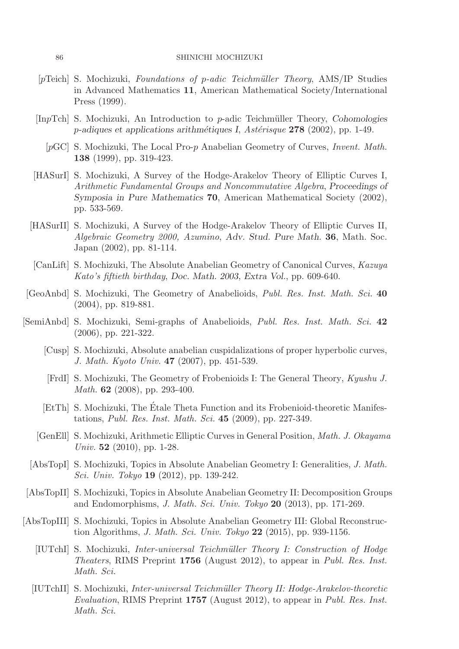- $[pTeich]$  S. Mochizuki, Foundations of p-adic Teichmüller Theory, AMS/IP Studies in Advanced Mathematics **11**, American Mathematical Society/International Press (1999).
- [InpTch] S. Mochizuki, An Introduction to p-adic Teichm¨uller Theory, *Cohomologies* p*-adiques et applications arithm´etiques I*, Ast´erisque **278** (2002), pp. 1-49.
	- [pGC] S. Mochizuki, The Local Pro-p Anabelian Geometry of Curves, Invent. Math. **138** (1999), pp. 319-423.
- [HASurI] S. Mochizuki, A Survey of the Hodge-Arakelov Theory of Elliptic Curves I, Arithmetic Fundamental Groups and Noncommutative Algebra, *Proceedings of Symposia in Pure Mathematics* **70**, American Mathematical Society (2002), pp. 533-569.
- [HASurII] S. Mochizuki, A Survey of the Hodge-Arakelov Theory of Elliptic Curves II, Algebraic Geometry 2000, Azumino, *Adv. Stud. Pure Math.* **36**, Math. Soc. Japan (2002), pp. 81-114.
- [CanLift] S. Mochizuki, The Absolute Anabelian Geometry of Canonical Curves, Kazuya Kato's fiftieth birthday, *Doc. Math. 2003, Extra Vol.*, pp. 609-640.
- [GeoAnbd] S. Mochizuki, The Geometry of Anabelioids, Publ. Res. Inst. Math. Sci. **40** (2004), pp. 819-881.
- [SemiAnbd] S. Mochizuki, Semi-graphs of Anabelioids, Publ. Res. Inst. Math. Sci. **42** (2006), pp. 221-322.
	- [Cusp] S. Mochizuki, Absolute anabelian cuspidalizations of proper hyperbolic curves, J. Math. Kyoto Univ. **47** (2007), pp. 451-539.
	- [FrdI] S. Mochizuki, The Geometry of Frobenioids I: The General Theory, Kyushu J. Math. **62** (2008), pp. 293-400.
	- [EtTh] S. Mochizuki, The Etale Theta Function and its Frobenioid-theoretic Manifes- ´ tations, Publ. Res. Inst. Math. Sci. **45** (2009), pp. 227-349.
	- [GenEll] S. Mochizuki, Arithmetic Elliptic Curves in General Position, Math. J. Okayama Univ. **52** (2010), pp. 1-28.
	- [AbsTopI] S. Mochizuki, Topics in Absolute Anabelian Geometry I: Generalities, J. Math. Sci. Univ. Tokyo **19** (2012), pp. 139-242.
- [AbsTopII] S. Mochizuki, Topics in Absolute Anabelian Geometry II: Decomposition Groups and Endomorphisms, J. Math. Sci. Univ. Tokyo **20** (2013), pp. 171-269.
- [AbsTopIII] S. Mochizuki, Topics in Absolute Anabelian Geometry III: Global Reconstruction Algorithms, J. Math. Sci. Univ. Tokyo **22** (2015), pp. 939-1156.
	- [IUTchI] S. Mochizuki, Inter-universal Teichm¨uller Theory I: Construction of Hodge Theaters, RIMS Preprint **1756** (August 2012), to appear in Publ. Res. Inst. Math. Sci.
	- [IUTchII] S. Mochizuki, Inter-universal Teichm¨uller Theory II: Hodge-Arakelov-theoretic Evaluation, RIMS Preprint **1757** (August 2012), to appear in Publ. Res. Inst. Math. Sci.